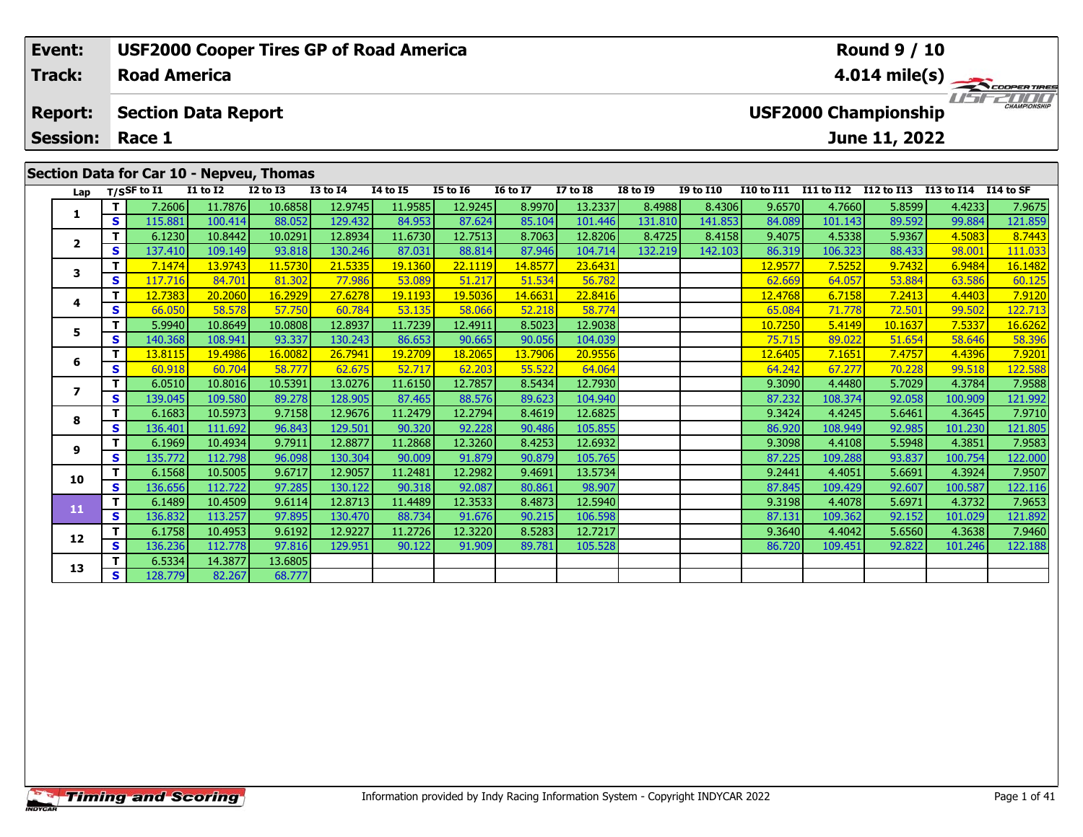|                           | Event:         |     |                            |                 | <b>USF2000 Cooper Tires GP of Road America</b> |              |                 |                 |                 | <b>Round 9 / 10</b>     |                 |                  |            |                             |               |                      |                     |  |
|---------------------------|----------------|-----|----------------------------|-----------------|------------------------------------------------|--------------|-----------------|-----------------|-----------------|-------------------------|-----------------|------------------|------------|-----------------------------|---------------|----------------------|---------------------|--|
|                           | <b>Track:</b>  |     | <b>Road America</b>        |                 |                                                |              |                 |                 |                 | $4.014 \text{ mile(s)}$ |                 |                  |            |                             |               |                      |                     |  |
|                           | <b>Report:</b> |     | <b>Section Data Report</b> |                 |                                                |              |                 |                 |                 |                         |                 |                  |            | <b>USF2000 Championship</b> |               |                      | <b>CHAMPIONSHIP</b> |  |
| <b>Session:</b><br>Race 1 |                |     |                            |                 |                                                |              |                 |                 |                 |                         |                 |                  |            |                             | June 11, 2022 |                      |                     |  |
|                           |                |     |                            |                 | Section Data for Car 10 - Nepveu, Thomas       |              |                 |                 |                 |                         |                 |                  |            |                             |               |                      |                     |  |
|                           |                |     | Lap $T/S$ SF to I1         | <b>I1 to I2</b> | <b>I2 to I3</b>                                | $I3$ to $I4$ | <b>I4 to I5</b> | <b>I5 to 16</b> | <b>16 to 17</b> | <b>I7 to I8</b>         | <b>I8 to I9</b> | <b>I9 to I10</b> | I10 to I11 | I11 to I12                  | I12 to I13    | I13 to I14 I14 to SF |                     |  |
|                           |                |     | 7.2606                     | 11.7876         | 10.6858                                        | 12.9745      | 11.9585         | 12.9245         | 8.9970          | 13.2337                 | 8.4988          | 8.4306           | 9.6570     | 4.7660                      | 5.8599        | 4.4233               | 7.9675              |  |
|                           |                | s l | 115.881                    | 100.414         | 88.052                                         | 129.432      | 84.953          | 87.624          | 85.104          | 101.446                 | 131.810         | 141.853          | 84.089     | 101.143                     | 89.592        | 99.884               | 121.859             |  |
|                           |                |     | 6.1230L                    | 10.8442         | 100291                                         | 12.8934      | 11.6730         | 12,7513         | $R$ 7063        | 12.8206                 | 84725           | 84158            | 94075      | 45338                       | 59367         | 45083                | 87443               |  |

| Lap                     |    | $T/S$ SF to I1 | <b>I1 to I2</b> | <b>I2 to I3</b> | <b>I3 to I4</b> | 14 to 15 | <b>I5 to 16</b> | <b>16 to 17</b> | <b>I7 to I8</b> | <b>I8 to I9</b> | <b>I9 to I10</b> | I10 to I11 I11 to I12 I12 to I13 |         |         | I13 to I14 | I14 to SF |
|-------------------------|----|----------------|-----------------|-----------------|-----------------|----------|-----------------|-----------------|-----------------|-----------------|------------------|----------------------------------|---------|---------|------------|-----------|
| 1                       |    | 7.2606         | 11.7876         | 10.6858         | 12.9745         | 11.9585  | 12.9245         | 8.9970          | 13.2337         | 8.4988          | 8.4306           | 9.6570                           | 4.7660  | 5.8599  | 4.4233     | 7.9675    |
|                         | S  | 115.881        | 100.414         | 88.052          | 129.432         | 84.953   | 87.624          | 85.104          | 101.446         | 131.810         | 141.853          | 84.089                           | 101.143 | 89.592  | 99.884     | 121.859   |
| $\mathbf{2}$            | т  | 6.1230         | 10.8442         | 10.0291         | 12.8934         | 11.6730  | 12.7513         | 8.7063          | 12.8206         | 8.4725          | 8.4158           | 9.4075                           | 4.5338  | 5.9367  | 4.5083     | 8.7443    |
|                         | S. | 137.410        | 109.149         | 93.818          | 130.246         | 87.031   | 88.814          | 87.946          | 104.714         | 132.219         | 142.103          | 86.319                           | 106.323 | 88.433  | 98.001     | 111.033   |
| 3                       | T. | 7.1474         | 13.9743         | 11.5730         | 21.5335         | 19.1360  | 22.1119         | 14.8577         | 23.6431         |                 |                  | 12.9577                          | 7.5252  | 9.7432  | 6.9484     | 16.1482   |
|                         | S  | 117.716        | 84.701          | 81.302          | 77.986          | 53.089   | 51.217          | 51.534          | 56.782          |                 |                  | 62.669                           | 64.057  | 53.884  | 63.586     | 60.125    |
| 4                       | т  | 12.7383        | 20.2060         | 16.2929         | 27.6278         | 19.1193  | 19.5036         | 14.6631         | 22.8416         |                 |                  | 12.4768                          | 6.7158  | 7.2413  | 4.4403     | 7.9120    |
|                         | s  | 66.050         | 58.578          | 57.750          | 60.784          | 53.135   | 58.066          | 52.218          | 58.774          |                 |                  | 65.084                           | 71.778  | 72.501  | 99.502     | 122.713   |
| 5                       |    | 5.9940         | 10.8649         | 10.0808         | 12.8937         | 11.7239  | 12.4911         | 8.5023          | 12.9038         |                 |                  | 10.7250                          | 5.4149  | 10.1637 | 7.5337     | 16.6262   |
|                         | S  | 140.368        | 108.941         | 93.337          | 130.243         | 86.653   | 90.665          | 90.056          | 104.039         |                 |                  | 75.715                           | 89.022  | 51.654  | 58.646     | 58.396    |
| 6                       | т  | 13.8115        | 19.4986         | 16.0082         | 26.7941         | 19.2709  | 18.2065         | 13.7906         | 20.9556         |                 |                  | 12.6405                          | 7.1651  | 7.4757  | 4.4396     | 7.9201    |
|                         | s  | 60.918         | 60.704          | 58.777          | 62.675          | 52.717   | 62.203          | 55.522          | 64.064          |                 |                  | 64.242                           | 67.277  | 70.228  | 99.518     | 122.588   |
| $\overline{\mathbf{z}}$ | т  | 6.0510         | 10.8016         | 10.5391         | 13.0276         | 11.6150  | 12.7857         | 8.5434          | 12.7930         |                 |                  | 9.3090                           | 4.4480  | 5.7029  | 4.3784     | 7.9588    |
|                         | S  | 139.045        | 109.580         | 89.278          | 128.905         | 87.465   | 88.576          | 89.623          | 104.940         |                 |                  | 87.232                           | 108.374 | 92.058  | 100.909    | 121.992   |
| 8                       | т  | 6.1683         | 10.5973         | 9.7158          | 12.9676         | 11.2479  | 12.2794         | 8.4619          | 12.6825         |                 |                  | 9.3424                           | 4.4245  | 5.6461  | 4.3645     | 7.9710    |
|                         | s  | 136.401        | 111.692         | 96.843          | 129.501         | 90.320   | 92.228          | 90.486          | 105.855         |                 |                  | 86.920                           | 108.949 | 92.985  | 101.230    | 121.805   |
| 9                       |    | 6.1969         | 10.4934         | 9.7911          | 12.8877         | 11.2868  | 12.3260         | 8.4253          | 12.6932         |                 |                  | 9.3098                           | 4.4108  | 5.5948  | 4.3851     | 7.9583    |
|                         | S  | 135.772        | 112.798         | 96.098          | 130.304         | 90.009   | 91.879          | 90.879          | 105.765         |                 |                  | 87.225                           | 109.288 | 93.837  | 100.754    | 122.000   |
| 10                      | т  | 6.1568         | 10.5005         | 9.6717          | 12.9057         | 11.2481  | 12.2982         | 9.4691          | 13.5734         |                 |                  | 9.2441                           | 4.4051  | 5.6691  | 4.3924     | 7.9507    |
|                         | s  | 136.656        | 112.722         | 97.285          | 130.122         | 90.318   | 92.087          | 80.861          | 98.907          |                 |                  | 87.845                           | 109.429 | 92.607  | 100.587    | 122.116   |
| 11                      |    | 6.1489         | 10.4509         | 9.6114          | 12.8713         | 11.4489  | 12.3533         | 8.4873          | 12.5940         |                 |                  | 9.3198                           | 4.4078  | 5.6971  | 4.3732     | 7.9653    |
|                         | S  | 136.832        | 113.257         | 97.895          | 130.470         | 88.734   | 91.676          | 90.215          | 106.598         |                 |                  | 87.131                           | 109.362 | 92.152  | 101.029    | 121.892   |
| 12                      |    | 6.1758         | 10.4953         | 9.6192          | 12.9227         | 11.2726  | 12.3220         | 8.5283          | 12.7217         |                 |                  | 9.3640                           | 4.4042  | 5.6560  | 4.3638     | 7.9460    |
|                         | s  | 136.236        | 112.778         | 97.816          | 129.951         | 90.122   | 91.909          | 89.781          | 105.528         |                 |                  | 86.720                           | 109.451 | 92.822  | 101.246    | 122.188   |
| 13                      |    | 6.5334         | 14.3877         | 13.6805         |                 |          |                 |                 |                 |                 |                  |                                  |         |         |            |           |
|                         | s  | 128.779        | 82.267          | 68.777          |                 |          |                 |                 |                 |                 |                  |                                  |         |         |            |           |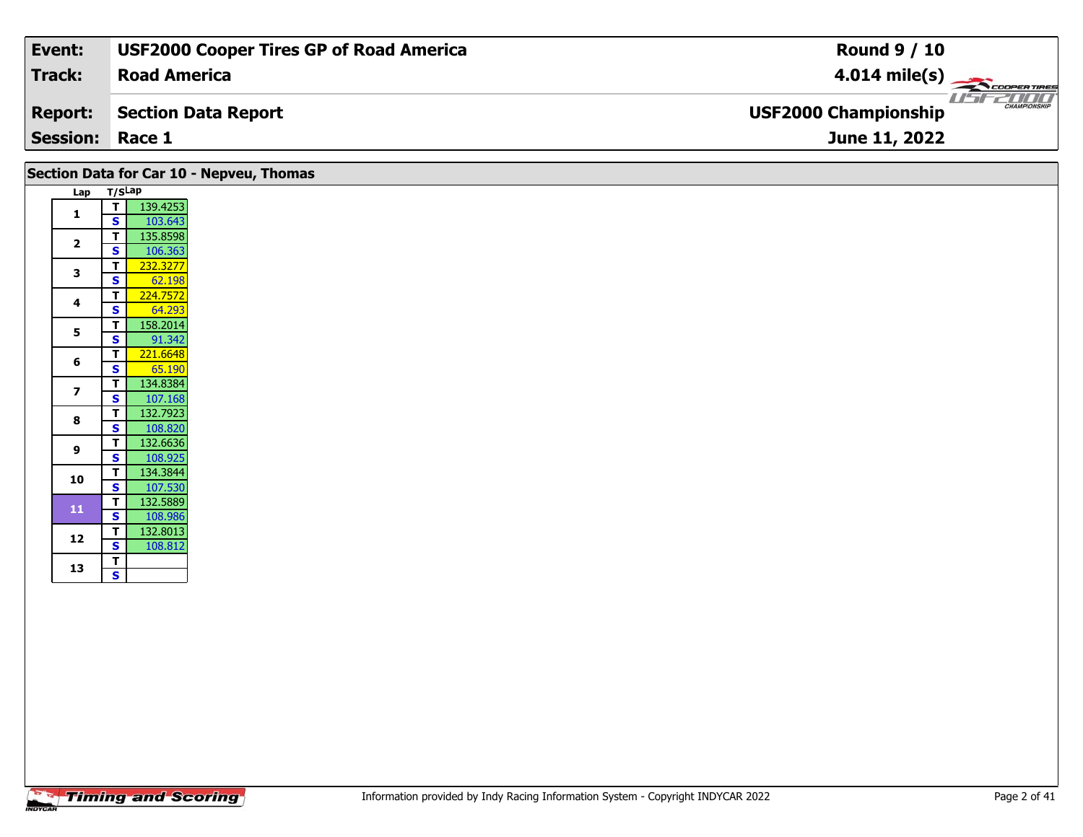| Event:                 | <b>USF2000 Cooper Tires GP of Road America</b> | <b>Round 9 / 10</b>                                |
|------------------------|------------------------------------------------|----------------------------------------------------|
| Track:                 | <b>Road America</b>                            | $4.014 \text{ mile(s)}$                            |
| <b>Report:</b>         | Section Data Report                            | <b>CHAMPIONSHIP</b><br><b>USF2000 Championship</b> |
| <b>Session: Race 1</b> |                                                | June 11, 2022                                      |

|                         | Section Data for Car 10 - Nepveu, Thomas                      |
|-------------------------|---------------------------------------------------------------|
| Lap T/SLap              |                                                               |
| $\mathbf{1}$            | 139.4253<br>T<br>$\overline{\mathbf{s}}$<br>103.643           |
| $\overline{\mathbf{2}}$ | 135.8598<br>$\overline{t}$<br>$\mathbf{s}$<br>106.363         |
| 3                       | $\mathbf T$<br>232.3277<br>$\overline{\mathbf{s}}$<br>62.198  |
| 4                       | $\overline{\mathsf{r}}$<br>224.7572<br>64.293                 |
| 5                       | 158.2014<br>$\mathbf{T}$<br>$\mathbf{s}$<br>91.342            |
| 6                       | 221.6648<br>$\mathbf{s}$<br>65.190                            |
| $\overline{\mathbf{z}}$ | $\mathbf{T}$<br>134.8384<br>$\mathbf{s}$<br>107.168           |
| 8                       | $\mathbf T$<br>132.7923<br>$\overline{\mathbf{s}}$<br>108.820 |
| 9                       | 132.6636<br>$\mathbf{T}$<br>$\mathbf{s}$<br>108.925           |
| 10                      | 134.3844<br>$\mathbf{T}$<br>$\mathbf{s}$<br>107.530           |
| 11                      | 132.5889<br>$\mathbf{T}$<br>$\mathbf{s}$<br>108.986           |
| 12                      | T<br>132.8013<br>$\overline{\mathbf{s}}$<br>108.812           |
| 13                      | $\overline{\mathbf{T}}$<br>$\overline{\mathbf{s}}$            |
|                         |                                                               |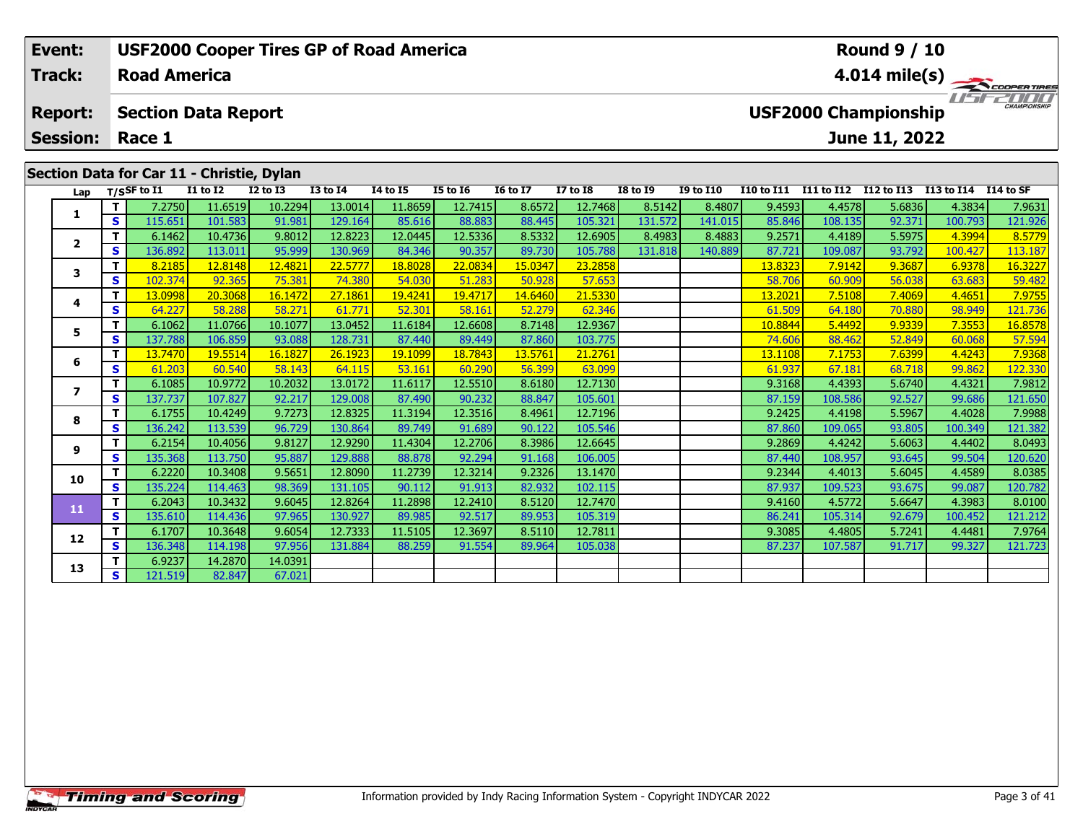| Event:          |     |                     |                                           | <b>USF2000 Cooper Tires GP of Road America</b> |              |                         |                 | <b>Round 9 / 10</b> |                 |                 |                  |                   |            |                             |            |                     |
|-----------------|-----|---------------------|-------------------------------------------|------------------------------------------------|--------------|-------------------------|-----------------|---------------------|-----------------|-----------------|------------------|-------------------|------------|-----------------------------|------------|---------------------|
| <b>Track:</b>   |     | <b>Road America</b> |                                           |                                                |              | $4.014 \text{ mile(s)}$ |                 |                     |                 |                 |                  |                   |            |                             |            |                     |
| <b>Report:</b>  |     |                     | <b>Section Data Report</b>                |                                                |              |                         |                 |                     |                 |                 |                  |                   |            | <b>USF2000 Championship</b> |            | <b>CHAMPIONSHIP</b> |
| <b>Session:</b> |     | Race 1              |                                           |                                                |              |                         |                 |                     |                 |                 |                  |                   |            | June 11, 2022               |            |                     |
|                 |     |                     | Section Data for Car 11 - Christie, Dylan |                                                |              |                         |                 |                     |                 |                 |                  |                   |            |                             |            |                     |
| Lap             |     | $T/S$ SF to I1      | <b>I1 to I2</b>                           | <b>I2 to I3</b>                                | $I3$ to $I4$ | 14 to 15                | <b>I5 to 16</b> | <b>16 to 17</b>     | <b>I7 to I8</b> | <b>I8 to I9</b> | <b>I9 to I10</b> | <b>I10 to I11</b> | I11 to I12 | I12 to I13                  | I13 to I14 | I 14 to SF          |
|                 |     | 7.2750              | 11.6519                                   | 10.2294                                        | 13.0014      | 11.8659                 | 12.7415         | 8.6572              | 12.7468         | 8.5142          | 8.4807           | 9.4593            | 4.4578     | 5.6836                      | 4.3834     | 7.9631              |
|                 | S I | 115.651             | 101.583                                   | 91.981                                         | 129.164      | 85.616                  | 88.883          | 88.445              | 105.321         | 131.572         | 141.015          | 85.846            | 108.135    | 92.371                      | 100.793    | 121.926             |
|                 |     | 6.1462              | 10.4736                                   | 9.8012                                         | 12.8223      | 12.0445                 | 12.5336         | 8.5332              | 12.6905         | 8.4983          | 8.4883           | 9.2571            | 4.4189     | 5.5975                      | 4.3994     | 8.5779              |
| ◢               | s.  | 136.8921            | 113.011                                   | 95.999                                         | 130.969      | 84.346                  | 90.357          | 89.730              | 105.788         | 131.818         | 140.889          | 87.721            | 109.087    | 93.792                      | 100.427    | 113.187             |

**<sup>T</sup>** 8.2185 12.8148 12.4821 22.5777 18.8028 22.0834 15.0347 23.2858 13.8323 7.9142 9.3687 6.9378 16.3227 **<sup>S</sup>** 102.374 92.365 75.381 74.380 54.030 51.283 50.928 57.653 58.706 60.909 56.038 63.683 59.482

**<sup>T</sup>** 13.0998 20.3068 16.1472 27.1861 19.4241 19.4717 14.6460 21.5330 13.2021 7.5108 7.4069 4.4651 7.9755 **<sup>S</sup>** 64.227 58.288 58.271 61.771 52.301 58.161 52.279 62.346 61.509 64.180 70.880 98.949 121.736

5 **T** 6.1062 11.0766 10.1077 13.0452 11.6184 12.6608 8.7148 12.9367 10.8844 5.4492 9.9339 7.3553 16.8578<br>S S 137.788 106.859 93.088 128.731 87.440 89.449 87.860 103.775 74.606 88.462 52.849 60.068 57.594

**<sup>T</sup>** 13.7470 19.5514 16.1827 26.1923 19.1099 18.7843 13.5761 21.2761 13.1108 7.1753 7.6399 4.4243 7.9368 **<sup>S</sup>** 61.203 60.540 58.143 64.115 53.161 60.290 56.399 63.099 61.937 67.181 68.718 99.862 122.330

**<sup>T</sup>** 6.1085 10.9772 10.2032 13.0172 11.6117 12.5510 8.6180 12.7130 9.3168 4.4393 5.6740 4.4321 7.9812 **<sup>S</sup>** 137.737 107.827 92.217 129.008 87.490 90.232 88.847 105.601 87.159 108.586 92.527 99.686 121.650

**<sup>T</sup>** 6.1755 10.4249 9.7273 12.8325 11.3194 12.3516 8.4961 12.7196 9.2425 4.4198 5.5967 4.4028 7.9988 **<sup>S</sup>** 136.242 113.539 96.729 130.864 89.749 91.689 90.122 105.546 87.860 109.065 93.805 100.349 121.382

**<sup>T</sup>** 6.2154 10.4056 9.8127 12.9290 11.4304 12.2706 8.3986 12.6645 9.2869 4.4242 5.6063 4.4402 8.0493 **<sup>S</sup>** 135.368 113.750 95.887 129.888 88.878 92.294 91.168 106.005 87.440 108.957 93.645 99.504 120.620

**<sup>T</sup>** 6.2220 10.3408 9.5651 12.8090 11.2739 12.3214 9.2326 13.1470 9.2344 4.4013 5.6045 4.4589 8.0385 **<sup>S</sup>** 135.224 114.463 98.369 131.105 90.112 91.913 82.932 102.115 87.937 109.523 93.675 99.087 120.782

**<sup>T</sup>** 6.2043 10.3432 9.6045 12.8264 11.2898 12.2410 8.5120 12.7470 9.4160 4.5772 5.6647 4.3983 8.0100 **<sup>S</sup>** 135.610 114.436 97.965 130.927 89.985 92.517 89.953 105.319 86.241 105.314 92.679 100.452 121.212

**<sup>T</sup>** 6.1707 10.3648 9.6054 12.7333 11.5105 12.3697 8.5110 12.7811 9.3085 4.4805 5.7241 4.4481 7.9764 **<sup>S</sup>** 136.348 114.198 97.956 131.884 88.259 91.554 89.964 105.038 87.237 107.587 91.717 99.327 121.723

**<sup>T</sup>** 6.9237 14.2870 14.0391 **<sup>S</sup>** 121.519 82.847 67.021

**3**

**4**

**5**

**6**

**7**

**8**

**9**

**10**

**11**

**12**

**13**

121.736

121.650

120.620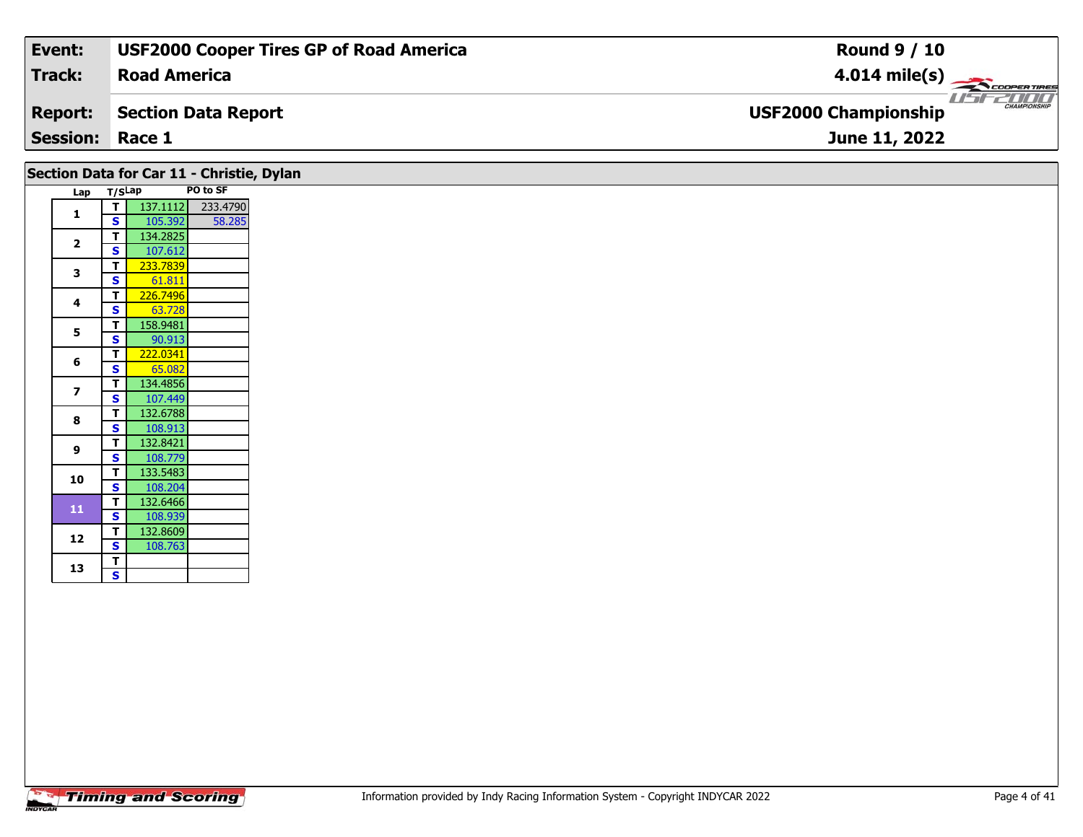| Event:<br><b>USF2000 Cooper Tires GP of Road America</b> | <b>Round 9 / 10</b>                                |
|----------------------------------------------------------|----------------------------------------------------|
| Track:<br><b>Road America</b>                            | $4.014 \text{ mile(s)}$                            |
| <b>Report:</b><br>Section Data Report                    | <b>CHAMPIONSHIP</b><br><b>USF2000 Championship</b> |
| <b>Session: Race 1</b>                                   | June 11, 2022                                      |

#### Lap T/S<sup>Lap</sup> PO to SF **1 <sup>T</sup>** 137.1112 233.4790 **<sup>S</sup>** 105.392 58.285**2 <sup>T</sup>** 134.2825 **<sup>S</sup>** 107.612 **3 <sup>T</sup>** 233.7839 **<sup>S</sup>** 61.811**T** 226.7496 **4**63.728 **55 T** 158.9481 **6T** 222.0341<br>**S** 65.082 134.4856 **7T** 134.4856<br>**S** 107.449 **8 <sup>T</sup>** 132.6788 **<sup>S</sup>** 108.913 **<sup>T</sup>** 132.8421 **<sup>S</sup>** 108.779**9**108.779 **10 <sup>T</sup>** 133.5483 **<sup>S</sup>** 108.204 **<sup>T</sup>** 132.6466 **<sup>S</sup>** 108.939**11**108.939 **12 <sup>T</sup>** 132.8609 **<sup>S</sup>** 108.763108.763 13  $\frac{1}{s}$  $\overline{\mathbf{s}}$ **Section Data for Car 11 - Christie, Dylan**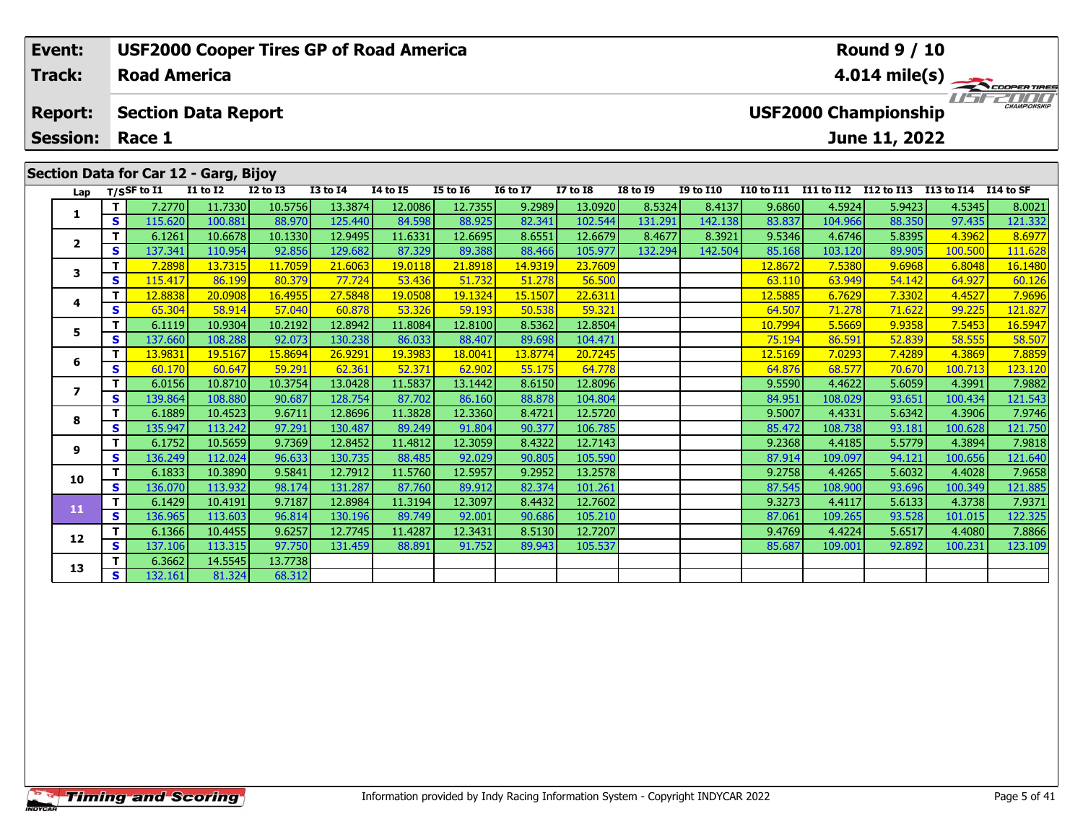| Event:          |     |                     |                                       | <b>USF2000 Cooper Tires GP of Road America</b> |                 |                 |                 |                 |                 |                 |                  |                   |                             | <b>Round 9 / 10</b> |            |                            |
|-----------------|-----|---------------------|---------------------------------------|------------------------------------------------|-----------------|-----------------|-----------------|-----------------|-----------------|-----------------|------------------|-------------------|-----------------------------|---------------------|------------|----------------------------|
| <b>Track:</b>   |     | <b>Road America</b> |                                       |                                                |                 |                 |                 |                 |                 |                 |                  |                   |                             |                     |            | $4.014 \text{ mile(s)}$    |
| <b>Report:</b>  |     |                     | <b>Section Data Report</b>            |                                                |                 |                 |                 |                 |                 |                 |                  |                   | <b>USF2000 Championship</b> |                     |            | <b>DDD</b><br>CHAMPIONSHIP |
| <b>Session:</b> |     | Race 1              |                                       |                                                |                 |                 |                 |                 |                 |                 |                  |                   |                             | June 11, 2022       |            |                            |
|                 |     |                     | Section Data for Car 12 - Garg, Bijoy |                                                |                 |                 |                 |                 |                 |                 |                  |                   |                             |                     |            |                            |
| Lap             |     | T/SSF to $I1$       | <b>I1 to I2</b>                       | <b>I2 to I3</b>                                | <b>I3 to I4</b> | <b>I4 to I5</b> | <b>I5 to 16</b> | <b>16 to 17</b> | <b>I7 to I8</b> | <b>I8 to 19</b> | <b>I9 to I10</b> | <b>I10 to I11</b> | <b>I11 to I12</b>           | I12 to I13          | I13 to I14 | I14 to SF                  |
|                 |     | 7.2770              | 11.7330                               | 10.5756                                        | 13.3874         | 12.0086         | 12.7355         | 9.2989          | 13.0920         | 8.5324          | 8.4137           | 9.6860            | 4.5924                      | 5.9423              | 4.5345     | 8.0021                     |
|                 | s l | 115.620             | 100.881                               | 88,970                                         | 125.440         | 84.598          | 88.925          | 82.341          | 102.544         | 131.291         | 142.138          | 83.837            | 104.966                     | 88.350              | 97.435     | 121.332                    |
| $\overline{2}$  |     | 6.1261              | 10.6678                               | 10.1330                                        | 12.9495         | 11.6331         | 12.6695         | 8.6551          | 12.6679         | 8.4677          | 8.3921           | 9.5346            | 4.6746                      | 5.8395              | 4.3962     | 8.6977                     |
|                 | s l | 137.341             | 110.954                               | 92.856                                         | 129.682         | 87.329          | 89.388          | 88.466          | 105.977         | 132.294         | 142.504          | 85.168            | 103.120                     | 89.905              | 100.500    | 111.628                    |
|                 |     | 7.2898              | 13.7315                               | 11.7059                                        | 21,6063         | 19.0118         | 21.8918         | 14.9319         | 23.7609         |                 |                  | 12.8672           | 7.5380                      | 9.6968              | 6.8048     | 16.1480                    |

|    | S. | 137.341 | 110.954 | 92.8561 | 129.6821 | 87.329               | 89.388  | 88.4661 | 105.977 | 132.2941 | 142.504 | 85.1681 | 103.120 | 89.905 | 100.500 | 111.628 |
|----|----|---------|---------|---------|----------|----------------------|---------|---------|---------|----------|---------|---------|---------|--------|---------|---------|
|    |    | 7.2898  | 13.7315 | 11.7059 | 21.6063  | 19.0118              | 21.8918 | 14.9319 | 23.7609 |          |         | 12.8672 | 7.5380  | 9.6968 | 6.8048  | 16.1480 |
|    | s  | 115.417 | 86.199  | 80.379  | 77.724   | 53.436               | 51.732  | 51.278  | 56.500  |          |         | 63.110  | 63.949  | 54.142 | 64.927  | 60.126  |
|    |    | 12.8838 | 20.0908 | 16.4955 | 27.5848  | <mark>19.0508</mark> | 19.1324 | 15.1507 | 22.6311 |          |         | 12.5885 | 6.7629  | 7.3302 | 4.4527  | 7.9696  |
|    | S  | 65.304  | 58.914  | 57.040  | 60.878   | 53.326               | 59.193  | 50.538  | 59.321  |          |         | 64.507  | 71.278  | 71.622 | 99.225  | 121.827 |
|    |    | 6.1119  | 10.9304 | 10.2192 | 12.8942  | 11.8084              | 12.8100 | 8.5362  | 12.8504 |          |         | 10.7994 | 5.5669  | 9.9358 | 7.5453  | 16.5947 |
|    | S. | 137.660 | 108.288 | 92.073  | 130.238  | 86.033               | 88.407  | 89.698  | 104.471 |          |         | 75.194  | 86.591  | 52.839 | 58.555  | 58.507  |
|    |    | 13.9831 | 19.5167 | 15.8694 | 26.9291  | 19.3983              | 18.0041 | 13.8774 | 20.7245 |          |         | 12.5169 | 7.0293  | 7.4289 | 4.3869  | 7.8859  |
|    | s  | 60.170  | 60.647  | 59.291  | 62.361   | 52.371               | 62.902  | 55.175  | 64.778  |          |         | 64.876  | 68.577  | 70.670 | 100.713 | 123.120 |
|    |    | 6.0156  | 10.8710 | 10.3754 | 13.0428  | 11.5837              | 13.1442 | 8.6150  | 12.8096 |          |         | 9.5590  | 4.4622  | 5.6059 | 4.3991  | 7.9882  |
|    | S. | 139.864 | 108.880 | 90.687  | 128.754  | 87.702               | 86.160  | 88.878  | 104.804 |          |         | 84.951  | 108.029 | 93.651 | 100.434 | 121.543 |
| 8  |    | 6.1889  | 10.4523 | 9.6711  | 12.8696  | 11.3828              | 12.3360 | 8.4721  | 12.5720 |          |         | 9.5007  | 4.4331  | 5.6342 | 4.3906  | 7.9746  |
|    | S. | 135.947 | 113.242 | 97.291  | 130.487  | 89.249               | 91.804  | 90.377  | 106.785 |          |         | 85.472  | 108.738 | 93.181 | 100.628 | 121.750 |
| 9  |    | 6.1752  | 10.5659 | 9.7369  | 12.8452  | 11.4812              | 12.3059 | 8.4322  | 12.7143 |          |         | 9.2368  | 4.4185  | 5.5779 | 4.3894  | 7.9818  |
|    | S  | 136.249 | 112.024 | 96.633  | 130.735  | 88.485               | 92.029  | 90.805  | 105.590 |          |         | 87.914  | 109.097 | 94.121 | 100.656 | 121.640 |
| 10 |    | 6.1833  | 10.3890 | 9.5841  | 12.7912  | 11.5760              | 12.5957 | 9.2952  | 13.2578 |          |         | 9.2758  | 4.4265  | 5.6032 | 4.4028  | 7.9658  |
|    | S. | 136.070 | 113.932 | 98.174  | 131.287  | 87.760               | 89.912  | 82.374  | 101.261 |          |         | 87.545  | 108.900 | 93.696 | 100.349 | 121.885 |
| 11 |    | 6.1429  | 10.4191 | 9.7187  | 12.8984  | 11.3194              | 12.3097 | 8.4432  | 12.7602 |          |         | 9.3273  | 4.4117  | 5.6133 | 4.3738  | 7.9371  |
|    | S. | 136.965 | 113.603 | 96.814  | 130.196  | 89.749               | 92.001  | 90.686  | 105.210 |          |         | 87.061  | 109.265 | 93.528 | 101.015 | 122.325 |
| 12 |    | 6.1366  | 10.4455 | 9.6257  | 12.7745  | 11.4287              | 12.3431 | 8.5130  | 12.7207 |          |         | 9.4769  | 4.4224  | 5.6517 | 4.4080  | 7.8866  |
|    | S. | 137.106 | 113.315 | 97.750  | 131.459  | 88.891               | 91.752  | 89.943  | 105.537 |          |         | 85.687  | 109.001 | 92.892 | 100.231 | 123.109 |
| 13 |    | 6.3662  | 14.5545 | 13.7738 |          |                      |         |         |         |          |         |         |         |        |         |         |
|    | S. | 132.161 | 81.324  | 68.312  |          |                      |         |         |         |          |         |         |         |        |         |         |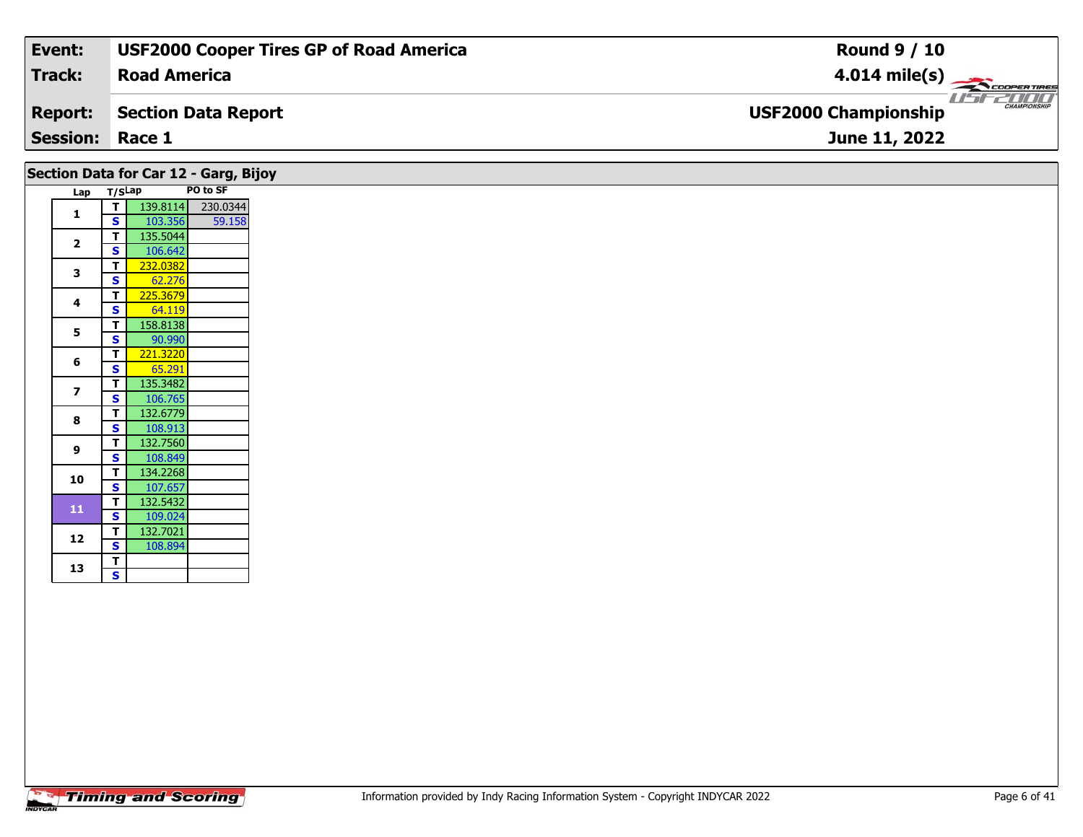| Event:                 | <b>USF2000 Cooper Tires GP of Road America</b> | <b>Round 9 / 10</b>                                |
|------------------------|------------------------------------------------|----------------------------------------------------|
| Track:                 | <b>Road America</b>                            | $4.014 \text{ mile(s)}$                            |
| <b>Report:</b>         | Section Data Report                            | <b>CHAMPIONSHIP</b><br><b>USF2000 Championship</b> |
| <b>Session: Race 1</b> |                                                | June 11, 2022                                      |
|                        |                                                |                                                    |

| Lap T/SLap              |                                         |                     | PO to SF |
|-------------------------|-----------------------------------------|---------------------|----------|
| 1                       | T                                       | 139.8114            | 230.0344 |
|                         | <b>S</b>                                | 103.356             | 59.158   |
| $\mathbf{2}$            | T.                                      | 135.5044            |          |
|                         | $\mathbf{s}$                            | 106.642             |          |
| 3                       | T                                       | 232.0382            |          |
|                         | S                                       | 62.276              |          |
| 4                       | T.                                      | 225.3679            |          |
|                         | S                                       | 64.119              |          |
| 5                       | T.                                      | 158.8138            |          |
|                         | $\mathbf{s}$                            | 90.990              |          |
| 6                       | T                                       | 221.3220            |          |
|                         | S                                       | 65.291              |          |
| $\overline{\mathbf{z}}$ | T.                                      | 135.3482            |          |
|                         | S.                                      | 106.765             |          |
| 8                       | T.                                      | 132.6779            |          |
|                         | <b>S</b>                                | 108.913             |          |
| 9                       | T.                                      | 132.7560            |          |
|                         | <b>S</b>                                | 108.849             |          |
| 10                      | T.                                      | 134.2268            |          |
|                         | <b>S</b>                                | 107.657             |          |
| ${\bf 11}$              | $\mathbf{T}$<br>$\overline{\mathbf{s}}$ | 132.5432            |          |
|                         | T.                                      | 109.024<br>132.7021 |          |
| 12                      | S.                                      | 108.894             |          |
|                         | T                                       |                     |          |
| 13                      | $\overline{\mathbf{s}}$                 |                     |          |
|                         |                                         |                     |          |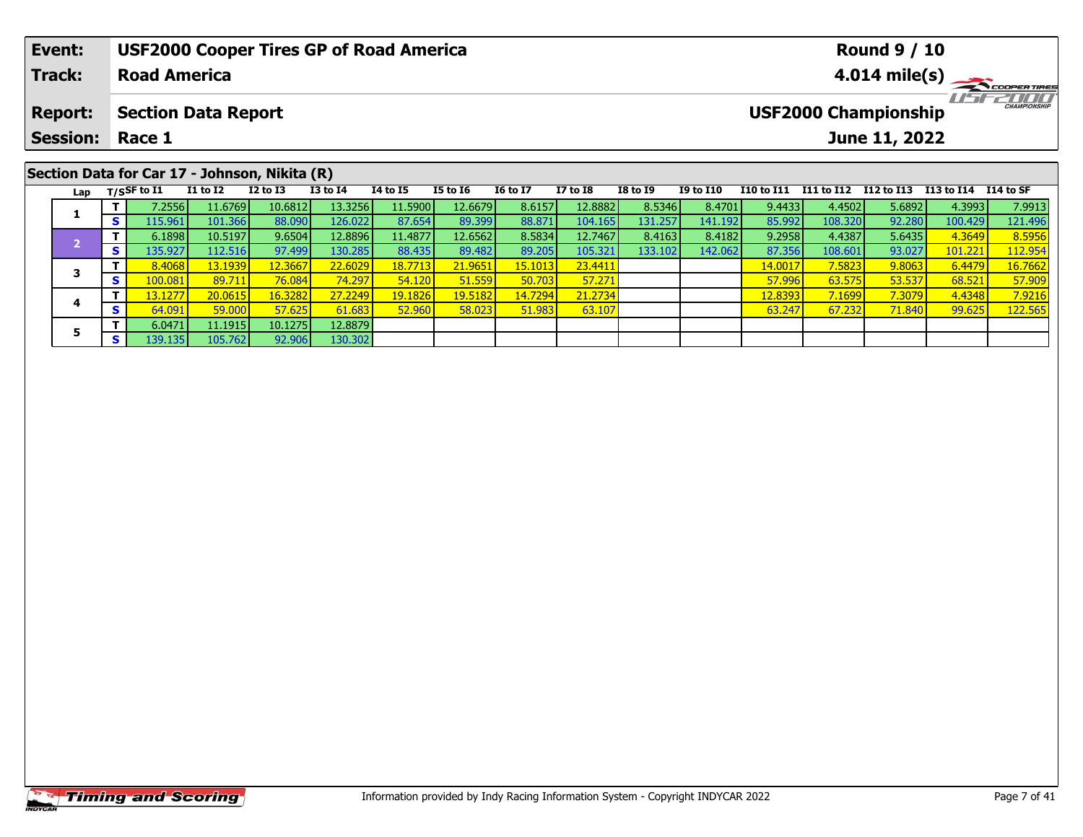|                                      | Event:          |  |                                 |                                               |                 |                 | <b>USF2000 Cooper Tires GP of Road America</b> |                 |                 |                 |                 |                         |            |            | <b>Round 9 / 10</b>         |                      |                         |  |  |
|--------------------------------------|-----------------|--|---------------------------------|-----------------------------------------------|-----------------|-----------------|------------------------------------------------|-----------------|-----------------|-----------------|-----------------|-------------------------|------------|------------|-----------------------------|----------------------|-------------------------|--|--|
| <b>Track:</b><br><b>Road America</b> |                 |  |                                 |                                               |                 |                 |                                                |                 |                 |                 |                 | $4.014 \text{ mile(s)}$ |            |            |                             |                      |                         |  |  |
|                                      | <b>Report:</b>  |  |                                 | <b>Section Data Report</b>                    |                 |                 |                                                |                 |                 |                 |                 |                         |            |            | <b>USF2000 Championship</b> |                      | <b>THE CHAMPIONSHIP</b> |  |  |
|                                      | <b>Session:</b> |  | Race 1                          |                                               |                 |                 |                                                |                 |                 |                 |                 |                         |            |            | June 11, 2022               |                      |                         |  |  |
|                                      |                 |  |                                 | Section Data for Car 17 - Johnson, Nikita (R) |                 |                 |                                                |                 |                 |                 |                 |                         |            |            |                             |                      |                         |  |  |
|                                      |                 |  | Lap $T/S$ SF to $\overline{11}$ | $I1$ to $I2$                                  | <b>I2 to I3</b> | <b>I3 to I4</b> | <b>I4 to I5</b>                                | <b>I5 to 16</b> | <b>16 to 17</b> | <b>I7 to I8</b> | <b>I8 to I9</b> | <b>I9 to I10</b>        | I10 to I11 | I11 to I12 | I12 to I13                  | I13 to I14 I14 to SF |                         |  |  |
|                                      |                 |  | 7.2556                          | 11.6769                                       | 10.6812         | 13.3256         | 11.5900                                        | 12.6679         | 8.6157          | 12.8882         | 8.5346          | 8.4701                  | 9.4433     | 4.4502     | 5.6892                      | 4.3993               | 7.9913                  |  |  |
|                                      |                 |  | 115.961                         | 101.366                                       | 88.090          | 126.022         | 87.654                                         | 89.399          | 88.871          | 104.165         | 131.257         | 141.192                 | 85.992     | 108.320    | 92.280                      | 100.429              | 121.496                 |  |  |

– 1 6.1898| 10.5197| 9.6504| 12.8896| 11.4877| 12.6562| 8.5834| 12.7467| 8.4163| 8.4182| 9.2958| 4.4387| 5.6435| 4.3649| 8.5956<br>| 13.102.11.2.516| 97.499| 130.285| 88.435| 89.482| 89.205| 105.321| 133.102| 142.062| 87.356|

**<sup>T</sup>** 8.4068 13.1939 12.3667 22.6029 18.7713 21.9651 15.1013 23.4411 14.0017 7.5823 9.8063 6.4479 16.7662 **<sup>S</sup>** 100.081 89.711 76.084 74.297 54.120 51.559 50.703 57.271 57.996 63.575 53.537 68.521 57.909

**<sup>T</sup>** 13.1277 20.0615 16.3282 27.2249 19.1826 19.5182 14.7294 21.2734 12.8393 7.1699 7.3079 4.4348 7.9216 **<sup>S</sup>** 64.091 59.000 57.625 61.683 52.960 58.023 51.983 63.107 63.247 67.232 71.840 99.625 122.565

**3**

**4**

**5**

**<sup>T</sup>** 6.0471 11.1915 10.1275 12.8879 **<sup>S</sup>** 139.135 105.762 92.906 130.302

130.302

112.954

57.909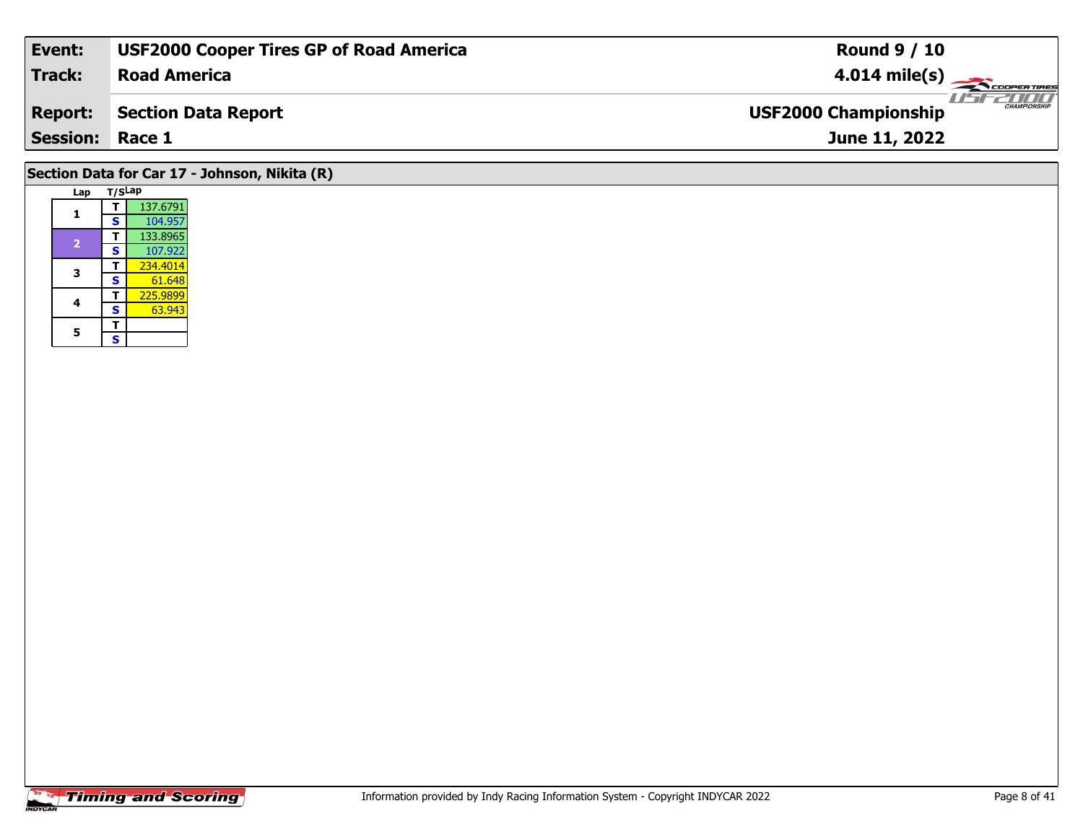| Event:                 | <b>USF2000 Cooper Tires GP of Road America</b> | <b>Round 9 / 10</b>                         |
|------------------------|------------------------------------------------|---------------------------------------------|
| Track:                 | <b>Road America</b>                            | $4.014 \text{ mile(s)}$                     |
| <b>Report:</b>         | Section Data Report                            | CHAMPIONSHIP<br><b>USF2000 Championship</b> |
| <b>Session: Race 1</b> |                                                | June 11, 2022                               |
|                        |                                                |                                             |

## **Lap T/SLap 1 <sup>T</sup>** 137.6791 **<sup>S</sup>** 104.957133.8965 **<sup>T</sup>** 133.8965 **<sup>S</sup>** 107.922 **3T** 234.4014 **T** 225.9899<br>**S** 63.943 **4**63.943 5  $\frac{1}{s}$ **Section Data for Car 17 - Johnson, Nikita (R)**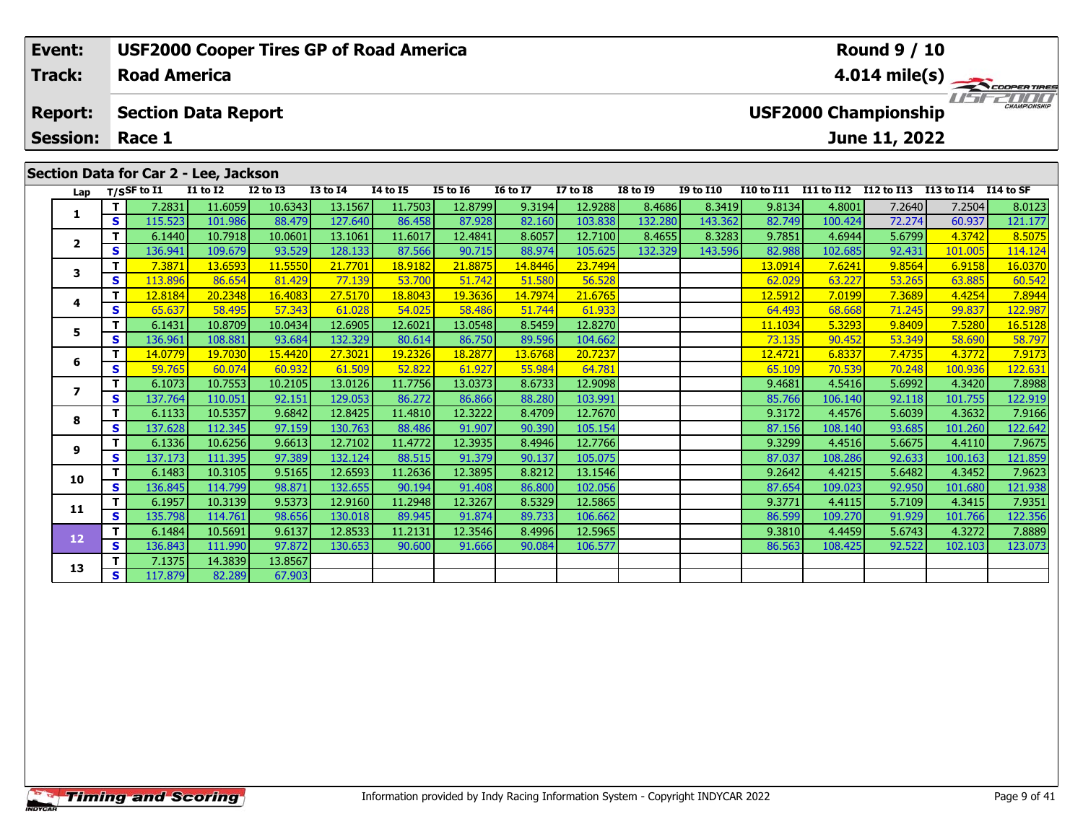| Event:          |     |                     |                                       | <b>USF2000 Cooper Tires GP of Road America</b> |              |          |                                                    |                         |                 |                 |                  |                   |            | <b>Round 9 / 10</b> |            |            |
|-----------------|-----|---------------------|---------------------------------------|------------------------------------------------|--------------|----------|----------------------------------------------------|-------------------------|-----------------|-----------------|------------------|-------------------|------------|---------------------|------------|------------|
| <b>Track:</b>   |     | <b>Road America</b> |                                       |                                                |              |          |                                                    | $4.014 \text{ mile(s)}$ |                 |                 |                  |                   |            |                     |            |            |
| <b>Report:</b>  |     |                     | <b>Section Data Report</b>            |                                                |              |          | <b>CHAMPIONSHIP</b><br><b>USF2000 Championship</b> |                         |                 |                 |                  |                   |            |                     |            |            |
| <b>Session:</b> |     | Race 1              |                                       |                                                |              |          |                                                    |                         |                 |                 |                  |                   |            | June 11, 2022       |            |            |
|                 |     |                     | Section Data for Car 2 - Lee, Jackson |                                                |              |          |                                                    |                         |                 |                 |                  |                   |            |                     |            |            |
| Lap             |     | $T/S$ SF to I1      | <b>I1 to I2</b>                       | $I2$ to $I3$                                   | $I3$ to $I4$ | 14 to 15 | <b>I5 to 16</b>                                    | <b>16 to 17</b>         | <b>I7 to I8</b> | <b>I8 to I9</b> | <b>I9 to I10</b> | <b>I10 to I11</b> | I11 to I12 | I12 to I13          | I13 to I14 | I 14 to SF |
|                 |     | 7.2831 l            | 11.6059                               | 10.6343                                        | 13.1567      | 11.7503  | 12.8799                                            | 9.3194                  | 12.9288         | 8.4686          | 8.3419           | 9.8134            | 4.8001     | 7.2640              | 7.2504     | 8.0123     |
|                 | S I | 115.523             | 101.986                               | 88.479                                         | 127.640      | 86.458   | 87.928                                             | 82.160                  | 103.838         | 132.280         | 143.362          | 82.749            | 100.424    | 72.274              | 60.937     | 121.177    |
|                 |     | 6.1440              | 10.7918                               | 10.0601                                        | 13.1061      | 11.6017  | 12.4841                                            | 8.6057                  | 12.7100         | 8.4655          | 8.3283           | 9.7851            | 4.6944     | 5.6799              | 4.3742     | 8.5075     |
| ◢               | s.  | 136.941 l           | 109.679                               | 93.529                                         | 128.133      | 87.566   | 90.715                                             | 88.974                  | 105.625         | 132.329         | 143.596          | 82.988            | 102.685    | 92.431              | 101.005    | 114.124    |

**<sup>T</sup>** 7.3871 13.6593 11.5550 21.7701 18.9182 21.8875 14.8446 23.7494 13.0914 7.6241 9.8564 6.9158 16.0370 **<sup>S</sup>** 113.896 86.654 81.429 77.139 53.700 51.742 51.580 56.528 62.029 63.227 53.265 63.885 60.542

**<sup>T</sup>** 12.8184 20.2348 16.4083 27.5170 18.8043 19.3636 14.7974 21.6765 12.5912 7.0199 7.3689 4.4254 7.8944 **<sup>S</sup>** 65.637 58.495 57.343 61.028 54.025 58.486 51.744 61.933 64.493 68.668 71.245 99.837 122.987

5 TT 6.1431 10.8709 10.0434 12.6905 12.6021 13.0548 8.5459 12.8270 11.1034 5.3293 9.8409 7.5280 16.5128<br>- S 136.961 108.881 93.684 132.329 80.614 86.750 89.596 104.662 73.135 90.452 53.349 58.690 58.797

**<sup>T</sup>** 14.0779 19.7030 15.4420 27.3021 19.2326 18.2877 13.6768 20.7237 12.4721 6.8337 7.4735 4.3772 7.9173 **<sup>S</sup>** 59.765 60.074 60.932 61.509 52.822 61.927 55.984 64.781 65.109 70.539 70.248 100.936 122.631

**<sup>T</sup>** 6.1073 10.7553 10.2105 13.0126 11.7756 13.0373 8.6733 12.9098 9.4681 4.5416 5.6992 4.3420 7.8988 **<sup>S</sup>** 137.764 110.051 92.151 129.053 86.272 86.866 88.280 103.991 85.766 106.140 92.118 101.755 122.919

**<sup>T</sup>** 6.1133 10.5357 9.6842 12.8425 11.4810 12.3222 8.4709 12.7670 9.3172 4.4576 5.6039 4.3632 7.9166 **<sup>S</sup>** 137.628 112.345 97.159 130.763 88.486 91.907 90.390 105.154 87.156 108.140 93.685 101.260 122.642

**<sup>T</sup>** 6.1336 10.6256 9.6613 12.7102 11.4772 12.3935 8.4946 12.7766 9.3299 4.4516 5.6675 4.4110 7.9675 **<sup>S</sup>** 137.173 111.395 97.389 132.124 88.515 91.379 90.137 105.075 87.037 108.286 92.633 100.163 121.859

**0 T| <sup>6.1483| 10.3105| 9.5165| 12.6593| 11.2636| 12.3895| 8.8212| 13.1546| | | | | 9.2642| 4.4215| 5.6482| 4.3452| 7.9623<br>S | 136.845| 114.799| 98.871| 132.655| 90.194| 91.408| 86.800| 102.056 | | | | | | | | | | | | | |**</sup>

**<sup>T</sup>** 6.1957 10.3139 9.5373 12.9160 11.2948 12.3267 8.5329 12.5865 9.3771 4.4115 5.7109 4.3415 7.9351 **<sup>S</sup>** 135.798 114.761 98.656 130.018 89.945 91.874 89.733 106.662 86.599 109.270 91.929 101.766 122.356

**<sup>T</sup>** 6.1484 10.5691 9.6137 12.8533 11.2131 12.3546 8.4996 12.5965 9.3810 4.4459 5.6743 4.3272 7.8889 **<sup>S</sup>** 136.843 111.990 97.872 130.653 90.600 91.666 90.084 106.577 86.563 108.425 92.522 102.103 123.073

**<sup>T</sup>** 7.1375 14.3839 13.8567 **<sup>S</sup>** 117.879 82.289 67.903

**3**

**4**

**5**

**6**

**7**

**8**

**9**

**10**

**11**

**12**

**13**

122.987

121.859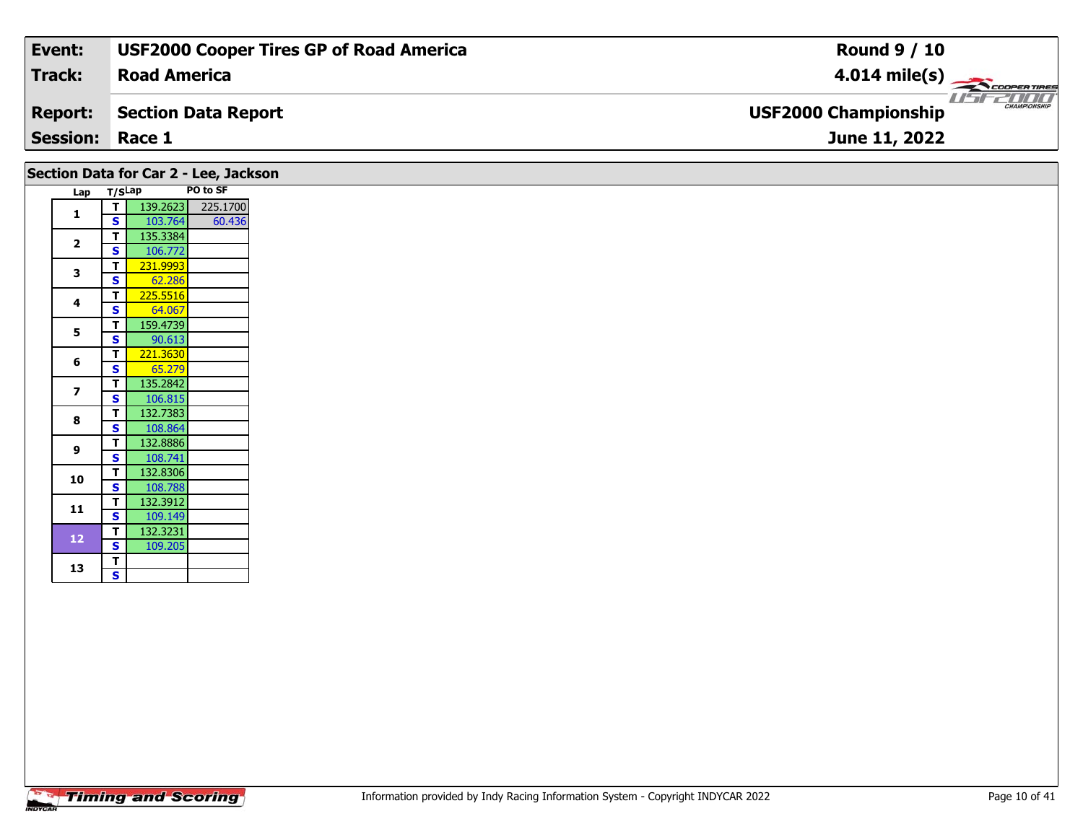| Event:                 | <b>USF2000 Cooper Tires GP of Road America</b> | <b>Round 9 / 10</b>                                |
|------------------------|------------------------------------------------|----------------------------------------------------|
| Track:                 | <b>Road America</b>                            | $4.014 \text{ mile(s)}$                            |
| <b>Report:</b>         | Section Data Report                            | <b>CHAMPIONSHIP</b><br><b>USF2000 Championship</b> |
| <b>Session: Race 1</b> |                                                | June 11, 2022                                      |
|                        |                                                |                                                    |

|                         |                         | Section Data for Car 2 - Lee, Jackson |
|-------------------------|-------------------------|---------------------------------------|
| Lap T/SLap              |                         | PO to SF                              |
| 1                       | τI                      | 139.2623<br>225.1700                  |
|                         | S                       | 103.764<br>60.436                     |
| $\overline{2}$          | T.                      | 135.3384                              |
|                         | $\mathbf{s}$<br>T.      | 106.772<br>231.9993                   |
| 3                       | $\overline{\mathbf{s}}$ | 62.286                                |
|                         | T.                      | 225.5516                              |
| 4                       | $\overline{\mathbf{s}}$ | 64.067                                |
|                         | T.                      | 159.4739                              |
| 5                       | $\overline{\mathbf{s}}$ | 90.613                                |
| 6                       | T.                      | 221.3630                              |
|                         | S                       | 65.279                                |
| $\overline{\mathbf{z}}$ | $\mathbf{T}$            | 135.2842                              |
|                         | $\mathbf{s}$            | 106.815                               |
| 8                       | $\mathbf{T}$            | 132.7383                              |
|                         | <b>S</b>                | 108.864                               |
| 9                       | T.                      | 132.8886                              |
|                         | <b>S</b>                | 108.741                               |
| 10                      | $\mathbf{T}$            | 132.8306                              |
|                         | $\mathbf{s}$            | 108.788                               |
| 11                      | T.<br>$\mathbf{s}$      | 132.3912<br>109.149                   |
|                         | $\mathbf{T}$            | 132.3231                              |
| 12 <sub>2</sub>         | S                       | 109.205                               |
|                         | T.                      |                                       |
| 13                      | $\overline{\mathbf{s}}$ |                                       |
|                         |                         |                                       |
|                         |                         |                                       |

Ξ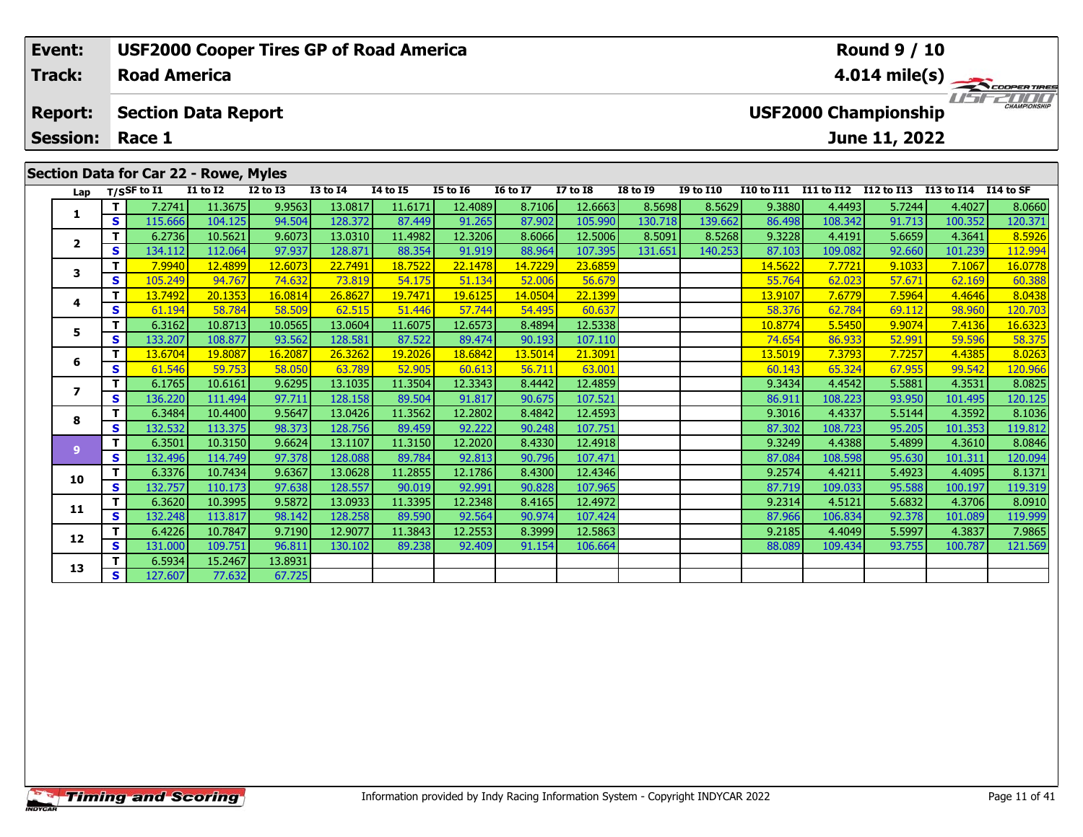| Event:                            |     |                                                                                      |                 | <b>USF2000 Cooper Tires GP of Road America</b> |              |                 |                 |                         |                 |                 |                  |                   |                   | <b>Round 9 / 10</b> |            |                     |
|-----------------------------------|-----|--------------------------------------------------------------------------------------|-----------------|------------------------------------------------|--------------|-----------------|-----------------|-------------------------|-----------------|-----------------|------------------|-------------------|-------------------|---------------------|------------|---------------------|
| <b>Track:</b>                     |     | <b>Road America</b>                                                                  |                 |                                                |              |                 |                 | $4.014 \text{ mile(s)}$ |                 |                 |                  |                   |                   |                     |            |                     |
| <b>Report:</b><br><b>Session:</b> |     | <b>USF2000 Championship</b><br><b>Section Data Report</b><br>Race 1<br>June 11, 2022 |                 |                                                |              |                 |                 |                         |                 |                 |                  |                   |                   |                     |            | <b>CHAMPIONSHIP</b> |
|                                   |     |                                                                                      |                 |                                                |              |                 |                 |                         |                 |                 |                  |                   |                   |                     |            |                     |
|                                   |     | Section Data for Car 22 - Rowe, Myles                                                |                 |                                                |              |                 |                 |                         |                 |                 |                  |                   |                   |                     |            |                     |
| Lap                               |     | $T/S$ SF to $I1$                                                                     | <b>I1 to I2</b> | $I2$ to $I3$                                   | $I3$ to $I4$ | <b>I4 to I5</b> | <b>I5 to 16</b> | <b>16 to 17</b>         | <b>I7 to I8</b> | <b>I8 to I9</b> | <b>I9 to I10</b> | <b>I10 to I11</b> | <b>I11 to I12</b> | I12 to I13          | I13 to I14 | I14 to SF           |
|                                   |     | 7.2741                                                                               | 11.3675         | 9.9563                                         | 13.0817      | 11.6171         | 12.4089         | 8.7106                  | 12.6663         | 8.5698          | 8.5629           | 9.3880            | 4.4493            | 5.7244              | 4.4027     | 8.0660              |
|                                   | S.  | 115.666                                                                              | 104.125         | 94.504                                         | 128.372      | 87.449          | 91.265          | 87.902                  | 105.990         | 130.718         | 139.662          | 86.498            | 108.342           | 91.713              | 100.352    | 120.371             |
| $\overline{2}$                    |     | 6.2736                                                                               | 10.5621         | 9.6073                                         | 13.0310      | 11.4982         | 12.3206         | 8.6066                  | 12.5006         | 8.5091          | 8.5268           | 9.3228            | 4.4191            | 5.6659              | 4.3641     | 8.5926              |
|                                   | S I | 134.112                                                                              | 112.064         | 97.937                                         | 128.871      | 88.354          | 91.919          | 88.964                  | 107.395         | 131.651         | 140.253          | 87.103            | 109.082           | 92.660              | 101.239    | 112.994             |
|                                   | - 1 | 70010                                                                                | 12.4000         | 12,022                                         | 22.7401      | 10.7522         | 22.122          | 1.47220                 | 2200            |                 |                  | $\overline{11}$   | 77724             | 0.1022              | 7.1007     | 100220              |

| Lap                      |    | T/SSF to I1 | <b>I1 to I2</b> | <b>I2 to I3</b> | <b>I3 to I4</b> | <b>I4 to I5</b> | <b>I5 to 16</b> | <b>16 to 17</b> | <b>I7 to I8</b> | <b>I8 to 19</b> | <b>I9 to I10</b> |         |         | I10 to I11 I11 to I12 I12 to I13 I13 to I14 I14 to SF |         |         |
|--------------------------|----|-------------|-----------------|-----------------|-----------------|-----------------|-----------------|-----------------|-----------------|-----------------|------------------|---------|---------|-------------------------------------------------------|---------|---------|
|                          | Τ. | 7.2741      | 11.3675         | 9.9563          | 13.0817         | 11.6171         | 12.4089         | 8.7106          | 12.6663         | 8.5698          | 8.5629           | 9.3880  | 4.4493  | 5.7244                                                | 4.4027  | 8.0660  |
|                          | S  | 115.666     | 104.125         | 94.504          | 128.372         | 87.449          | 91.265          | 87.902          | 105.990         | 130.718         | 139.662          | 86.498  | 108.342 | 91.713                                                | 100.352 | 120.371 |
| $\overline{\mathbf{2}}$  |    | 6.2736      | 10.5621         | 9.6073          | 13.0310         | 11.4982         | 12.3206         | 8.6066          | 12.5006         | 8.5091          | 8.5268           | 9.3228  | 4.4191  | 5.6659                                                | 4.3641  | 8.5926  |
|                          | S  | 134.112     | 112.064         | 97.937          | 128.871         | 88.354          | 91.919          | 88.964          | 107.395         | 131.651         | 140.253          | 87.103  | 109.082 | 92.660                                                | 101.239 | 112.994 |
| 3                        | Τ. | 7.9940      | 12.4899         | 12.6073         | 22.7491         | 18.7522         | 22.1478         | 14.7229         | 23.6859         |                 |                  | 14.5622 | 7.7721  | 9.1033                                                | 7.1067  | 16.0778 |
|                          | S  | 105.249     | 94.767          | 74.632          | 73.819          | 54.175          | 51.134          | 52.006          | 56.679          |                 |                  | 55.764  | 62.023  | 57.671                                                | 62.169  | 60.388  |
| 4                        | Τ. | 13.7492     | 20.1353         | 16.0814         | 26,8627         | 19.7471         | 19.6125         | 14.0504         | 22.1399         |                 |                  | 13.9107 | 7.6779  | 7.5964                                                | 4.4646  | 8.0438  |
|                          | S  | 61.194      | 58.784          | 58.509          | 62.515          | 51.446          | 57.744          | 54.495          | 60.637          |                 |                  | 58.376  | 62.784  | 69.112                                                | 98.960  | 120.703 |
| 5                        | T. | 6.3162      | 10.8713         | 10.0565         | 13.0604         | 11.6075         | 12.6573         | 8.4894          | 12.5338         |                 |                  | 10.8774 | 5.5450  | 9.9074                                                | 7.4136  | 16.6323 |
|                          | S  | 133.207     | 108.877         | 93.562          | 128.581         | 87.522          | 89.474          | 90.193          | 107.110         |                 |                  | 74.654  | 86.933  | 52.991                                                | 59.596  | 58.375  |
| 6                        |    | 13.6704     | 19,8087         | 16.2087         | 26.3262         | 19.2026         | 18.6842         | 13.5014         | 21.3091         |                 |                  | 13.5019 | 7.3793  | 7.7257                                                | 4.4385  | 8.0263  |
|                          | S  | 61.546      | 59.753          | 58.050          | 63.789          | 52.905          | 60.613          | 56.711          | 63.001          |                 |                  | 60.143  | 65.324  | 67.955                                                | 99.542  | 120.966 |
| $\overline{\phantom{a}}$ |    | 6.1765      | 10.6161         | 9.6295          | 13.1035         | 11.3504         | 12.3343         | 8.4442          | 12.4859         |                 |                  | 9.3434  | 4.4542  | 5.5881                                                | 4.3531  | 8.0825  |
|                          | S  | 136.220     | 111.494         | 97.711          | 128.158         | 89.504          | 91.817          | 90.675          | 107.521         |                 |                  | 86.911  | 108.223 | 93.950                                                | 101.495 | 120.125 |
| 8                        | T. | 6.3484      | 10.4400         | 9.5647          | 13.0426         | 11.3562         | 12.2802         | 8.4842          | 12.4593         |                 |                  | 9.3016  | 4.4337  | 5.5144                                                | 4.3592  | 8.1036  |
|                          | S  | 132.532     | 113.375         | 98.373          | 128.756         | 89.459          | 92.222          | 90.248          | 107.751         |                 |                  | 87.302  | 108.723 | 95.205                                                | 101.353 | 119.812 |
| 9                        | T. | 6.3501      | 10.3150         | 9.6624          | 13.1107         | 11.3150         | 12.2020         | 8.4330          | 12.4918         |                 |                  | 9.3249  | 4.4388  | 5.4899                                                | 4.3610  | 8.0846  |
|                          | S  | 132.496     | 114.749         | 97.378          | 128.088         | 89.784          | 92.813          | 90.796          | 107.471         |                 |                  | 87.084  | 108.598 | 95.630                                                | 101.311 | 120.094 |
| 10                       | Τ. | 6.3376      | 10.7434         | 9.6367          | 13.0628         | 11.2855         | 12.1786         | 8.4300          | 12.4346         |                 |                  | 9.2574  | 4.4211  | 5.4923                                                | 4.4095  | 8.1371  |
|                          | S. | 132.757     | 110.173         | 97.638          | 128.557         | 90.019          | 92.991          | 90.828          | 107.965         |                 |                  | 87.719  | 109.033 | 95.588                                                | 100.197 | 119.319 |
| 11                       | T. | 6.3620      | 10.3995         | 9.5872          | 13.0933         | 11.3395         | 12.2348         | 8.4165          | 12.4972         |                 |                  | 9.2314  | 4.5121  | 5.6832                                                | 4.3706  | 8.0910  |
|                          | S  | 132.248     | 113.817         | 98.142          | 128,258         | 89.590          | 92.564          | 90.974          | 107.424         |                 |                  | 87.966  | 106.834 | 92.378                                                | 101.089 | 119.999 |
| 12                       | T. | 6.4226      | 10.7847         | 9.7190          | 12.9077         | 11.3843         | 12.2553         | 8.3999          | 12.5863         |                 |                  | 9.2185  | 4.4049  | 5.5997                                                | 4.3837  | 7.9865  |
|                          | S  | 131.000     | 109.751         | 96.811          | 130.102         | 89.238          | 92.409          | 91.154          | 106.664         |                 |                  | 88.089  | 109.434 | 93.755                                                | 100.787 | 121.569 |
| 13                       |    | 6.5934      | 15.2467         | 13.8931         |                 |                 |                 |                 |                 |                 |                  |         |         |                                                       |         |         |
|                          | S  | 127.607     | 77.632          | 67.725          |                 |                 |                 |                 |                 |                 |                  |         |         |                                                       |         |         |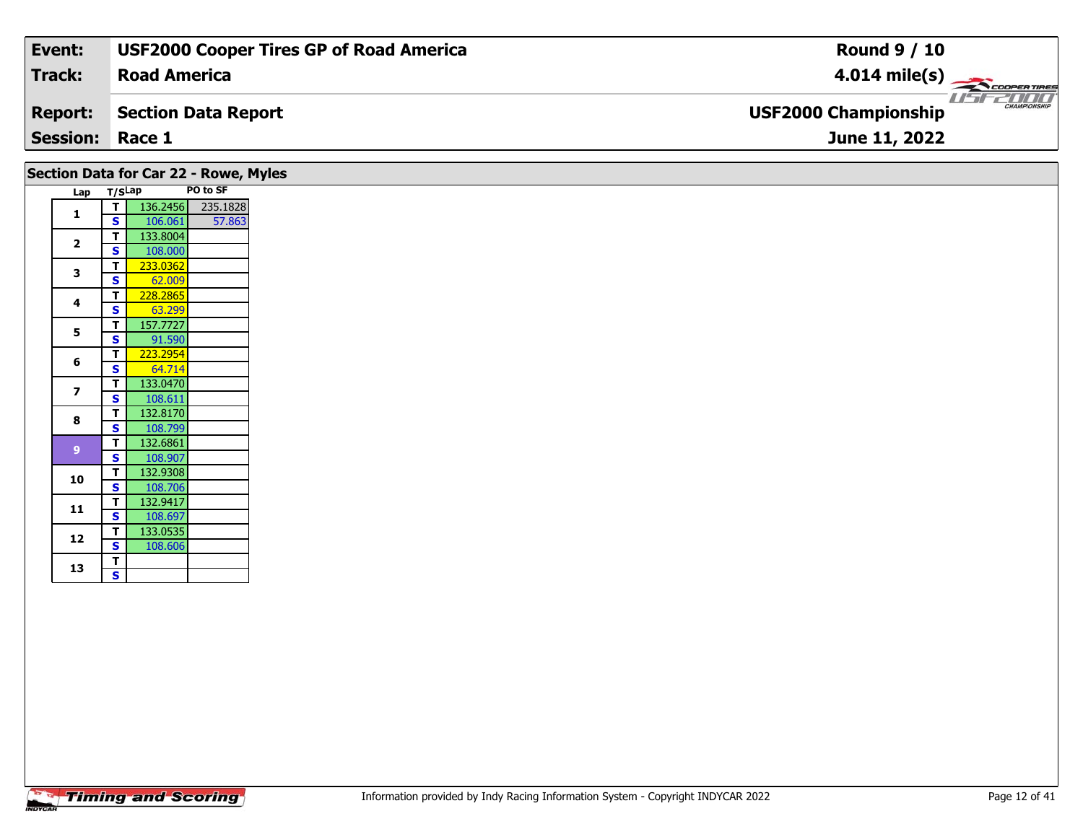| Event:                 | <b>USF2000 Cooper Tires GP of Road America</b> | <b>Round 9 / 10</b>                                |
|------------------------|------------------------------------------------|----------------------------------------------------|
| Track:                 | <b>Road America</b>                            | $4.014 \text{ mile(s)}$                            |
| <b>Report:</b>         | Section Data Report                            | <b>CHAMPIONSHIP</b><br><b>USF2000 Championship</b> |
| <b>Session: Race 1</b> |                                                | June 11, 2022                                      |
|                        |                                                |                                                    |

| Section Data for Car 22 - Rowe, Myles |                         |          |          |
|---------------------------------------|-------------------------|----------|----------|
| Lap                                   | T/SLap                  |          | PO to SF |
| 1                                     | T                       | 136.2456 | 235.1828 |
|                                       | <b>S</b>                | 106.061  | 57.863   |
| $\mathbf{2}$                          | т                       | 133.8004 |          |
|                                       | S                       | 108.000  |          |
| 3                                     | T.                      | 233.0362 |          |
|                                       | $\mathbf{s}$            | 62.009   |          |
|                                       | т                       | 228.2865 |          |
| 4                                     | <b>S</b>                | 63.299   |          |
|                                       | т                       | 157.7727 |          |
| 5                                     | S                       | 91.590   |          |
|                                       | T                       | 223.2954 |          |
| 6                                     | S                       | 64.714   |          |
|                                       | T.                      | 133.0470 |          |
| 7                                     | $\mathbf{s}$            | 108.611  |          |
|                                       | т                       | 132.8170 |          |
| 8                                     | S                       | 108.799  |          |
|                                       | T                       | 132.6861 |          |
| 9 <sup>°</sup>                        | S                       | 108.907  |          |
|                                       | T                       | 132.9308 |          |
| 10                                    | $\mathbf{s}$            | 108.706  |          |
|                                       | т                       | 132.9417 |          |
| 11                                    | S                       | 108.697  |          |
|                                       | T                       | 133.0535 |          |
| 12                                    | S                       | 108.606  |          |
|                                       |                         |          |          |
| 13                                    | т                       |          |          |
|                                       | $\overline{\mathbf{s}}$ |          |          |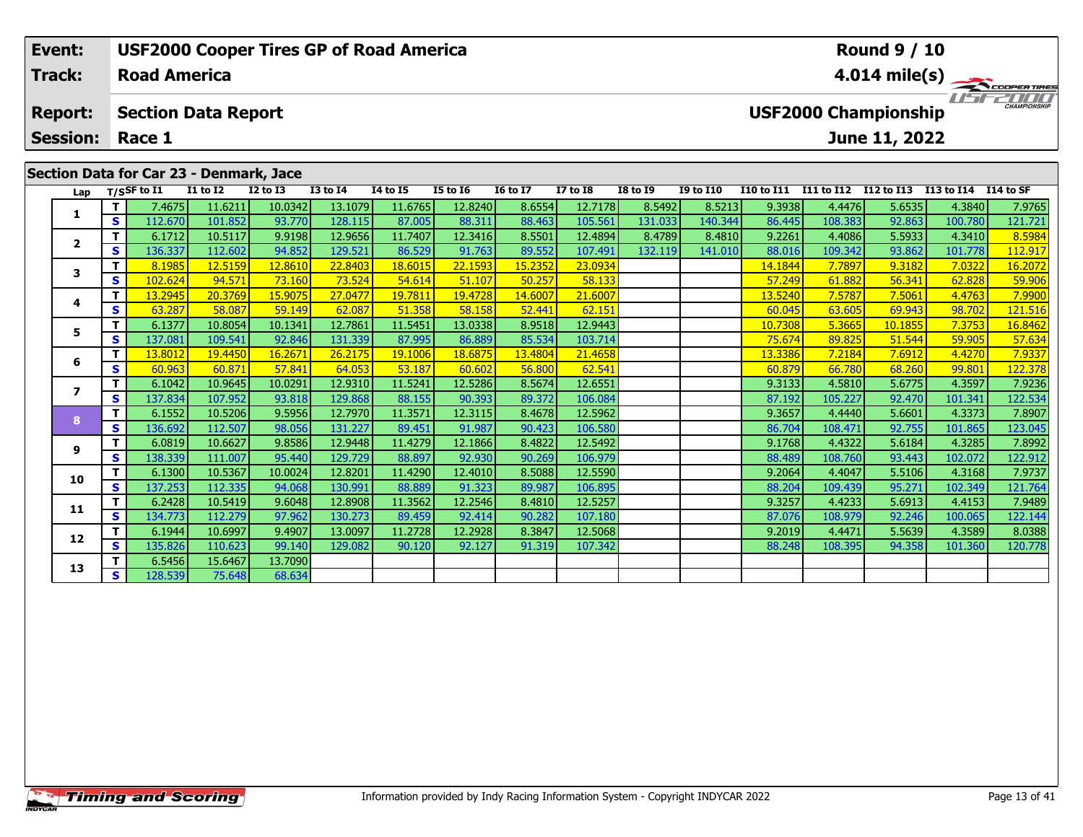| Event:          |     |                     |                                         | <b>USF2000 Cooper Tires GP of Road America</b> |                 |                 |                                                    |                 |                 |                 |                  |                   |                   | <b>Round 9 / 10</b> |            |            |
|-----------------|-----|---------------------|-----------------------------------------|------------------------------------------------|-----------------|-----------------|----------------------------------------------------|-----------------|-----------------|-----------------|------------------|-------------------|-------------------|---------------------|------------|------------|
| <b>Track:</b>   |     | <b>Road America</b> |                                         |                                                |                 |                 | $4.014 \text{ mile(s)}$                            |                 |                 |                 |                  |                   |                   |                     |            |            |
| <b>Report:</b>  |     |                     | <b>Section Data Report</b>              |                                                |                 |                 | <b>CHAMPIONSHIP</b><br><b>USF2000 Championship</b> |                 |                 |                 |                  |                   |                   |                     |            |            |
| <b>Session:</b> |     | Race 1              |                                         |                                                |                 |                 |                                                    |                 |                 | June 11, 2022   |                  |                   |                   |                     |            |            |
|                 |     |                     | Section Data for Car 23 - Denmark, Jace |                                                |                 |                 |                                                    |                 |                 |                 |                  |                   |                   |                     |            |            |
| Lap             |     | T/SSF to I1         | <b>I1 to I2</b>                         | $I2$ to $I3$                                   | <b>I3 to I4</b> | <b>I4 to I5</b> | <b>I5 to 16</b>                                    | <b>I6 to I7</b> | <b>I7 to I8</b> | <b>I8 to I9</b> | <b>I9 to I10</b> | <b>I10 to I11</b> | <b>I11 to I12</b> | I12 to I13          | I13 to I14 | I 14 to SF |
|                 |     | 7.4675 <b>1</b>     | 11.6211                                 | 10.0342                                        | 13.1079         | 11.6765         | 12.8240                                            | 8.6554          | 12.7178         | 8.5492          | 8.5213           | 9.3938            | 4.4476            | 5.6535              | 4.3840     | 7.9765     |
|                 | s l | 112.670             | 101.852                                 | 93.770                                         | 128.115         | 87.005          | 88.311                                             | 88.463          | 105.561         | 131.033         | 140.344          | 86.445            | 108.383           | 92.863              | 100.780    | 121.721    |
|                 |     | 6.1712              | 10.5117                                 | 9.9198                                         | 12.9656         | 11.7407         | 12.3416                                            | 8.5501          | 12.4894         | 8.4789          | 8.4810           | 9.2261            | 4.4086            | 5.5933              | 4.3410     | 8.5984     |
| $\overline{2}$  |     | 136.3371            | 112.602                                 | 94.852                                         | 129.521         | 86.529          | 91.763                                             | 89.552          | 107.491         | 132.119         | 141.010          | 88.016            | 109.342           | 93.862              | 101.778    | 112.917    |

**<sup>T</sup>** 8.1985 12.5159 12.8610 22.8403 18.6015 22.1593 15.2352 23.0934 14.1844 7.7897 9.3182 7.0322 16.2072 **<sup>S</sup>** 102.624 94.571 73.160 73.524 54.614 51.107 50.257 58.133 57.249 61.882 56.341 62.828 59.906

**<sup>T</sup>** 13.2945 20.3769 15.9075 27.0477 19.7811 19.4728 14.6007 21.6007 13.5240 7.5787 7.5061 4.4763 7.9900 **<sup>S</sup>** 63.287 58.087 59.149 62.087 51.358 58.158 52.441 62.151 60.045 63.605 69.943 98.702 121.516

5 **T** 6.1377 10.8054 10.1341 12.7861 11.5451 13.0338 8.9518 12.9443 10.7308 10.7308 5.3665 10.1855 7.3753 16.8462<br>5 S 137.081 109.541 92.846 131.339 87.995 86.889 85.534 103.714 75.674 89.825 51.544 59.905 57.634

**<sup>T</sup>** 13.8012 19.4450 16.2671 26.2175 19.1006 18.6875 13.4804 21.4658 13.3386 7.2184 7.6912 4.4270 7.9337 **<sup>S</sup>** 60.963 60.871 57.841 64.053 53.187 60.602 56.800 62.541 60.879 66.780 68.260 99.801 122.378

**<sup>T</sup>** 6.1042 10.9645 10.0291 12.9310 11.5241 12.5286 8.5674 12.6551 9.3133 4.5810 5.6775 4.3597 7.9236 **<sup>S</sup>** 137.834 107.952 93.818 129.868 88.155 90.393 89.372 106.084 87.192 105.227 92.470 101.341 122.534

**<sup>T</sup>** 6.1552 10.5206 9.5956 12.7970 11.3571 12.3115 8.4678 12.5962 9.3657 4.4440 5.6601 4.3373 7.8907 **<sup>S</sup>** 136.692 112.507 98.056 131.227 89.451 91.987 90.423 106.580 86.704 108.471 92.755 101.865 123.045

**<sup>T</sup>** 6.0819 10.6627 9.8586 12.9448 11.4279 12.1866 8.4822 12.5492 9.1768 4.4322 5.6184 4.3285 7.8992 **<sup>S</sup>** 138.339 111.007 95.440 129.729 88.897 92.930 90.269 106.979 88.489 108.760 93.443 102.072 122.912

**<sup>T</sup>** 6.1300 10.5367 10.0024 12.8201 11.4290 12.4010 8.5088 12.5590 9.2064 4.4047 5.5106 4.3168 7.9737 **<sup>S</sup>** 137.253 112.335 94.068 130.991 88.889 91.323 89.987 106.895 88.204 109.439 95.271 102.349 121.764

**<sup>T</sup>** 6.2428 10.5419 9.6048 12.8908 11.3562 12.2546 8.4810 12.5257 9.3257 4.4233 5.6913 4.4153 7.9489 **<sup>S</sup>** 134.773 112.279 97.962 130.273 89.459 92.414 90.282 107.180 87.076 108.979 92.246 100.065 122.144

1 1 6.1944| 10.6997| 9.4907| 13.0097| 11.2728| 12.2928| 8.3847| 12.5068| | | | | | 9.2019| 4.4471| 5.5639| 4.3589| 8.0388<br>| S 135.826 110.623| 99.140 129.082| 90.120| 92.127| 91.319| 107.342 | | | | | | | | | | | | | | |

**<sup>T</sup>** 6.5456 15.6467 13.7090 **<sup>S</sup>** 128.539 75.648 68.634

**3**

**4**

**5**

**6**

**7**

**8**

**9**

**10**

**11**

**12**

**13**

121.516

122.912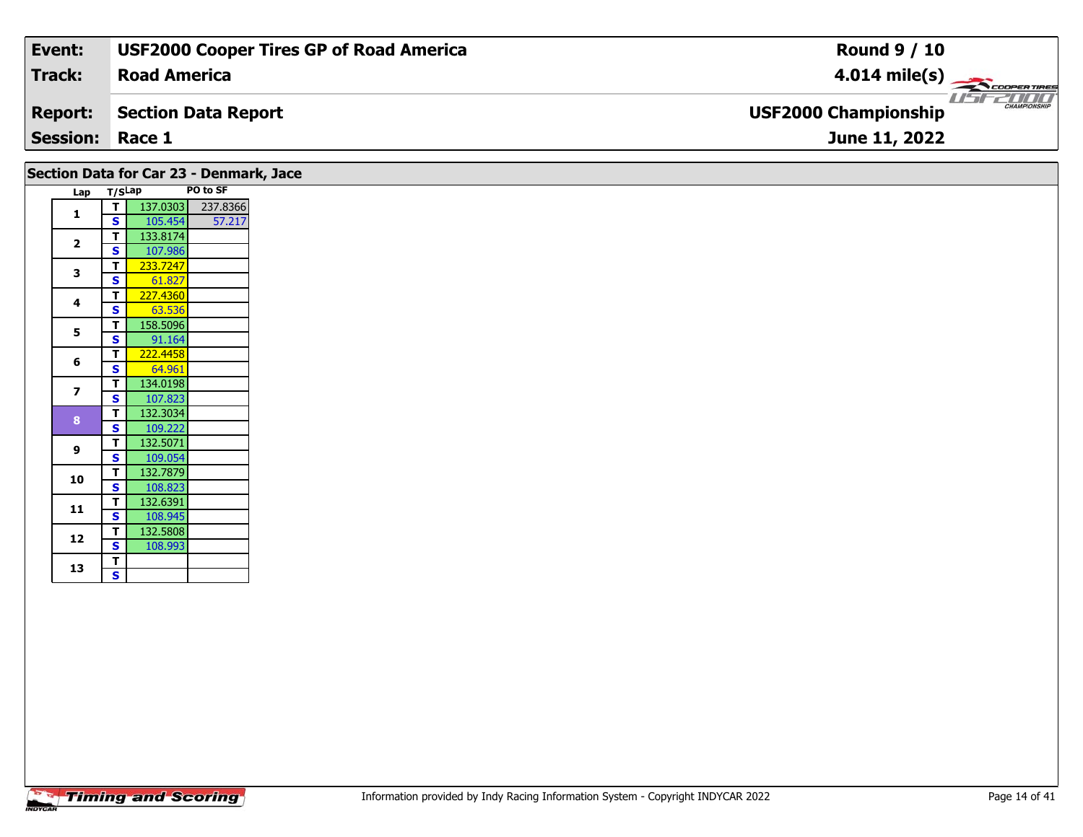| Event:                 | <b>USF2000 Cooper Tires GP of Road America</b> | <b>Round 9 / 10</b>                                |
|------------------------|------------------------------------------------|----------------------------------------------------|
| Track:                 | <b>Road America</b>                            | $4.014 \text{ mile(s)}$                            |
| <b>Report:</b>         | Section Data Report                            | <b>CHAMPIONSHIP</b><br><b>USF2000 Championship</b> |
| <b>Session: Race 1</b> |                                                | June 11, 2022                                      |

|                          | Lap T/SLap   | Section Data for Car 23 - Denmark, Jace | PO to SF |
|--------------------------|--------------|-----------------------------------------|----------|
|                          | $\mathbf{T}$ | 137.0303                                | 237.8366 |
| $\mathbf{1}$             | <b>S</b>     | 105.454                                 | 57.217   |
|                          | $\mathbf{T}$ | 133.8174                                |          |
| 2                        | <b>S</b>     | 107.986                                 |          |
|                          | $\mathbf{T}$ | 233.7247                                |          |
| 3                        | S            | 61.827                                  |          |
|                          | $\mathbf{T}$ | 227.4360                                |          |
| 4                        | $\mathbf{s}$ | 63.536                                  |          |
|                          | т            |                                         |          |
| 5                        |              | 158.5096                                |          |
|                          | S            | 91.164                                  |          |
| 6                        | $\mathbf{T}$ | 222.4458                                |          |
|                          | S            | 64.961                                  |          |
| $\overline{\phantom{a}}$ | $\mathbf{T}$ | 134.0198                                |          |
|                          | $\mathbf{s}$ | 107.823                                 |          |
| 8                        | $\mathbf{T}$ | 132.3034                                |          |
|                          | <b>S</b>     | 109.222                                 |          |
| 9                        | $\mathbf{T}$ | 132.5071                                |          |
|                          | <b>S</b>     | 109.054                                 |          |
| 10                       | $\mathbf{T}$ | 132.7879                                |          |
|                          | $\mathbf{s}$ | 108.823                                 |          |
| 11                       | T            | 132.6391                                |          |
|                          | $\mathbf{s}$ | 108.945                                 |          |
| 12                       | $\mathbf{T}$ | 132.5808                                |          |
|                          | S            | 108.993                                 |          |
| 13                       | $\mathbf{T}$ |                                         |          |
|                          | $\mathbf{s}$ |                                         |          |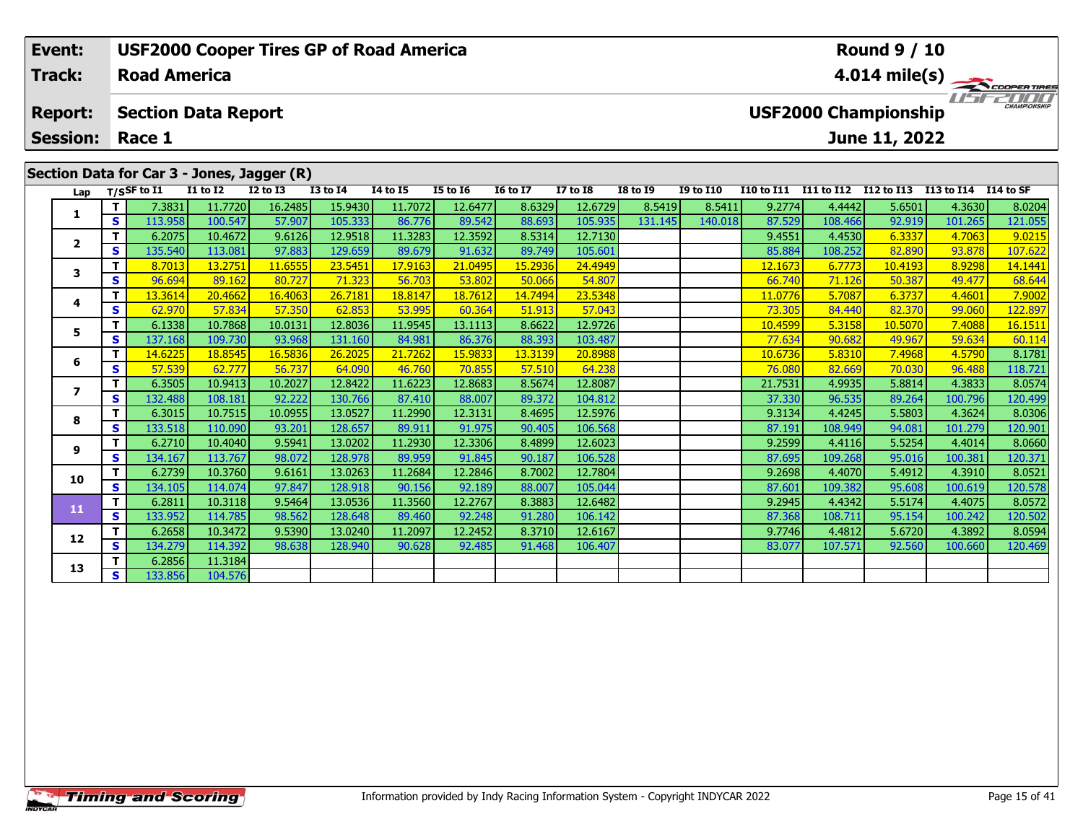| Event:          |     |                     | <b>USF2000 Cooper Tires GP of Road America</b> |                 |                 |                |                 |                 |                 |                 |                  |                   |                   | <b>Round 9 / 10</b>         |            |                          |
|-----------------|-----|---------------------|------------------------------------------------|-----------------|-----------------|----------------|-----------------|-----------------|-----------------|-----------------|------------------|-------------------|-------------------|-----------------------------|------------|--------------------------|
| <b>Track:</b>   |     | <b>Road America</b> |                                                |                 |                 |                |                 |                 |                 |                 |                  |                   |                   |                             |            | $4.014 \text{ mile(s)}$  |
| <b>Report:</b>  |     |                     | <b>Section Data Report</b>                     |                 |                 |                |                 |                 |                 |                 |                  |                   |                   | <b>USF2000 Championship</b> |            | <b>LIST CHAMPIONSHIP</b> |
| <b>Session:</b> |     | Race 1              |                                                |                 |                 |                |                 |                 |                 |                 |                  |                   |                   | June 11, 2022               |            |                          |
|                 |     |                     |                                                |                 |                 |                |                 |                 |                 |                 |                  |                   |                   |                             |            |                          |
|                 |     |                     | Section Data for Car 3 - Jones, Jagger (R)     |                 |                 |                |                 |                 |                 |                 |                  |                   |                   |                             |            |                          |
| Lap             |     | $T/S$ SF to $I1$    | <b>I1 to I2</b>                                | <b>I2 to I3</b> | <b>I3 to I4</b> | 14 to 15       | <b>I5 to 16</b> | <b>I6 to I7</b> | <b>I7 to I8</b> | <b>I8 to I9</b> | <b>I9 to I10</b> | <b>I10 to I11</b> | <b>I11 to I12</b> | I12 to I13                  | I13 to I14 | I14 to SF                |
|                 |     | 7.3831              | 11.7720                                        | 16.2485         | 15.9430         | 11.7072        | 12.6477         | 8.6329          | 12.6729         | 8.5419          | 8.5411           | 9.2774            | 4.4442            | 5.6501                      | 4.3630     | 8.0204                   |
| л.              | s l | 113.958             | 100.547                                        | 57.907          | 105.333         | 86.776         | 89.542          | 88.693          | 105.935         | 131.145         | 140.018          | 87.529            | 108.466           | 92.919                      | 101.265    | 121.055                  |
| $\overline{2}$  |     | 6.2075              | 10.4672                                        | 9.6126          | 12.9518         | 11.3283        | 12.3592         | 8.5314          | 12.7130         |                 |                  | 9.4551            | 4.4530            | 6.3337                      | 4.7063     | 9.0215                   |
|                 | s l | 135.540             | 113.081                                        | 97.883          | 129.659         | 89.679         | 91.632          | 89.749          | 105.601         |                 |                  | 85.884            | 108.252           | 82.890                      | 93.878     | 107.622                  |
| 3               |     | 8.7013              | 13.2751                                        | 11.6555         | 23.5451         | 17.9163        | 21.0495         | 15.2936         | 24.4949         |                 |                  | 12.1673           | 6.7773            | 10.4193                     | 8.9298     | 14.1441                  |
|                 | C   | 96.694              | $RQ$ 162                                       | ROZ27           | 71.323          | <b>56.703.</b> | <b>53.802</b>   | 50.066          | <b>54 807</b>   |                 |                  | 66 740            | 71126             | <b>50.387</b>               | 49 477     | <b>68 644</b>            |

| Lap            |    | $T/S$ SF to I1 | <b>I1 to I2</b> | <b>I2 to I3</b> | <b>I3 to I4</b> | 14 to 15 | <b>I5 to 16</b> | <b>16 to 17</b> | <b>I7 to I8</b> | <b>I8 to I9</b> | <b>I9 to I10</b> | I10 to I11 I11 to I12 I12 to I13 |         |         | I13 to I14 | I14 to SF            |
|----------------|----|----------------|-----------------|-----------------|-----------------|----------|-----------------|-----------------|-----------------|-----------------|------------------|----------------------------------|---------|---------|------------|----------------------|
|                | T. | 7.3831         | 11.7720         | 16.2485         | 15.9430         | 11.7072  | 12.6477         | 8.6329          | 12.6729         | 8.5419          | 8.5411           | 9.2774                           | 4.4442  | 5.6501  | 4.3630     | 8.0204               |
|                | S  | 113.958        | 100.547         | 57.907          | 105.333         | 86.776   | 89.542          | 88.693          | 105.935         | 131.145         | 140.018          | 87.529                           | 108.466 | 92.919  | 101.265    | 121.055              |
| $\overline{2}$ | T. | 6.2075         | 10.4672         | 9.6126          | 12.9518         | 11.3283  | 12.3592         | 8.5314          | 12.7130         |                 |                  | 9.4551                           | 4.4530  | 6.3337  | 4.7063     | 9.0215               |
|                | S. | 135.540        | 113.081         | 97.883          | 129.659         | 89.679   | 91.632          | 89.749          | 105.601         |                 |                  | 85.884                           | 108.252 | 82.890  | 93.878     | 107.622              |
| 3              | т  | 8.7013         | 13.2751         | 11.6555         | 23.5451         | 17.9163  | 21.0495         | 15.2936         | 24.4949         |                 |                  | 12.1673                          | 6.7773  | 10.4193 | 8.9298     | 14.1441              |
|                | S  | 96.694         | 89.162          | 80.727          | 71.323          | 56.703   | 53.802          | 50.066          | 54.807          |                 |                  | 66.740                           | 71.126  | 50.387  | 49.477     | 68.644               |
| 4              | т  | 13.3614        | 20.4662         | 16.4063         | 26.7181         | 18.8147  | 18.7612         | 14.7494         | 23.5348         |                 |                  | 11.0776                          | 5.7087  | 6.3737  | 4.4601     | 7.9002               |
|                | S. | 62.970         | 57.834          | 57.350          | 62.853          | 53.995   | 60.364          | 51.913          | 57.043          |                 |                  | 73.305                           | 84.440  | 82.370  | 99.060     | 122.897              |
| 5              | т  | 6.1338         | 10.7868         | 10.0131         | 12.8036         | 11.9545  | 13.1113         | 8.6622          | 12.9726         |                 |                  | 10.4599                          | 5.3158  | 10.5070 | 7.4088     | <mark>16.1511</mark> |
|                | S  | 137.168        | 109.730         | 93.968          | 131.160         | 84.981   | 86.376          | 88.393          | 103.487         |                 |                  | 77.634                           | 90.682  | 49.967  | 59.634     | 60.114               |
| 6              | т  | 14.6225        | 18.8545         | 16.5836         | 26.2025         | 21.7262  | 15.9833         | 13.3139         | 20.8988         |                 |                  | 10.6736                          | 5.8310  | 7.4968  | 4.5790     | 8.1781               |
|                | S. | 57.539         | 62.777          | 56.737          | 64.090          | 46.760   | 70.855          | 57.510          | 64.238          |                 |                  | 76.080                           | 82.669  | 70.030  | 96.488     | 118.721              |
| 7              | т  | 6.3505         | 10.9413         | 10.2027         | 12.8422         | 11.6223  | 12.8683         | 8.5674          | 12.8087         |                 |                  | 21.7531                          | 4.9935  | 5.8814  | 4.3833     | 8.0574               |
|                | S  | 132.488        | 108.181         | 92.222          | 130.766         | 87.410   | 88.007          | 89.372          | 104.812         |                 |                  | 37.330                           | 96.535  | 89.264  | 100.796    | 120.499              |
| 8              | T. | 6.3015         | 10.7515         | 10.0955         | 13.0527         | 11.2990  | 12.3131         | 8.4695          | 12.5976         |                 |                  | 9.3134                           | 4.4245  | 5.5803  | 4.3624     | 8.0306               |
|                | S. | 133.518        | 110.090         | 93.201          | 128.657         | 89.911   | 91.975          | 90.405          | 106.568         |                 |                  | 87.191                           | 108.949 | 94.081  | 101.279    | 120.901              |
| 9              | т  | 6.2710         | 10.4040         | 9.5941          | 13.0202         | 11.2930  | 12.3306         | 8.4899          | 12.6023         |                 |                  | 9.2599                           | 4.4116  | 5.5254  | 4.4014     | 8.0660               |
|                | S  | 134.167        | 113.767         | 98.072          | 128.978         | 89.959   | 91.845          | 90.187          | 106.528         |                 |                  | 87.695                           | 109.268 | 95.016  | 100.381    | 120.371              |
| 10             | T. | 6.2739         | 10.3760         | 9.6161          | 13.0263         | 11.2684  | 12.2846         | 8.7002          | 12.7804         |                 |                  | 9.2698                           | 4.4070  | 5.4912  | 4.3910     | 8.0521               |
|                | S. | 134.105        | 114.074         | 97.847          | 128.918         | 90.156   | 92.189          | 88,007          | 105.044         |                 |                  | 87.601                           | 109.382 | 95.608  | 100.619    | 120.578              |
| 11             | T. | 6.2811         | 10.3118         | 9.5464          | 13.0536         | 11.3560  | 12.2767         | 8.3883          | 12.6482         |                 |                  | 9.2945                           | 4.4342  | 5.5174  | 4.4075     | 8.0572               |
|                | S. | 133.952        | 114.785         | 98.562          | 128.648         | 89.460   | 92.248          | 91.280          | 106.142         |                 |                  | 87.368                           | 108.711 | 95.154  | 100.242    | 120.502              |
| 12             | T. | 6.2658         | 10.3472         | 9.5390          | 13.0240         | 11.2097  | 12.2452         | 8.3710          | 12.6167         |                 |                  | 9.7746                           | 4.4812  | 5.6720  | 4.3892     | 8.0594               |
|                | S. | 134.279        | 114.392         | 98.638          | 128.940         | 90.628   | 92.485          | 91.468          | 106.407         |                 |                  | 83.077                           | 107.571 | 92.560  | 100.660    | 120.469              |
| 13             | T. | 6.2856         | 11.3184         |                 |                 |          |                 |                 |                 |                 |                  |                                  |         |         |            |                      |
|                | S  | 133.856        | 104.576         |                 |                 |          |                 |                 |                 |                 |                  |                                  |         |         |            |                      |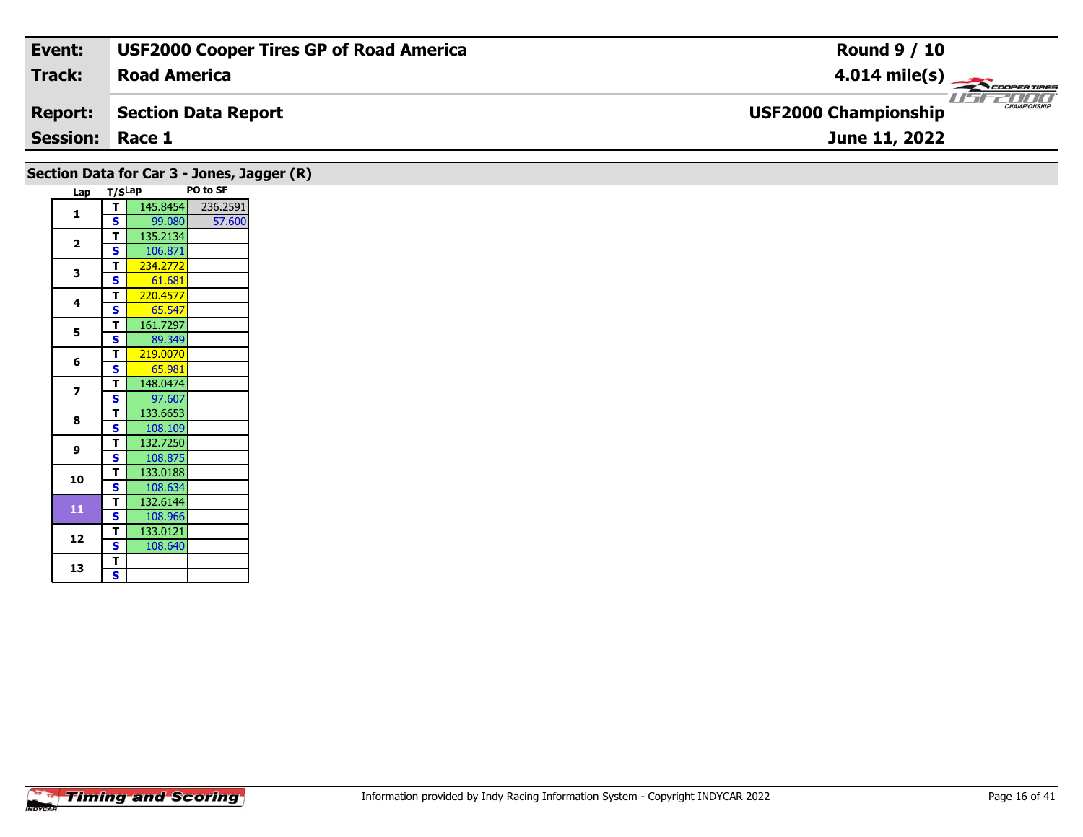| Event:<br><b>USF2000 Cooper Tires GP of Road America</b> | <b>Round 9 / 10</b>                                |
|----------------------------------------------------------|----------------------------------------------------|
| Track:<br><b>Road America</b>                            | $4.014 \text{ mile(s)}$                            |
| <b>Report:</b><br>Section Data Report                    | <b>CHAMPIONSHIP</b><br><b>USF2000 Championship</b> |
| <b>Session: Race 1</b>                                   | June 11, 2022                                      |

|                         |                             | Section Data for Car 3 - Jones, Jagger (R) |          |
|-------------------------|-----------------------------|--------------------------------------------|----------|
|                         | Lap T/SLap                  |                                            | PO to SF |
| $\mathbf{1}$            | - T I                       | 145.8454                                   | 236.2591 |
|                         | <b>S</b>                    | 99.080                                     | 57.600   |
| $\overline{2}$          | $\mathbf{T}$                | 135.2134                                   |          |
|                         | S<br>$\mathbf{T}$           | 106.871<br>234.2772                        |          |
| $\overline{\mathbf{3}}$ | $\mathbf{s}$                | 61.681                                     |          |
|                         | $\mathbf{T}$                | 220.4577                                   |          |
| 4                       | S                           | 65.547                                     |          |
| 5                       | $\mathbf{T}$                | 161.7297                                   |          |
|                         | S                           | 89.349                                     |          |
| 6                       | $\mathbf{T}$                | 219.0070                                   |          |
|                         | $\mathbf{s}$                | 65.981                                     |          |
| $\overline{\mathbf{z}}$ | $\mathbf{T}$                | 148.0474                                   |          |
|                         | S<br>$\mathbf{T}$           | 97.607<br>133.6653                         |          |
| 8                       | $\mathbf{s}$                | 108.109                                    |          |
|                         | T                           | 132.7250                                   |          |
| 9                       | S                           | 108.875                                    |          |
| 10                      | $\mathbf{T}$                | 133.0188                                   |          |
|                         | <b>S</b>                    | 108.634                                    |          |
| 11                      | $\mathbf{T}$                | 132.6144                                   |          |
|                         | $\mathbf{s}$                | 108.966                                    |          |
| 12                      | $\mathbf{T}$                | 133.0121                                   |          |
|                         | $\mathbf{s}$<br>$\mathbf T$ | 108.640                                    |          |
| 13                      | $\overline{\mathbf{s}}$     |                                            |          |
|                         |                             |                                            |          |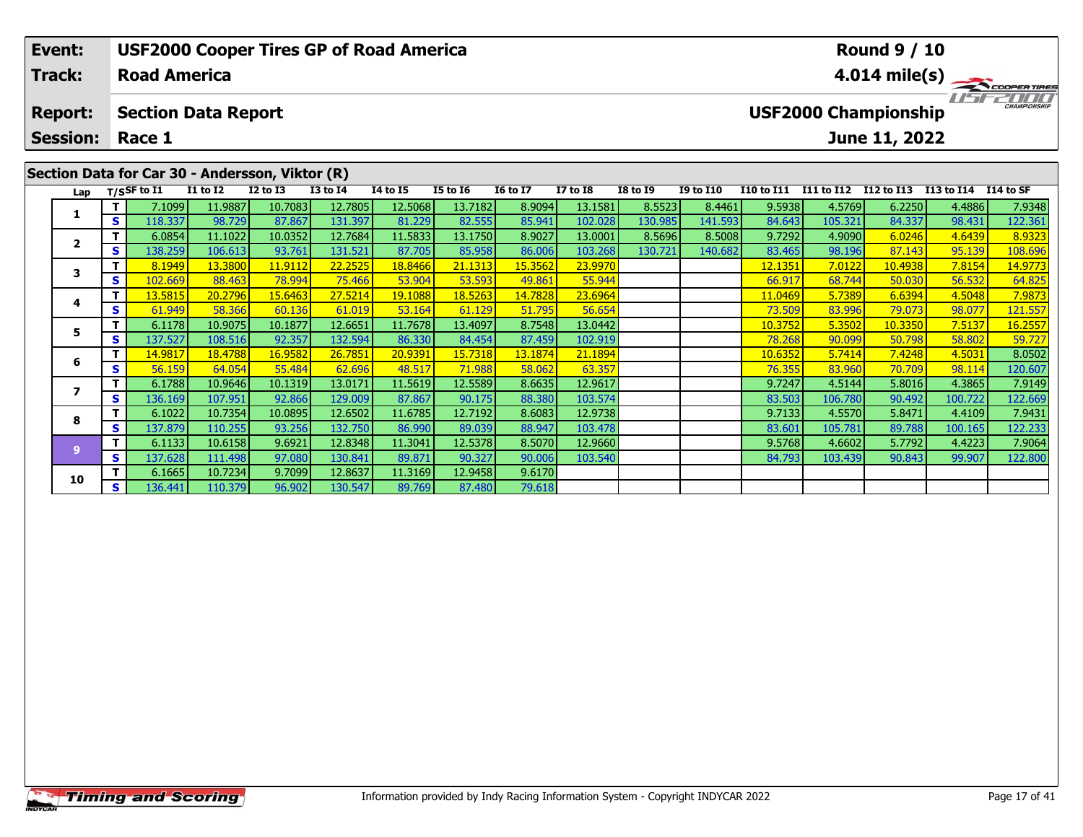|                                                 | <b>USF2000 Cooper Tires GP of Road America</b><br>Event: |      |                                |                 |              |                 |                 |                 |                 |                 |                 |                  |                         | <b>Round 9 / 10</b> |                                                              |            |           |  |  |  |
|-------------------------------------------------|----------------------------------------------------------|------|--------------------------------|-----------------|--------------|-----------------|-----------------|-----------------|-----------------|-----------------|-----------------|------------------|-------------------------|---------------------|--------------------------------------------------------------|------------|-----------|--|--|--|
|                                                 | Track:                                                   |      | <b>Road America</b>            |                 |              |                 |                 |                 |                 |                 |                 |                  | $4.014 \text{ mile(s)}$ |                     |                                                              |            |           |  |  |  |
|                                                 | <b>Report:</b>                                           |      | <b>Section Data Report</b>     |                 |              |                 |                 |                 |                 |                 |                 |                  |                         |                     | CHAMPIONSHIP<br><b>USF2000 Championship</b><br>June 11, 2022 |            |           |  |  |  |
|                                                 | <b>Session:</b>                                          |      | Race 1                         |                 |              |                 |                 |                 |                 |                 |                 |                  |                         |                     |                                                              |            |           |  |  |  |
| Section Data for Car 30 - Andersson, Viktor (R) |                                                          |      |                                |                 |              |                 |                 |                 |                 |                 |                 |                  |                         |                     |                                                              |            |           |  |  |  |
|                                                 |                                                          |      | Lap $T/SSF$ to $\overline{11}$ | <b>I1 to I2</b> | $I2$ to $I3$ | <b>I3 to I4</b> | <b>I4 to I5</b> | <b>I5 to 16</b> | <b>16 to 17</b> | <b>I7 to I8</b> | <b>I8 to I9</b> | <b>I9 to I10</b> | <b>I10 to I11</b>       | <b>I11 to I12</b>   | I12 to I13                                                   | I13 to I14 | I14 to SF |  |  |  |
|                                                 | 1                                                        |      | 7.1099                         | 11.9887         | 10.7083      | 12.7805         | 12.5068         | 13.7182         | 8.9094          | 13.1581         | 8.5523          | 8.4461           | 9.5938                  | 4.5769              | 6.2250                                                       | 4.4886     | 7.9348    |  |  |  |
|                                                 |                                                          | -s l | 118.337                        | 98.729          | 87.867       | 131.397         | 81.229          | 82.555          | 85.941          | 102.028         | 130.985         | 141.593          | 84.643                  | 105.321             | 84.337                                                       | 98.431     | 122.361   |  |  |  |
|                                                 | $\overline{2}$                                           |      | 6.0854                         | 11.1022         | 10.0352      | 12.7684         | 11.5833         | 13.1750         | 8.9027          | 13.0001         | 8.5696          | 8.5008           | 9.7292                  | 4.9090              | 6.0246                                                       | 4.6439     | 8.9323    |  |  |  |
|                                                 |                                                          | -s l | 138.259                        | 106.613         | 93.761       | 131.521         | 87.705          | 85.958          | 86.006          | 103.268         | 130.721         | 140.682          | 83.465                  | 98.196              | 87.143                                                       | 95.139     | 108.696   |  |  |  |
|                                                 | 3                                                        |      | 8.1949                         | 13.3800         | 11.9112      | 22.2525         | 18.8466         | 21.1313         | 15.3562         | 23.9970         |                 |                  | 12.1351                 | 7.0122              | 10.4938                                                      | 7.8154     | 14.9773   |  |  |  |
|                                                 |                                                          | S.   | 102.669                        | 88.463          | 78.994       | 75.466          | 53.904          | 53.593          | 49.861          | 55.944          |                 |                  | 66.917                  | 68.744              | 50.030                                                       | 56.532     | 64.825    |  |  |  |

|    | .   |                |         |         |         |         |         |                      |         |         |         |                |         |         |         |         |
|----|-----|----------------|---------|---------|---------|---------|---------|----------------------|---------|---------|---------|----------------|---------|---------|---------|---------|
|    |     | 7.1099         | 11.9887 | 10.7083 | 12.7805 | 12.5068 | 13.7182 | 8.9094               | 13.1581 | 8.5523  | 8.4461  | 9.5938         | 4.5769  | 6.2250  | 4.4886  | 7.9348  |
|    | s l | 118.337        | 98.729  | 87.867  | 131.397 | 81.229  | 82.555  | 85.941               | 102.028 | 130.985 | 141.593 | 84.643         | 105.321 | 84.337  | 98.431  | 122.361 |
|    |     | 6.0854         | 11.1022 | 10.0352 | 12.7684 | 11.5833 | 13.1750 | 8.9027               | 13.0001 | 8.5696  | 8.5008  | 9.7292         | 4.9090  | 6.0246  | 4.6439  | 8.9323  |
|    | S   | 138.259        | 106.613 | 93.761  | 131.521 | 87.705  | 85.958  | 86.006               | 103.268 | 130.721 | 140.682 | 83.465         | 98.196  | 87.143  | 95.139  | 108.696 |
|    |     | 8.1949         | 13.3800 | 11.9112 | 22.2525 | 18.8466 | 21.1313 | <u>15.3562</u>       | 23.9970 |         |         | 12.1351        | 7.0122  | 10.4938 | 7.8154  | 14.9773 |
|    | S   | 102.669        | 88.463  | 78.994  | 75.466  | 53.904  | 53.593  | 49.861               | 55.944  |         |         | 66.917         | 68.744  | 50.030  | 56.532  | 64.825  |
|    |     | 13.5815        | 20.2796 | 15.6463 | 27.5214 | 19.1088 | 18.5263 | 14.7828              | 23.6964 |         |         | <u>11.0469</u> | 5.7389  | 6.6394  | 4.5048  | 7.9873  |
|    | s   | 61.949         | 58.366  | 60.136  | 61.019  | 53.164  | 61.129  | 51.795               | 56.654  |         |         | 73.509         | 83.996  | 79.073  | 98.07   | 121.557 |
|    |     | 6.1178         | 10.9075 | 10.1877 | 12.6651 | 11.7678 | 13.4097 | 8.7548               | 13.0442 |         |         | 10.3752        | 5.3502  | 10.3350 | 7.5137  | 16.2557 |
|    | S.  | 137.527        | 108.516 | 92.357  | 132.594 | 86.330  | 84.454  | 87.459               | 102.919 |         |         | 78.268         | 90.099  | 50.798  | 58.802  | 59.727  |
|    |     | <u>14.9817</u> | 18.4788 | 16.9582 | 26.7851 | 20.9391 | 15.7318 | <mark>13.1874</mark> | 21.1894 |         |         | 10.6352        | 5.7414  | 7.4248  | 4.5031  | 8.0502  |
|    | s   | 56.159         | 64.054  | 55.484  | 62.696  | 48.517  | 71.988  | 58.062               | 63.357  |         |         | 76.355         | 83.960  | 70.709  | 98.114  | 120.607 |
|    |     | 6.1788         | 10.9646 | 10.1319 | 13.0171 | 11.5619 | 12.5589 | 8.6635               | 12.9617 |         |         | 9.7247         | 4.5144  | 5.8016  | 4.3865  | 7.9149  |
|    | s l | 136.169        | 107.951 | 92.866  | 129.009 | 87.867  | 90.175  | 88.380               | 103.574 |         |         | 83.503         | 106.780 | 90.492  | 100.722 | 122.669 |
|    |     | 6.1022         | 10.7354 | 10.0895 | 12.6502 | 11.6785 | 12.7192 | 8.6083               | 12.9738 |         |         | 9.7133         | 4.5570  | 5.8471  | 4.4109  | 7.9431  |
|    | S.  | 137.879        | 110.255 | 93.256  | 132.750 | 86.990  | 89.039  | 88.947               | 103.478 |         |         | 83.601         | 105.781 | 89.788  | 100.165 | 122.233 |
|    |     | 6.1133         | 10.6158 | 9.6921  | 12.8348 | 11.3041 | 12.5378 | 8.5070               | 12.9660 |         |         | 9.5768         | 4.6602  | 5.7792  | 4.4223  | 7.9064  |
|    | S.  | 137.628        | 111.498 | 97.080  | 130.841 | 89.871  | 90.327  | 90.006               | 103.540 |         |         | 84.793         | 103.439 | 90.843  | 99.907  | 122.800 |
| 10 |     | 6.1665         | 10.7234 | 9.7099  | 12.8637 | 11.3169 | 12.9458 | 9.6170               |         |         |         |                |         |         |         |         |
|    | s l | 136.441        | 110.379 | 96.902  | 130.547 | 89.769  | 87.480  | 79.618               |         |         |         |                |         |         |         |         |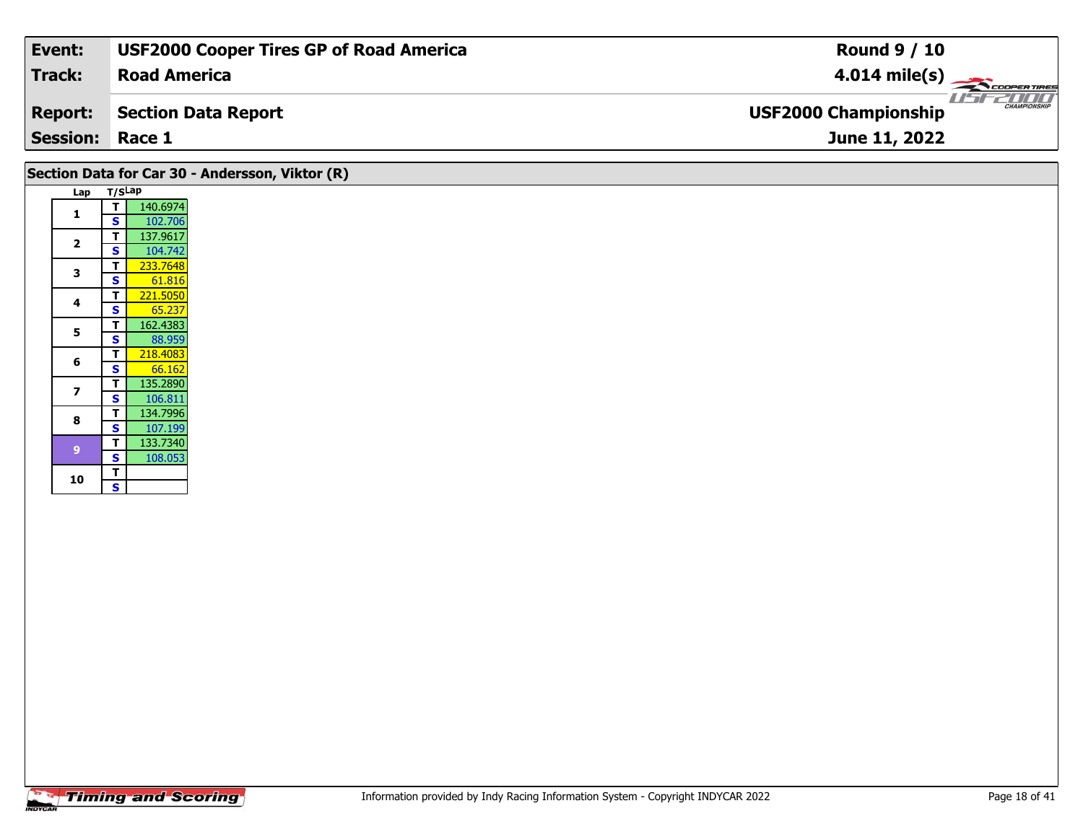| Track:<br><b>Road America</b><br>$4.014 \text{ mile(s)}$<br><b>USF2000 Championship</b><br>Section Data Report |              |
|----------------------------------------------------------------------------------------------------------------|--------------|
| <b>Report:</b>                                                                                                 |              |
|                                                                                                                | CHAMPIONSHIP |
| <b>Session: Race 1</b><br><b>June 11, 2022</b>                                                                 |              |

# **Section Data for Car 30 - Andersson, Viktor (R)**

| Lap | T/SLap |          |
|-----|--------|----------|
| 1   | т      | 140.6974 |
|     | S      | 102.706  |
|     | т      | 137.9617 |
| 2   | S      | 104.742  |
| 3   | Т      | 233.7648 |
|     | S      | 61.816   |
| 4   | Т      | 221.5050 |
|     | S      | 65.237   |
| 5   | T      | 162.4383 |
|     | S      | 88.959   |
| 6   | т      | 218.4083 |
|     | S      | 66.162   |
| 7   | T      | 135.2890 |
|     | S      | 106.811  |
| 8   | т      | 134.7996 |
|     | S      | 107.199  |
| 9   | т      | 133.7340 |
|     | S      | 108.053  |
| 10  | т      |          |
|     | S      |          |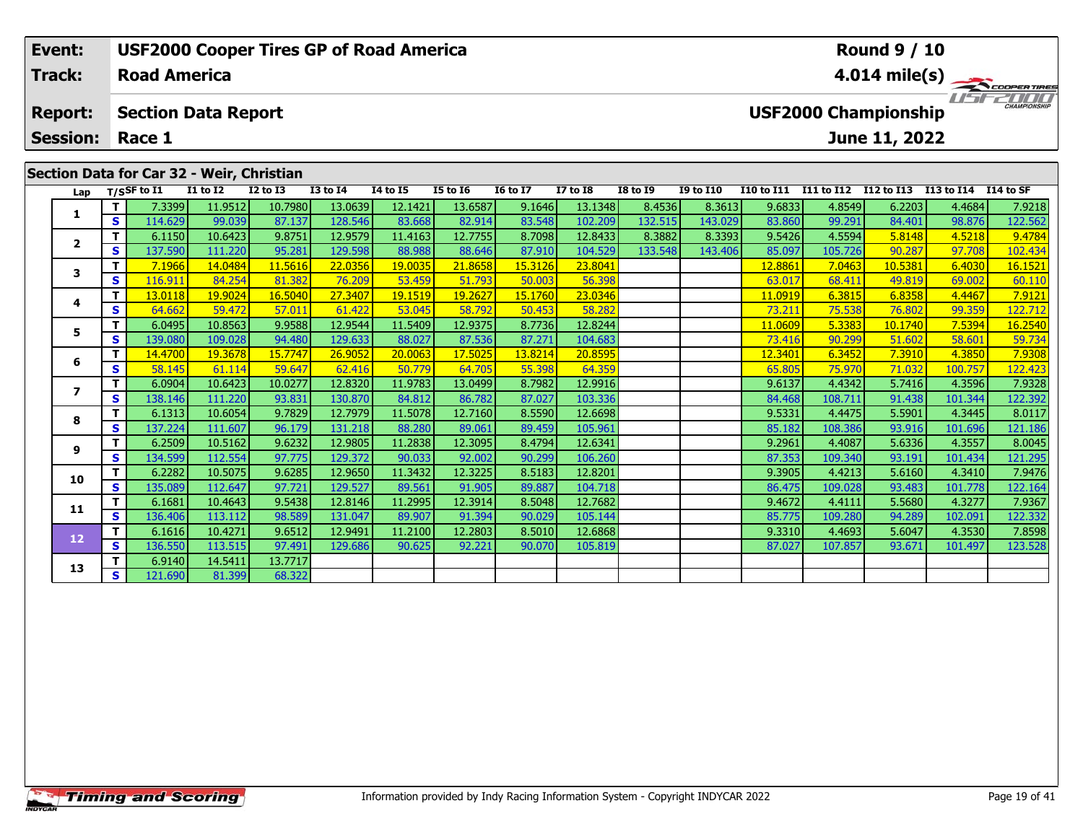| Event:                                                                                                                                          |     |                     |                            | <b>USF2000 Cooper Tires GP of Road America</b> |                 |                 |                 | <b>Round 9 / 10</b> |         |                                                    |                  |                   |            |               |            |           |  |
|-------------------------------------------------------------------------------------------------------------------------------------------------|-----|---------------------|----------------------------|------------------------------------------------|-----------------|-----------------|-----------------|---------------------|---------|----------------------------------------------------|------------------|-------------------|------------|---------------|------------|-----------|--|
| <b>Track:</b>                                                                                                                                   |     | <b>Road America</b> |                            |                                                |                 |                 |                 |                     |         | $4.014 \text{ mile(s)}$                            |                  |                   |            |               |            |           |  |
| <b>Report:</b>                                                                                                                                  |     |                     | <b>Section Data Report</b> |                                                |                 |                 |                 |                     |         | <b>CHAMPIONSHIP</b><br><b>USF2000 Championship</b> |                  |                   |            |               |            |           |  |
| <b>Session:</b>                                                                                                                                 |     | Race 1              |                            |                                                |                 |                 |                 |                     |         |                                                    |                  |                   |            | June 11, 2022 |            |           |  |
| Section Data for Car 32 - Weir, Christian<br>T/SSF to I1<br><b>I1 to I2</b><br>$I2$ to $I3$<br><b>I7 to I8</b><br><b>I8 to I9</b><br>I12 to I13 |     |                     |                            |                                                |                 |                 |                 |                     |         |                                                    |                  |                   |            |               |            |           |  |
| Lap                                                                                                                                             |     |                     |                            |                                                | <b>I3 to I4</b> | <b>I4 to I5</b> | <b>I5 to 16</b> | <b>I6 to I7</b>     |         |                                                    | <b>I9 to I10</b> | <b>I10 to I11</b> | I11 to I12 |               | I13 to I14 | I14 to SF |  |
|                                                                                                                                                 |     | 7.3399              | 11.9512                    | 10.7980                                        | 13.0639         | 12.1421         | 13.6587         | 9.1646              | 13.1348 | 8.4536                                             | 8.3613           | 9.6833            | 4.8549     | 6.2203        | 4.4684     | 7.9218    |  |
|                                                                                                                                                 | s l | 114.629             | 99.039                     | 87.137                                         | 128.546         | 83.668          | 82.914          | 83.548              | 102.209 | 132.515                                            | 143.029          | 83.860            | 99.291     | 84.401        | 98.876     | 122.562   |  |
| $\overline{2}$                                                                                                                                  |     | 6.1150              | 10.6423                    | 9.8751                                         | 12.9579         | 11.4163         | 12.7755         | 8.7098              | 12.8433 | 8.3882                                             | 8.3393           | 9.5426            | 4.5594     | 5.8148        | 4.5218     | 9.4784    |  |
|                                                                                                                                                 |     | 137.590             | 111.220                    | 95.281                                         | 129.598         | 88.988          | 88.646          | 87.910              | 104.529 | 133.548                                            | 143.406          | 85.097            | 105.726    | 90.287        | 97.708     | 102.434   |  |

**<sup>T</sup>** 7.1966 14.0484 11.5616 22.0356 19.0035 21.8658 15.3126 23.8041 12.8861 7.0463 10.5381 6.4030 16.1521 **<sup>S</sup>** 116.911 84.254 81.382 76.209 53.459 51.793 50.003 56.398 63.017 68.411 49.819 69.002 60.110

**<sup>T</sup>** 13.0118 19.9024 16.5040 27.3407 19.1519 19.2627 15.1760 23.0346 11.0919 6.3815 6.8358 4.4467 7.9121 **<sup>S</sup>** 64.662 59.472 57.011 61.422 53.045 58.792 50.453 58.282 73.211 75.538 76.802 99.359 122.712

**<sup>T</sup>** 6.0495 10.8563 9.9588 12.9544 11.5409 12.9375 8.7736 12.8244 11.0609 5.3383 10.1740 7.5394 16.2540 **<sup>S</sup>** 139.080 109.028 94.480 129.633 88.027 87.536 87.271 104.683 73.416 90.299 51.602 58.601 59.734

**<sup>T</sup>** 14.4700 19.3678 15.7747 26.9052 20.0063 17.5025 13.8214 20.8595 12.3401 6.3452 7.3910 4.3850 7.9308 **<sup>S</sup>** 58.145 61.114 59.647 62.416 50.779 64.705 55.398 64.359 65.805 75.970 71.032 100.757 122.423

**<sup>T</sup>** 6.0904 10.6423 10.0277 12.8320 11.9783 13.0499 8.7982 12.9916 9.6137 4.4342 5.7416 4.3596 7.9328 **<sup>S</sup>** 138.146 111.220 93.831 130.870 84.812 86.782 87.027 103.336 84.468 108.711 91.438 101.344 122.392

**<sup>T</sup>** 6.1313 10.6054 9.7829 12.7979 11.5078 12.7160 8.5590 12.6698 9.5331 4.4475 5.5901 4.3445 8.0117 **<sup>S</sup>** 137.224 111.607 96.179 131.218 88.280 89.061 89.459 105.961 85.182 108.386 93.916 101.696 121.186

**<sup>T</sup>** 6.2509 10.5162 9.6232 12.9805 11.2838 12.3095 8.4794 12.6341 9.2961 4.4087 5.6336 4.3557 8.0045 **<sup>S</sup>** 134.599 112.554 97.775 129.372 90.033 92.002 90.299 106.260 87.353 109.340 93.191 101.434 121.295

**<sup>T</sup>** 6.2282 10.5075 9.6285 12.9650 11.3432 12.3225 8.5183 12.8201 9.3905 4.4213 5.6160 4.3410 7.9476 **<sup>S</sup>** 135.089 112.647 97.721 129.527 89.561 91.905 89.887 104.718 86.475 109.028 93.483 101.778 122.164

**<sup>T</sup>** 6.1681 10.4643 9.5438 12.8146 11.2995 12.3914 8.5048 12.7682 9.4672 4.4111 5.5680 4.3277 7.9367 **<sup>S</sup>** 136.406 113.112 98.589 131.047 89.907 91.394 90.029 105.144 85.775 109.280 94.289 102.091 122.332

**<sup>T</sup>** 6.1616 10.4271 9.6512 12.9491 11.2100 12.2803 8.5010 12.6868 9.3310 4.4693 5.6047 4.3530 7.8598 **<sup>S</sup>** 136.550 113.515 97.491 129.686 90.625 92.221 90.070 105.819 87.027 107.857 93.671 101.497 123.528

## **Timing and Scoring**

**<sup>T</sup>** 6.9140 14.5411 13.7717 **<sup>S</sup>** 121.690 81.399 68.322

**3**

**4**

**5**

**6**

**7**

**8**

**9**

**10**

**11**

**12**

**13**

102.434

122.712

122.392

121.295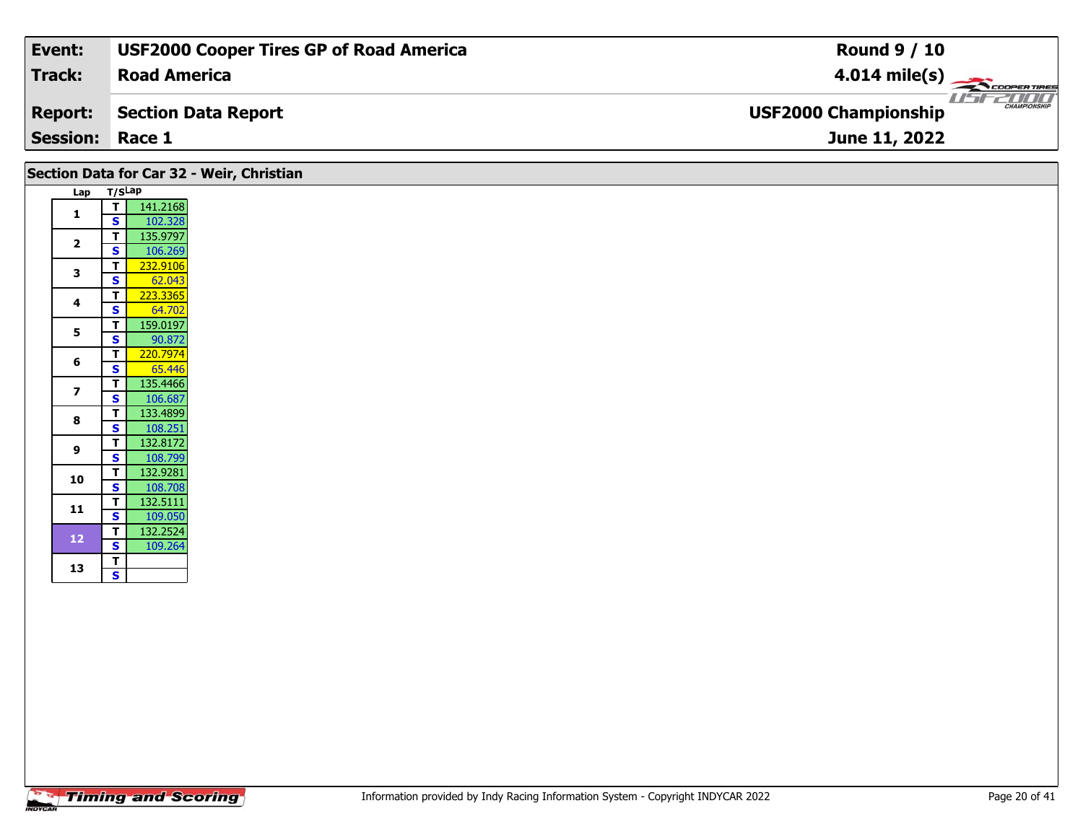| Event:                 | <b>USF2000 Cooper Tires GP of Road America</b> | <b>Round 9 / 10</b>                         |
|------------------------|------------------------------------------------|---------------------------------------------|
| Track:                 | <b>Road America</b>                            | $4.014 \text{ mile(s)}$                     |
| <b>Report:</b>         | Section Data Report                            | CHAMPIONSHIP<br><b>USF2000 Championship</b> |
| <b>Session: Race 1</b> |                                                | June 11, 2022                               |

#### **Lap T/SLap 1 <sup>T</sup>** 141.2168 **<sup>S</sup>** 102.328**2P**  $\begin{array}{|c|c|c|}\n\hline\n\textbf{S} & \textbf{106.269}\n\hline\n\end{array}$ **3T** 232.9106<br>**S** 62.043 **<sup>T</sup>** 223.3365 **<sup>S</sup>** 64.702**4**64.70 **55 T** 159.0197<br>**S** 90.872 **6T** 220.7974<br>**S** 65.446 135.4466 **7T** 135.4466<br>**S** 106.687 **8a T** 133.4899<br>**S** 108.251 **9 <sup>T</sup>** 132.8172 **<sup>S</sup>** 108.799 **10 <sup>T</sup>** 132.9281 **<sup>S</sup>** 108.708132.5111 **11 <sup>T</sup>** 132.5111 **<sup>S</sup>** 109.050 **12 <sup>T</sup>** 132.2524 **<sup>S</sup>** 109.264 13  $\frac{1}{s}$  $\overline{\mathbf{s}}$ **Section Data for Car 32 - Weir, Christian**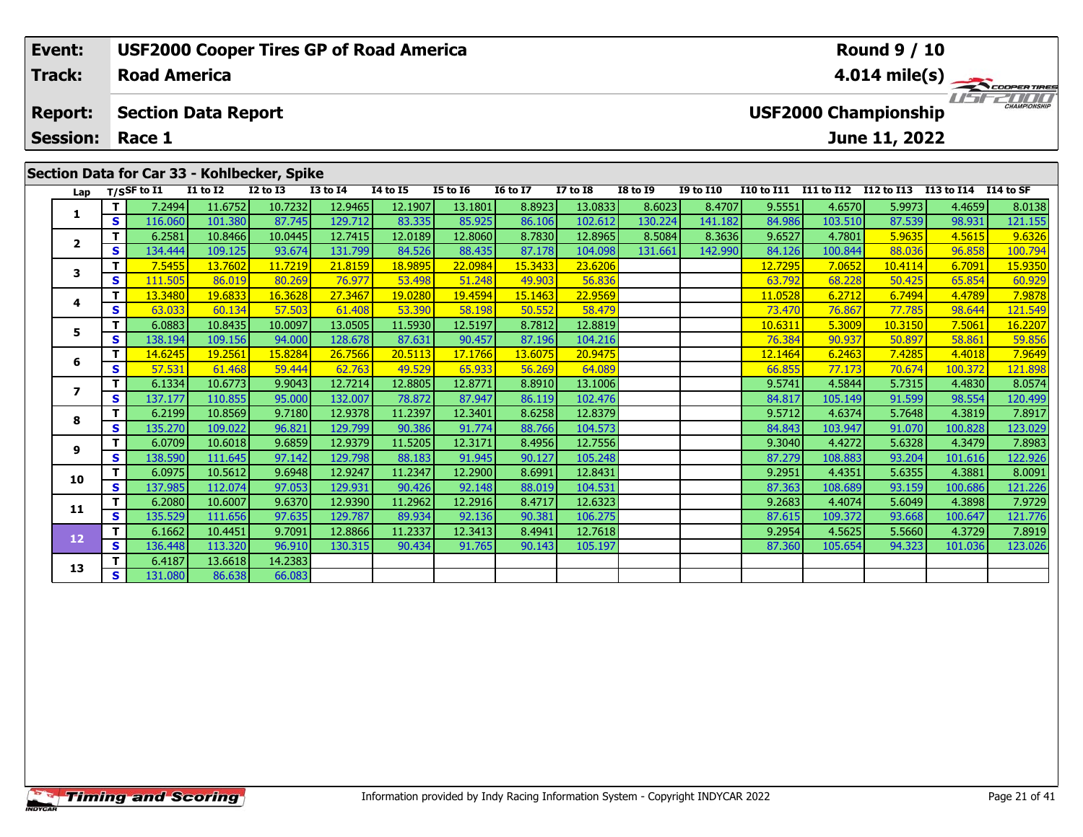| Event:                                      |    |                     |                            | <b>USF2000 Cooper Tires GP of Road America</b> |              |                 |          |                 | <b>Round 9 / 10</b> |                         |                  |                   |            |                             |            |                     |  |
|---------------------------------------------|----|---------------------|----------------------------|------------------------------------------------|--------------|-----------------|----------|-----------------|---------------------|-------------------------|------------------|-------------------|------------|-----------------------------|------------|---------------------|--|
| Track:                                      |    | <b>Road America</b> |                            |                                                |              |                 |          |                 |                     | $4.014 \text{ mile(s)}$ |                  |                   |            |                             |            |                     |  |
| <b>Report:</b>                              |    |                     | <b>Section Data Report</b> |                                                |              |                 |          |                 |                     |                         |                  |                   |            | <b>USF2000 Championship</b> |            | <b>CHAMPIONSHIP</b> |  |
| <b>Session:</b>                             |    | Race 1              |                            |                                                |              |                 |          |                 |                     |                         |                  |                   |            | June 11, 2022               |            |                     |  |
| Section Data for Car 33 - Kohlbecker, Spike |    |                     |                            |                                                |              |                 |          |                 |                     |                         |                  |                   |            |                             |            |                     |  |
| Lap                                         |    | T/SSF to I1         | <b>I1 to I2</b>            | $I2$ to $I3$                                   | $I3$ to $I4$ | <b>I4 to I5</b> | I5 to 16 | <b>16 to 17</b> | <b>I7 to I8</b>     | <b>I8 to I9</b>         | <b>I9 to I10</b> | <b>I10 to I11</b> | I11 to I12 | I12 to I13                  | I13 to I14 | I 14 to SF          |  |
|                                             |    | 7.2494              | 11.6752                    | 10.7232                                        | 12.9465      | 12.1907         | 13.1801  | 8.8923          | 13.0833             | 8.6023                  | 8.4707           | 9.5551            | 4.6570     | 5.9973                      | 4.4659     | 8.0138              |  |
|                                             | S. | 116.060             | 101.380                    | 87.745                                         | 129.712      | 83.335          | 85.925   | 86.106          | 102.612             | 130.224                 | 141.182          | 84.986            | 103.510    | 87.539                      | 98.931     | 121.155             |  |
|                                             |    | 6.2581              | 10.8466                    | 10.0445                                        | 12.7415      | 12.0189         | 12.8060  | 8.7830          | 12.8965             | 8.5084                  | 8.3636           | 9.6527            | 4.7801     | 5.9635                      | 4.5615     | 9.6326              |  |
| $\mathbf{2}$                                |    | 134.444             | 109.125                    | 93.674                                         | 131.799      | 84.526          | 88.435   | 87.178          | 104.098             | 131.661                 | 142.990          | 84.126            | 100.844    | 88.036                      | 96.858     | 100.794             |  |

**<sup>T</sup>** 7.5455 13.7602 11.7219 21.8159 18.9895 22.0984 15.3433 23.6206 12.7295 7.0652 10.4114 6.7091 15.9350 **<sup>S</sup>** 111.505 86.019 80.269 76.977 53.498 51.248 49.903 56.836 63.792 68.228 50.425 65.854 60.929

**<sup>T</sup>** 13.3480 19.6833 16.3628 27.3467 19.0280 19.4594 15.1463 22.9569 11.0528 6.2712 6.7494 4.4789 7.9878 **<sup>S</sup>** 63.033 60.134 57.503 61.408 53.390 58.198 50.552 58.479 73.470 76.867 77.785 98.644 121.549

5 TT 6.0883 10.8435 10.0097 13.0505 11.5930 12.5197 8.7812 12.8819 10.6311 5.3009 10.3150 7.5061 16.2207<br>S S 138.194 109.156 94.000 128.678 87.631 90.457 87.196 104.216 76.384 90.937 50.897 58.861 59.85

**<sup>T</sup>** 14.6245 19.2561 15.8284 26.7566 20.5113 17.1766 13.6075 20.9475 12.1464 6.2463 7.4285 4.4018 7.9649 **<sup>S</sup>** 57.531 61.468 59.444 62.763 49.529 65.933 56.269 64.089 66.855 77.173 70.674 100.372 121.898

**<sup>T</sup>** 6.1334 10.6773 9.9043 12.7214 12.8805 12.8771 8.8910 13.1006 9.5741 4.5844 5.7315 4.4830 8.0574 **<sup>S</sup>** 137.177 110.855 95.000 132.007 78.872 87.947 86.119 102.476 84.817 105.149 91.599 98.554 120.499

**<sup>T</sup>** 6.2199 10.8569 9.7180 12.9378 11.2397 12.3401 8.6258 12.8379 9.5712 4.6374 5.7648 4.3819 7.8917 **<sup>S</sup>** 135.270 109.022 96.821 129.799 90.386 91.774 88.766 104.573 84.843 103.947 91.070 100.828 123.029

**<sup>T</sup>** 6.0709 10.6018 9.6859 12.9379 11.5205 12.3171 8.4956 12.7556 9.3040 4.4272 5.6328 4.3479 7.8983 **<sup>S</sup>** 138.590 111.645 97.142 129.798 88.183 91.945 90.127 105.248 87.279 108.883 93.204 101.616 122.926

**<sup>T</sup>** 6.0975 10.5612 9.6948 12.9247 11.2347 12.2900 8.6991 12.8431 9.2951 4.4351 5.6355 4.3881 8.0091 **<sup>S</sup>** 137.985 112.074 97.053 129.931 90.426 92.148 88.019 104.531 87.363 108.689 93.159 100.686 121.226

**<sup>T</sup>** 6.2080 10.6007 9.6370 12.9390 11.2962 12.2916 8.4717 12.6323 9.2683 4.4074 5.6049 4.3898 7.9729 **<sup>S</sup>** 135.529 111.656 97.635 129.787 89.934 92.136 90.381 106.275 87.615 109.372 93.668 100.647 121.776

**<sup>T</sup>** 6.1662 10.4451 9.7091 12.8866 11.2337 12.3413 8.4941 12.7618 9.2954 4.5625 5.5660 4.3729 7.8919 **<sup>S</sup>** 136.448 113.320 96.910 130.315 90.434 91.765 90.143 105.197 87.360 105.654 94.323 101.036 123.026

## **Timing and Scoring**

**T** 6.4187 13.6618 14.2383<br>**S** 131.080 86.638 66.083

**3**

**4**

**5**

**6**

**7**

**8**

**9**

**10**

**11**

**12**

**13**

121.549

120.499

122.926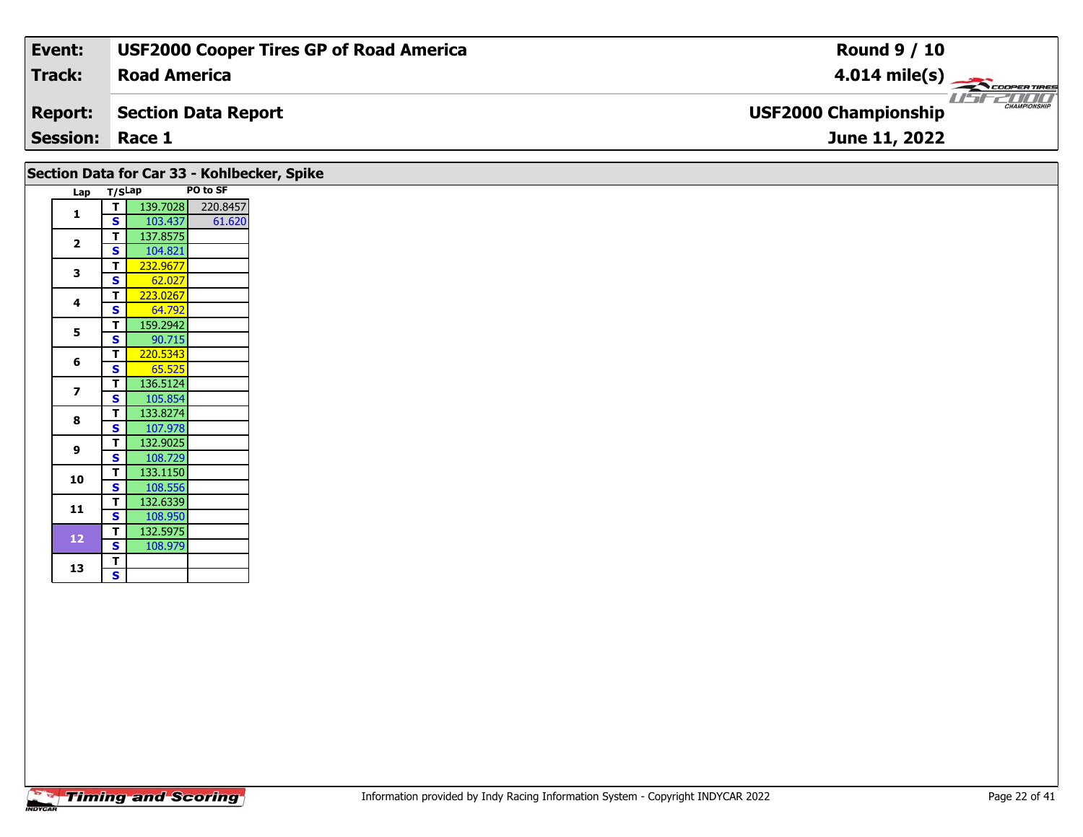| Event:                 | <b>USF2000 Cooper Tires GP of Road America</b> | <b>Round 9 / 10</b>                         |
|------------------------|------------------------------------------------|---------------------------------------------|
| Track:                 | <b>Road America</b>                            | $4.014 \text{ mile(s)}$                     |
| <b>Report:</b>         | Section Data Report                            | CHAMPIONSHIP<br><b>USF2000 Championship</b> |
| <b>Session: Race 1</b> |                                                | June 11, 2022                               |

|                         |        |          |          | Section Data for Car 33 - Kohlbecker, Spike |
|-------------------------|--------|----------|----------|---------------------------------------------|
| Lap                     | T/SLap |          | PO to SF |                                             |
| 1                       | т      | 139.7028 | 220.8457 |                                             |
|                         | S      | 103.437  | 61.620   |                                             |
| $\overline{2}$          | т      | 137.8575 |          |                                             |
|                         | S      | 104.821  |          |                                             |
| 3                       | т      | 232.9677 |          |                                             |
|                         | Ś      | 62.027   |          |                                             |
| 4                       | T      | 223.0267 |          |                                             |
|                         | Ś      | 64.792   |          |                                             |
| 5                       | т      | 159.2942 |          |                                             |
|                         | S      | 90.715   |          |                                             |
| 6                       | т      | 220.5343 |          |                                             |
|                         | S      | 65.525   |          |                                             |
| $\overline{\mathbf{z}}$ | т      | 136.5124 |          |                                             |
|                         | S      | 105.854  |          |                                             |
| 8                       | т      | 133.8274 |          |                                             |
|                         | S      | 107.978  |          |                                             |
| 9                       | T      | 132.9025 |          |                                             |
|                         | Ś      | 108.729  |          |                                             |
| 10                      | т      | 133.1150 |          |                                             |
|                         | S      | 108.556  |          |                                             |
| 11                      | т      | 132.6339 |          |                                             |
|                         | S      | 108.950  |          |                                             |
| 12                      | т      | 132.5975 |          |                                             |
|                         | S      | 108.979  |          |                                             |
| 13                      | т      |          |          |                                             |
|                         | S      |          |          |                                             |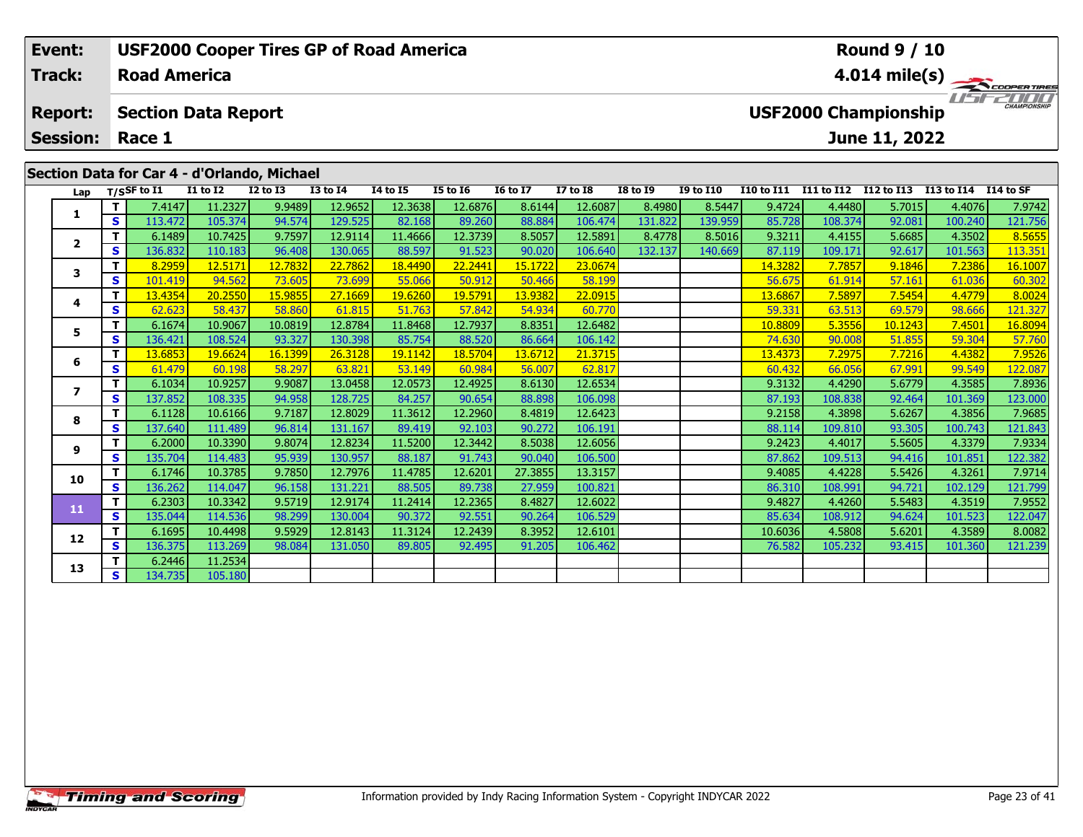| Event:                                      |            |                                |                            | <b>USF2000 Cooper Tires GP of Road America</b> |                 |                 |                 |                 | <b>Round 9 / 10</b> |                 |                         |                   |            |                             |                      |                     |  |
|---------------------------------------------|------------|--------------------------------|----------------------------|------------------------------------------------|-----------------|-----------------|-----------------|-----------------|---------------------|-----------------|-------------------------|-------------------|------------|-----------------------------|----------------------|---------------------|--|
| <b>Track:</b>                               |            | <b>Road America</b>            |                            |                                                |                 |                 |                 |                 |                     |                 | $4.014 \text{ mile(s)}$ |                   |            |                             |                      |                     |  |
| <b>Report:</b><br><b>Session:</b>           |            | Race 1                         | <b>Section Data Report</b> |                                                |                 |                 |                 |                 |                     |                 |                         |                   |            | <b>USF2000 Championship</b> |                      | <b>CHAMPIONSHIP</b> |  |
|                                             |            |                                |                            |                                                |                 |                 |                 |                 |                     |                 |                         |                   |            | June 11, 2022               |                      |                     |  |
| Section Data for Car 4 - d'Orlando, Michael |            |                                |                            |                                                |                 |                 |                 |                 |                     |                 |                         |                   |            |                             |                      |                     |  |
|                                             |            | Lap $T/SSF$ to $\overline{11}$ | $I1$ to $I2$               | $I2$ to $I3$                                   | <b>I3 to I4</b> | <b>I4 to I5</b> | <b>I5 to 16</b> | <b>16 to 17</b> | <b>I7 to I8</b>     | <b>I8 to I9</b> | <b>I9 to I10</b>        | <b>I10 to I11</b> | I11 to I12 | I12 to I13                  | I13 to I14 I14 to SF |                     |  |
|                                             |            | 7.4147                         | 11.2327                    | 9.9489                                         | 12.9652         | 12.3638         | 12.6876         | 8.6144          | 12.6087             | 8.4980          | 8.5447                  | 9.4724            | 4.4480     | 5.7015                      | 4.4076               | 7.9742              |  |
|                                             | S I        | 113.472                        | 105.374                    | 94.574                                         | 129.525         | 82.168          | 89.260          | 88.884          | 106.474             | 131.822         | 139.959                 | 85.728            | 108.374    | 92.081                      | 100.240              | 121.756             |  |
|                                             |            | 6.1489                         | 10.7425                    | 9.7597                                         | 12.9114         | 11.4666         | 12.3739         | 8.5057          | 12.5891             | 8.4778          | 8.5016                  | 9.3211            | 4.4155     | 5.6685                      | 4.3502               | 8.5655              |  |
| 2                                           | $\epsilon$ | וכדם אבו ∎                     | 110182                     | $QG$ $\triangle$ $QQ$                          | 130.065         | 88.507          | 01522           | an nonli        | 106.640             | 132137          | 140660                  | 87 110            | 100171     | Q2617                       | 101563               | 112.251             |  |

|                         | S  | 113.472 | 105.374 | 94.574  | 129.525 | 82.168  | 89.260  | 88.884  | 106.474 | 131.822 | 139.959 | 85.728  | 108.374 | 92.081  | 100.240 | 121.756 |
|-------------------------|----|---------|---------|---------|---------|---------|---------|---------|---------|---------|---------|---------|---------|---------|---------|---------|
| $\overline{\mathbf{2}}$ | т  | 6.1489  | 10.7425 | 9.7597  | 12.9114 | 11.4666 | 12.3739 | 8.5057  | 12.5891 | 8.4778  | 8.5016  | 9.3211  | 4.4155  | 5.6685  | 4.3502  | 8.5655  |
|                         | S  | 136.832 | 110.183 | 96.408  | 130.065 | 88.597  | 91.523  | 90.020  | 106.640 | 132.137 | 140.669 | 87.119  | 109.171 | 92.617  | 101.563 | 113.351 |
| 3                       | т  | 8.2959  | 12.5171 | 12.7832 | 22.7862 | 18.4490 | 22.2441 | 15.1722 | 23.0674 |         |         | 14.3282 | 7.7857  | 9.1846  | 7.2386  | 16.1007 |
|                         | s  | 101.419 | 94.562  | 73.605  | 73.699  | 55.066  | 50.912  | 50.466  | 58.199  |         |         | 56.675  | 61.914  | 57.161  | 61.036  | 60.302  |
| 4                       | т  | 13.4354 | 20.2550 | 15.9855 | 27.1669 | 19.6260 | 19.5791 | 13.9382 | 22.0915 |         |         | 13.6867 | 7.5897  | 7.5454  | 4.4779  | 8.0024  |
|                         | S  | 62.623  | 58.437  | 58.860  | 61.815  | 51.763  | 57.842  | 54.934  | 60.770  |         |         | 59.331  | 63.513  | 69.579  | 98.666  | 121.327 |
| 5                       | т  | 6.1674  | 10.9067 | 10.0819 | 12.8784 | 11.8468 | 12.7937 | 8.8351  | 12.6482 |         |         | 10.8809 | 5.3556  | 10.1243 | 7.4501  | 16.8094 |
|                         | S  | 136.421 | 108.524 | 93.327  | 130.398 | 85.754  | 88.520  | 86.664  | 106.142 |         |         | 74.630  | 90.008  | 51.855  | 59.304  | 57.760  |
| 6                       | т  | 13.6853 | 19.6624 | 16.1399 | 26.3128 | 19.1142 | 18.5704 | 13.6712 | 21.3715 |         |         | 13.4373 | 7.2975  | 7.7216  | 4.4382  | 7.9526  |
|                         | S  | 61.479  | 60.198  | 58.297  | 63.821  | 53.149  | 60.984  | 56.007  | 62.817  |         |         | 60.432  | 66.056  | 67.991  | 99.549  | 122.087 |
| 7                       | т  | 6.1034  | 10.9257 | 9.9087  | 13.0458 | 12.0573 | 12.4925 | 8.6130  | 12.6534 |         |         | 9.3132  | 4.4290  | 5.6779  | 4.3585  | 7.8936  |
|                         | s  | 137.852 | 108.335 | 94.958  | 128.725 | 84.257  | 90.654  | 88.898  | 106.098 |         |         | 87.193  | 108.838 | 92.464  | 101.369 | 123.000 |
| 8                       | т  | 6.1128  | 10.6166 | 9.7187  | 12.8029 | 11.3612 | 12.2960 | 8.4819  | 12.6423 |         |         | 9.2158  | 4.3898  | 5.6267  | 4.3856  | 7.9685  |
|                         | S  | 137.640 | 111.489 | 96.814  | 131.167 | 89.419  | 92.103  | 90.272  | 106.191 |         |         | 88.114  | 109.810 | 93.305  | 100.743 | 121.843 |
| 9                       | т  | 6.2000  | 10.3390 | 9.8074  | 12.8234 | 11.5200 | 12.3442 | 8.5038  | 12.6056 |         |         | 9.2423  | 4.4017  | 5.5605  | 4.3379  | 7.9334  |
|                         | S  | 135.704 | 114.483 | 95.939  | 130.957 | 88.187  | 91.743  | 90.040  | 106.500 |         |         | 87.862  | 109.513 | 94.416  | 101.851 | 122.382 |
| 10                      | т  | 6.1746  | 10.3785 | 9.7850  | 12.7976 | 11.4785 | 12.6201 | 27.3855 | 13.3157 |         |         | 9.4085  | 4.4228  | 5.5426  | 4.3261  | 7.9714  |
|                         | S  | 136.262 | 114.047 | 96.158  | 131.221 | 88.505  | 89.738  | 27.959  | 100.821 |         |         | 86.310  | 108.991 | 94.721  | 102.129 | 121.799 |
| 11                      | т  | 6.2303  | 10.3342 | 9.5719  | 12.9174 | 11.2414 | 12.2365 | 8.4827  | 12.6022 |         |         | 9.4827  | 4.4260  | 5.5483  | 4.3519  | 7.9552  |
|                         | S  | 135.044 | 114.536 | 98.299  | 130.004 | 90.372  | 92.551  | 90.264  | 106.529 |         |         | 85.634  | 108.912 | 94.624  | 101.523 | 122.047 |
| 12                      | т  | 6.1695  | 10.4498 | 9.5929  | 12.8143 | 11.3124 | 12.2439 | 8.3952  | 12.6101 |         |         | 10.6036 | 4.5808  | 5.6201  | 4.3589  | 8.0082  |
|                         | S  | 136.375 | 113.269 | 98.084  | 131.050 | 89.805  | 92.495  | 91.205  | 106.462 |         |         | 76.582  | 105.232 | 93.415  | 101.360 | 121.239 |
| 13                      | т  | 6.2446  | 11.2534 |         |         |         |         |         |         |         |         |         |         |         |         |         |
|                         | S. | 134.735 | 105.180 |         |         |         |         |         |         |         |         |         |         |         |         |         |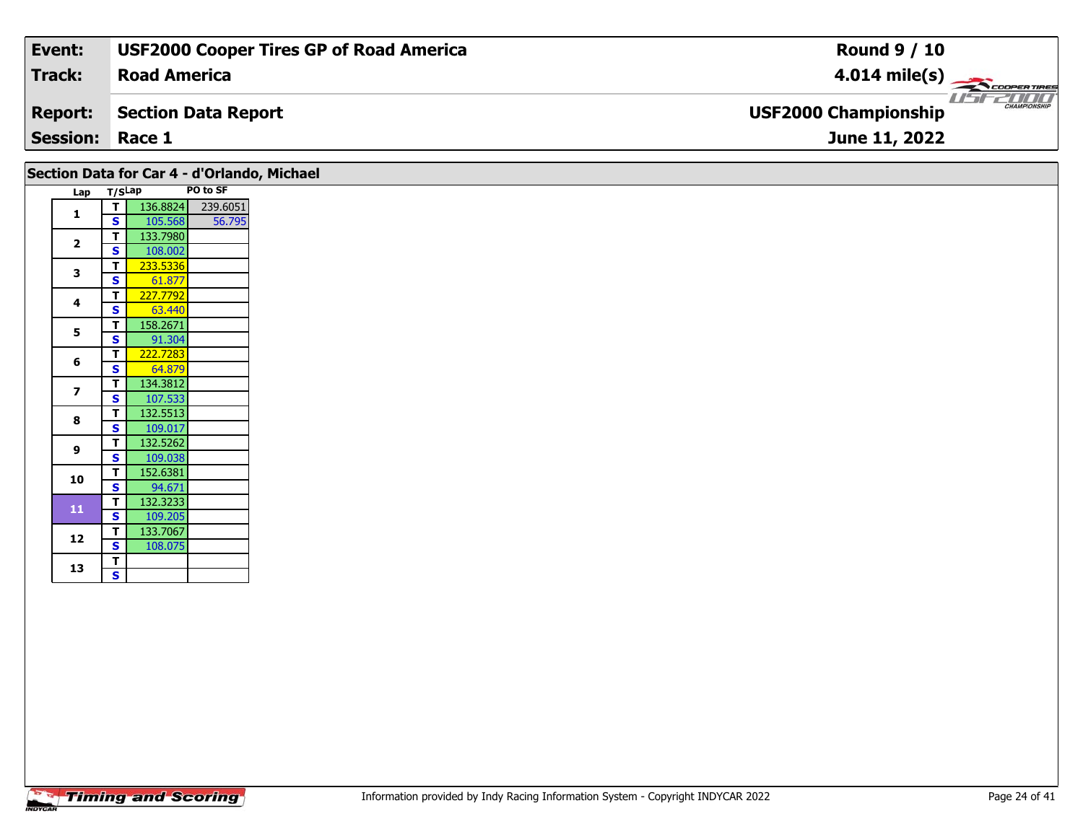| Event:                 | <b>USF2000 Cooper Tires GP of Road America</b> | <b>Round 9 / 10</b>                                |
|------------------------|------------------------------------------------|----------------------------------------------------|
| Track:                 | <b>Road America</b>                            | $4.014 \text{ mile(s)}$                            |
| <b>Report:</b>         | Section Data Report                            | <b>CHAMPIONSHIP</b><br><b>USF2000 Championship</b> |
| <b>Session: Race 1</b> |                                                | June 11, 2022                                      |

|                          |              | Section Data for Car 4 - d'Orlando, Michael | PO to SF |
|--------------------------|--------------|---------------------------------------------|----------|
| Lap                      | T/SLap       |                                             |          |
| $\mathbf{1}$             | T.           | 136.8824                                    | 239.6051 |
|                          | $\mathbf{s}$ | 105.568                                     | 56.795   |
| $\overline{2}$           | T            | 133.7980                                    |          |
|                          | $\mathbf s$  | 108.002                                     |          |
| 3                        | т            | 233.5336                                    |          |
|                          | $\mathbf s$  | 61.877                                      |          |
| 4                        | T            | 227.7792                                    |          |
|                          | S            | 63.440                                      |          |
| 5                        | т            | 158.2671                                    |          |
|                          | $\mathbf{s}$ | 91.304                                      |          |
| 6                        | T            | 222.7283                                    |          |
|                          | S            | 64.879                                      |          |
| $\overline{\phantom{a}}$ | T            | 134.3812                                    |          |
|                          | S            | 107.533                                     |          |
| 8                        | T            | 132.5513                                    |          |
|                          | $\mathbf{s}$ | 109.017                                     |          |
|                          | T            | 132.5262                                    |          |
| 9                        | S            | 109.038                                     |          |
|                          | T            | 152.6381                                    |          |
| 10                       | $\mathbf s$  | 94.671                                      |          |
|                          | T            | 132.3233                                    |          |
| 11                       | S            | 109.205                                     |          |
|                          | T            | 133.7067                                    |          |
| 12                       | $\mathbf{s}$ | 108.075                                     |          |
|                          | T            |                                             |          |
| 13                       | S.           |                                             |          |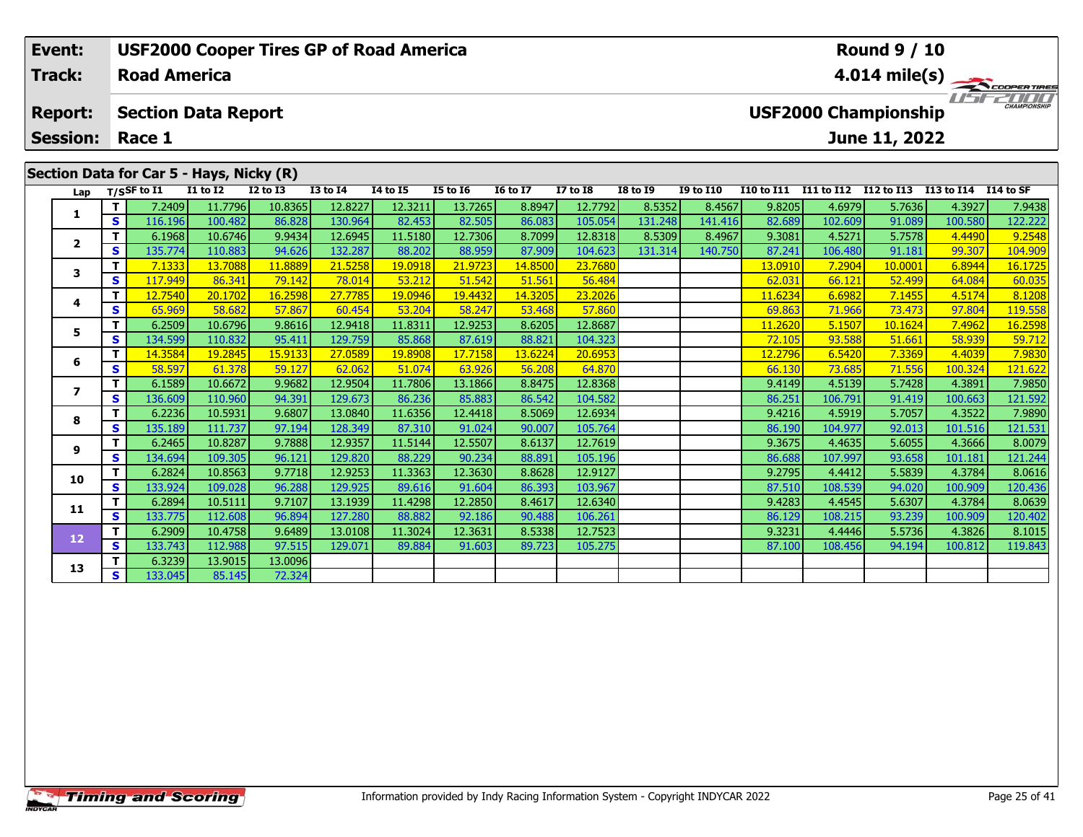| Event:                  |     | <b>USF2000 Cooper Tires GP of Road America</b> |                 |              |                 |                 |                 |                 |                 |                 |                  |                   |                   | <b>Round 9 / 10</b>         |                      |                         |
|-------------------------|-----|------------------------------------------------|-----------------|--------------|-----------------|-----------------|-----------------|-----------------|-----------------|-----------------|------------------|-------------------|-------------------|-----------------------------|----------------------|-------------------------|
| <b>Track:</b>           |     | <b>Road America</b>                            |                 |              |                 |                 |                 |                 |                 |                 |                  |                   |                   |                             |                      | $4.014 \text{ mile(s)}$ |
| <b>Report:</b>          |     | <b>Section Data Report</b>                     |                 |              |                 |                 |                 |                 |                 |                 |                  |                   |                   | <b>USF2000 Championship</b> |                      | $\frac{1}{1}$           |
| <b>Session:</b>         |     | Race 1                                         |                 |              |                 |                 |                 |                 |                 |                 |                  |                   |                   | June 11, 2022               |                      |                         |
|                         |     | Section Data for Car 5 - Hays, Nicky (R)       |                 |              |                 |                 |                 |                 |                 |                 |                  |                   |                   |                             |                      |                         |
|                         |     | Lap $T/SSF$ to I1                              | <b>I1 to I2</b> | $I2$ to $I3$ | <b>I3 to I4</b> | <b>I4 to I5</b> | <b>I5 to I6</b> | <b>16 to 17</b> | <b>I7 to I8</b> | <b>I8 to I9</b> | <b>I9 to I10</b> | <b>I10 to I11</b> | <b>I11 to I12</b> | I12 to I13                  | I13 to I14 I14 to SF |                         |
|                         |     | 7.2409                                         | 11.7796         | 10.8365      | 12.8227         | 12.3211         | 13.7265         | 8.8947          | 12.7792         | 8.5352          | 8.4567           | 9.8205            | 4.6979            | 5.7636                      | 4.3927               | 7.9438                  |
|                         | s l | 116.196                                        | 100.482         | 86.828       | 130.964         | 82.453          | 82.505          | 86.083          | 105.054         | 131.248         | 141.416          | 82.689            | 102.609           | 91.089                      | 100.580              | 122.222                 |
| $\overline{\mathbf{2}}$ |     | 6.1968                                         | 10.6746         | 9.9434       | 12.6945         | 11.5180         | 12.7306         | 8.7099          | 12.8318         | 8.5309          | 8.4967           | 9.3081            | 4.5271            | 5.7578                      | 4.4490               | 9.2548                  |
|                         | s l | 135.774                                        | 110.883         | 94.626       | 132.287         | 88.202          | 88.959          | 87.909          | 104.623         | 131.314         | 140.750          | 87.241            | 106.480           | 91.181                      | 99.307               | 104.909                 |
| 3                       |     | 7.1333                                         | 13.7088         | 11.8889      | 21.5258         | 19.0918         | 21.9723         | 14.8500         | 23.7680         |                 |                  | 13.0910           | 7.2904            | 10.0001                     | 6.8944               | 16.1725                 |
|                         | S.  | 117.949                                        | 86.341          | 79.142       | 78.014          | 53.212          | 51.542          | 51.561          | 56.484          |                 |                  | 62.031            | 66.121            | 52.499                      | 64.084               | 60.035                  |
| 4                       |     | 12.7540                                        | 20.1702         | 16.2598      | 27.7785         | 19.0946         | 19.4432         | 14.3205         | 23.2026         |                 |                  | 11.6234           | 6.6982            | 7.1455                      | 4.5174               | 8.1208                  |
|                         | S.  | 65.969                                         | 58.682          | 57.867       | 60.454          | 53.204          | 58.247          | 53.468          | 57.860          |                 |                  | 69.863            | <b>71.966</b>     | 73.473                      | 97.804               | 119.558                 |

**<sup>T</sup>** 6.2509 10.6796 9.8616 12.9418 11.8311 12.9253 8.6205 12.8687 11.2620 5.1507 10.1624 7.4962 16.2598 **<sup>S</sup>** 134.599 110.832 95.411 129.759 85.868 87.619 88.821 104.323 72.105 93.588 51.661 58.939 59.712

**<sup>T</sup>** 14.3584 19.2845 15.9133 27.0589 19.8908 17.7158 13.6224 20.6953 12.2796 6.5420 7.3369 4.4039 7.9830 **<sup>S</sup>** 58.597 61.378 59.127 62.062 51.074 63.926 56.208 64.870 66.130 73.685 71.556 100.324 121.622

**<sup>T</sup>** 6.1589 10.6672 9.9682 12.9504 11.7806 13.1866 8.8475 12.8368 9.4149 4.5139 5.7428 4.3891 7.9850 **<sup>S</sup>** 136.609 110.960 94.391 129.673 86.236 85.883 86.542 104.582 86.251 106.791 91.419 100.663 121.592

**<sup>T</sup>** 6.2236 10.5931 9.6807 13.0840 11.6356 12.4418 8.5069 12.6934 9.4216 4.5919 5.7057 4.3522 7.9890 **<sup>S</sup>** 135.189 111.737 97.194 128.349 87.310 91.024 90.007 105.764 86.190 104.977 92.013 101.516 121.531

**<sup>T</sup>** 6.2465 10.8287 9.7888 12.9357 11.5144 12.5507 8.6137 12.7619 9.3675 4.4635 5.6055 4.3666 8.0079 **<sup>S</sup>** 134.694 109.305 96.121 129.820 88.229 90.234 88.891 105.196 86.688 107.997 93.658 101.181 121.244

**<sup>T</sup>** 6.2824 10.8563 9.7718 12.9253 11.3363 12.3630 8.8628 12.9127 9.2795 4.4412 5.5839 4.3784 8.0616 **<sup>S</sup>** 133.924 109.028 96.288 129.925 89.616 91.604 86.393 103.967 87.510 108.539 94.020 100.909 120.436

**<sup>T</sup>** 6.2894 10.5111 9.7107 13.1939 11.4298 12.2850 8.4617 12.6340 9.4283 4.4545 5.6307 4.3784 8.0639 **<sup>S</sup>** 133.775 112.608 96.894 127.280 88.882 92.186 90.488 106.261 86.129 108.215 93.239 100.909 120.402

**<sup>T</sup>** 6.2909 10.4758 9.6489 13.0108 11.3024 12.3631 8.5338 12.7523 9.3231 4.4446 5.5736 4.3826 8.1015 **<sup>S</sup>** 133.743 112.988 97.515 129.071 89.884 91.603 89.723 105.275 87.100 108.456 94.194 100.812 119.843

**<sup>T</sup>** 6.3239 13.9015 13.0096 **<sup>S</sup>** 133.045 85.145 72.324

**5**

**6**

**7**

**8**

**9**

**10**

**11**

**12**

**13**

119.558

121.592

121.244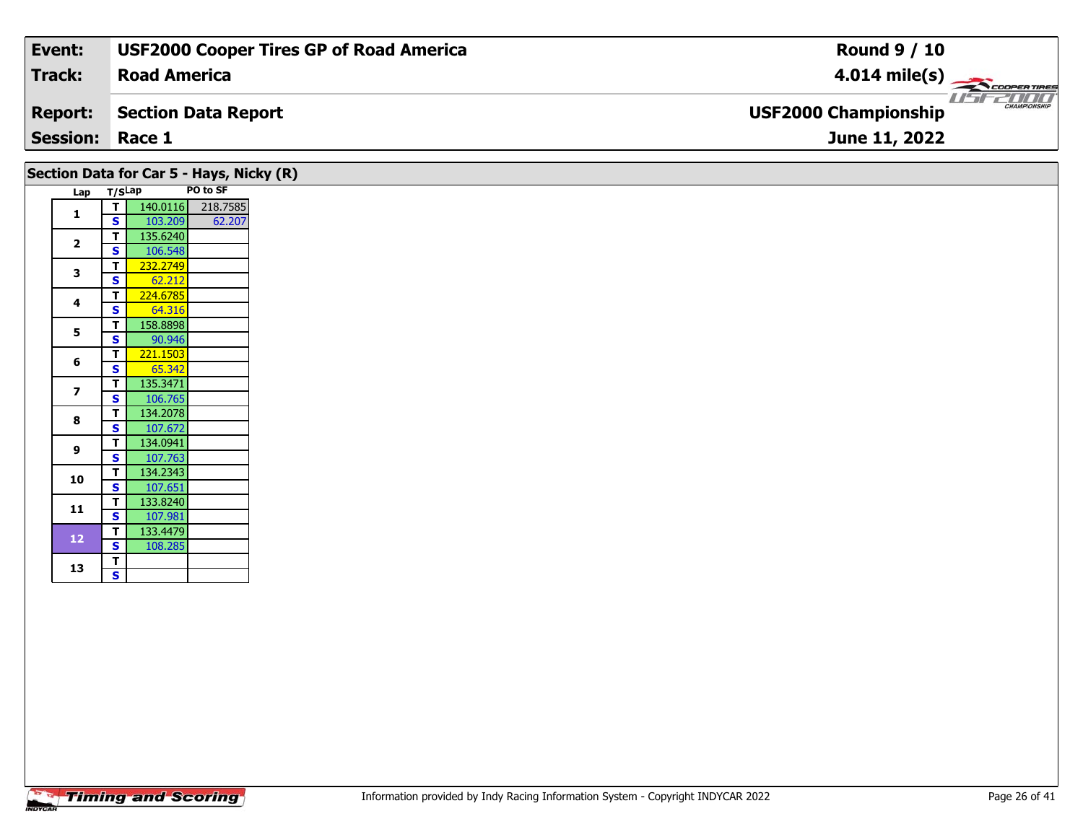| Event:                 | <b>USF2000 Cooper Tires GP of Road America</b> | <b>Round 9 / 10</b>                                |
|------------------------|------------------------------------------------|----------------------------------------------------|
| Track:                 | <b>Road America</b>                            | $4.014 \text{ mile(s)}$                            |
| <b>Report:</b>         | Section Data Report                            | <b>CHAMPIONSHIP</b><br><b>USF2000 Championship</b> |
| <b>Session: Race 1</b> |                                                | June 11, 2022                                      |
|                        |                                                |                                                    |

## **Section Data for Car 5 - Hays, Nicky (R)**

|                |                         |          | PO to SF |
|----------------|-------------------------|----------|----------|
| Lap            | T/SLap                  |          |          |
| 1              | т                       | 140.0116 | 218.7585 |
|                | S                       | 103.209  | 62.207   |
| $\overline{2}$ | т                       | 135.6240 |          |
|                | S                       | 106.548  |          |
| 3              | т                       | 232.2749 |          |
|                | S                       | 62.212   |          |
| 4              | Т                       | 224.6785 |          |
|                | S                       | 64.316   |          |
| 5              | Т                       | 158.8898 |          |
|                | $\overline{\mathbf{s}}$ | 90.946   |          |
|                | т                       | 221.1503 |          |
| 6              | S                       | 65.342   |          |
|                | т                       | 135.3471 |          |
| 7              | S                       | 106.765  |          |
|                | T                       | 134.2078 |          |
| 8              | S                       | 107.672  |          |
| 9              | Т                       | 134.0941 |          |
|                | S                       | 107.763  |          |
|                | T                       | 134.2343 |          |
| 10             | $\overline{\mathbf{s}}$ | 107.651  |          |
|                | Т                       | 133.8240 |          |
| 11             | S                       | 107.981  |          |
|                | Т                       | 133.4479 |          |
| 12             | S                       | 108.285  |          |
|                | T                       |          |          |
| 13             | S                       |          |          |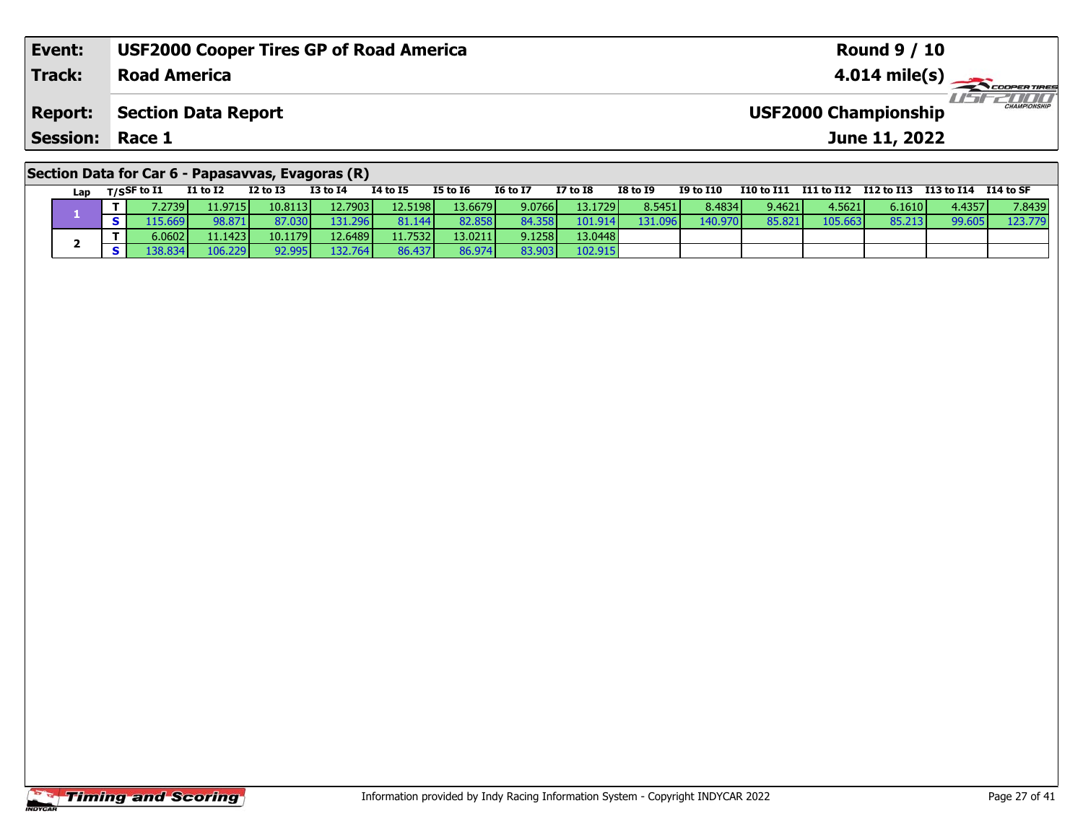| Event:                                            | <b>USF2000 Cooper Tires GP of Road America</b> | <b>Round 9 / 10</b>                                |  |  |  |  |  |  |  |
|---------------------------------------------------|------------------------------------------------|----------------------------------------------------|--|--|--|--|--|--|--|
| Track:                                            | <b>Road America</b>                            | $4.014 \text{ mile(s)}$                            |  |  |  |  |  |  |  |
| <b>Report:</b>                                    | <b>Section Data Report</b>                     | <b>CHAMPIONSHIP</b><br><b>USF2000 Championship</b> |  |  |  |  |  |  |  |
| <b>Session: Race 1</b>                            |                                                | June 11, 2022                                      |  |  |  |  |  |  |  |
| Section Data for Car 6 - Papasavvas, Evagoras (R) |                                                |                                                    |  |  |  |  |  |  |  |

#### Lap T/S<sup>SF</sup> to I1 I1 to I2 I2 to I3 I3 to I4 I4 to I5 I5 to I6 I6 to I7 I7 to I8 I8 to I9 I9 to I10 I10 to I11 I11 to I12 I12 to I13 I13 to I14 I14 to SF **1 <sup>T</sup>** 7.2739 11.9715 10.8113 12.7903 12.5198 13.6679 9.0766 13.1729 8.5451 8.4834 9.4621 4.5621 6.1610 4.4357 7.8439 **<sup>S</sup>** 115.669 98.871 87.030 131.296 81.144 82.858 84.358 101.914 131.096 140.970 85.821 105.663 85.213 99.605 123.779123.779 **2 <sup>T</sup>** 6.0602 11.1423 10.1179 12.6489 11.7532 13.0211 9.1258 13.0448 **<sup>S</sup>** 138.834 106.229 92.995 132.764 86.437 86.974 83.903 102.915102.915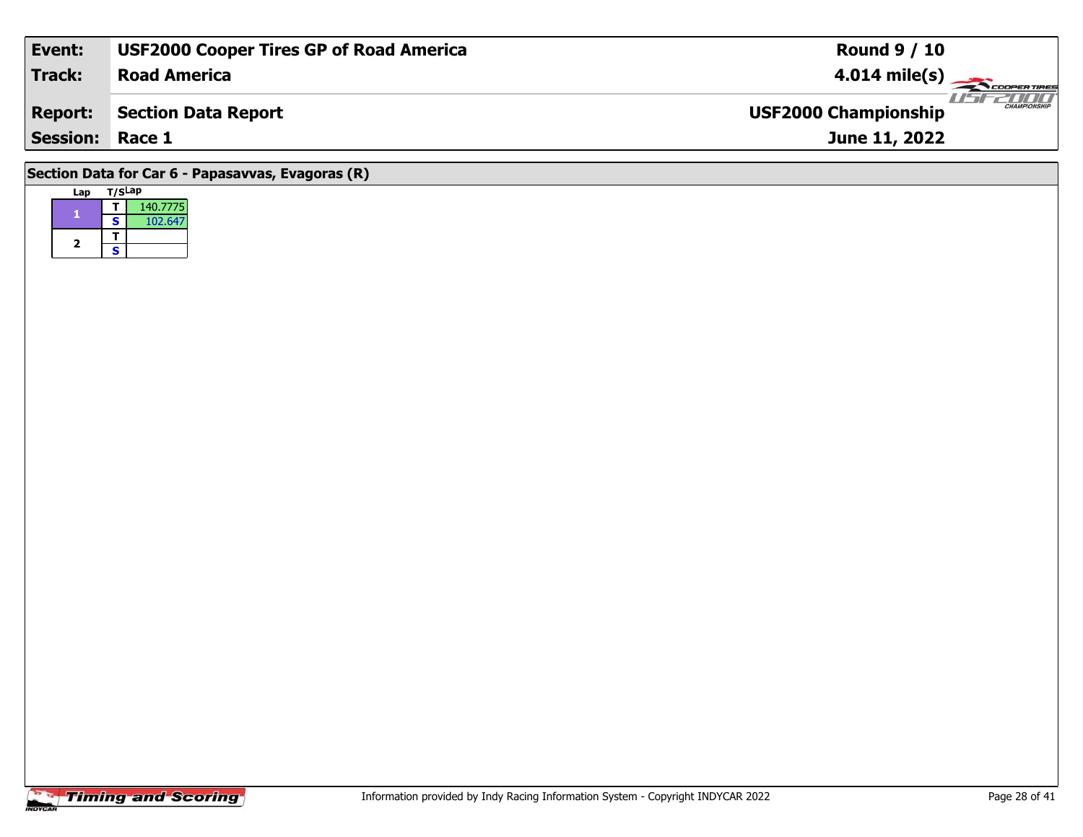| Event:                                            | <b>USF2000 Cooper Tires GP of Road America</b> | <b>Round 9 / 10</b>                         |  |  |  |  |  |  |  |
|---------------------------------------------------|------------------------------------------------|---------------------------------------------|--|--|--|--|--|--|--|
| <b>Track:</b>                                     | <b>Road America</b>                            | $4.014 \text{ mile(s)}$                     |  |  |  |  |  |  |  |
| <b>Report:</b>                                    | Section Data Report                            | CHAMPIONSHIP<br><b>USF2000 Championship</b> |  |  |  |  |  |  |  |
| <b>Session: Race 1</b>                            |                                                | June 11, 2022                               |  |  |  |  |  |  |  |
| Section Data for Car 6 - Papasavvas, Evagoras (R) |                                                |                                             |  |  |  |  |  |  |  |

| Lap | T/SLap |          |
|-----|--------|----------|
|     |        | 140.7775 |
|     | S      | 102.647  |
|     |        |          |
| 2   | S      |          |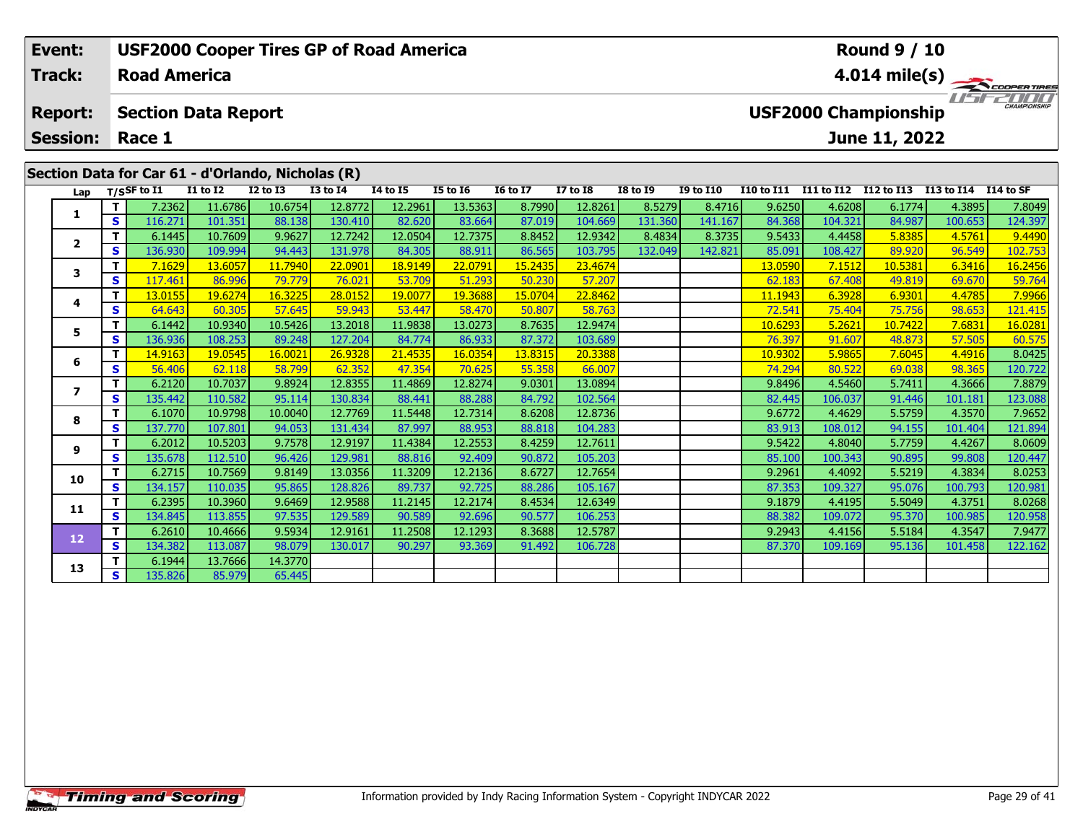| Event:<br><b>Track:</b> |     | <b>Road America</b>        |                 | <b>USF2000 Cooper Tires GP of Road America</b>    |                 |                 |                 |                 |                 |                 |                  |                   |            | <b>Round 9 / 10</b>         |            |                                                |
|-------------------------|-----|----------------------------|-----------------|---------------------------------------------------|-----------------|-----------------|-----------------|-----------------|-----------------|-----------------|------------------|-------------------|------------|-----------------------------|------------|------------------------------------------------|
| <b>Report:</b>          |     | <b>Section Data Report</b> |                 |                                                   |                 |                 |                 |                 |                 |                 |                  |                   |            | <b>USF2000 Championship</b> |            | $4.014 \text{ mile(s)}$<br><b>CHAMPIONSHIP</b> |
| <b>Session:</b>         |     | Race 1                     |                 |                                                   |                 |                 |                 |                 |                 |                 |                  |                   |            | June 11, 2022               |            |                                                |
|                         |     |                            |                 | Section Data for Car 61 - d'Orlando, Nicholas (R) |                 |                 |                 |                 |                 |                 |                  |                   |            |                             |            |                                                |
| Lap                     |     | $T/S$ SF to $I1$           | <b>I1 to I2</b> | <b>I2 to I3</b>                                   | <b>I3 to I4</b> | <b>I4 to I5</b> | <b>I5 to I6</b> | <b>16 to 17</b> | <b>I7 to I8</b> | <b>I8 to I9</b> | <b>I9 to I10</b> | <b>I10 to I11</b> | I11 to I12 | I12 to I13                  | I13 to I14 | <b>I14 to SF</b>                               |
|                         |     | 7.2362                     | 11.6786         | 10.6754                                           | 12.8772         | 12.2961         | 13.5363         | 8.7990          | 12.8261         | 8.5279          | 8.4716           | 9.6250            | 4.6208     | 6.1774                      | 4.3895     | 7.8049                                         |
|                         | s l | 116.271                    | 101.351         | 88.138                                            | 130.410         | 82.620          | 83.664          | 87.019          | 104.669         | 131.360         | 141.167          | 84.368            | 104.321    | 84.987                      | 100.653    | 124.397                                        |
|                         |     | 6.1445                     | 10.7609         | 9.9627                                            | 12.7242         | 12.0504         | 12.7375         | 8.8452          | 12.9342         | 8.4834          | 8.3735           | 9.5433            | 4.4458     | 5.8385                      | 4.5761     | 9.4490                                         |
| $\overline{2}$          | s l | 136.930                    | 109.994         | 94.443                                            | 131.978         | 84.305          | 88.911          | 86.565          | 103.795         | 132.049         | 142.821          | 85.091            | 108.427    | 89.920                      | 96.549     | 102.753                                        |
| 3                       |     | 7.1629                     | 13.6057         | 11.7940                                           | 22,0901         | 18.9149         | 22.0791         | 15.2435         | 23.4674         |                 |                  | 13.0590           | 7.1512     | 10.5381                     | 6.3416     | 16.2456                                        |
|                         | S.  | 117.461                    | 86.996          | 79.779                                            | 76.021          | 53.709          | 51.293          | 50.230          | 57.207          |                 |                  | 62.183            | 67.408     | 49.819                      | 69.670     | 59.764                                         |
|                         |     | 13.0155                    | 19.6274         | 16.3225                                           | 28.0152         | 19.0077         | 19.3688         | 15.0704         | 22.8462         |                 |                  | 11.1943           | 6.3928     | 6.9301                      | 4.4785     | 7.9966                                         |

|                         |   | 6.1445  | 10.7609 | 9.9627  | 12.7242 | 12.0504 | 12.7375 | 8.8452  | 12.9342 | 8.4834  | 8.3735  | 9.5433  | 4.4458  | 5.8385  | 4.5761  | 9.4490  |
|-------------------------|---|---------|---------|---------|---------|---------|---------|---------|---------|---------|---------|---------|---------|---------|---------|---------|
| $\overline{\mathbf{2}}$ | s | 136.930 | 109.994 | 94.443  | 131.978 | 84.305  | 88.911  | 86.565  | 103.795 | 132.049 | 142.821 | 85.091  | 108.427 | 89.920  | 96.549  | 102.753 |
|                         |   | 7.1629  | 13.6057 | 11.7940 | 22.0901 | 18.9149 | 22.0791 | 15.2435 | 23.4674 |         |         | 13.0590 | 7.1512  | 10.5381 | 6.3416  | 16.2456 |
| 3                       | s | 117.461 | 86.996  | 79.779  | 76.021  | 53.709  | 51.293  | 50.230  | 57.207  |         |         | 62.183  | 67.408  | 49.819  | 69.670  | 59.764  |
|                         |   | 13.0155 | 19.6274 | 16.3225 | 28.0152 | 19.0077 | 19.3688 | 15.0704 | 22.8462 |         |         | 11.1943 | 6.3928  | 6.9301  | 4.4785  | 7.9966  |
| 4                       | s | 64.643  | 60.305  | 57.645  | 59.943  | 53.447  | 58.470  | 50.807  | 58.763  |         |         | 72.541  | 75.404  | 75.756  | 98.653  | 121.415 |
| 5                       |   | 6.1442  | 10.9340 | 10.5426 | 13.2018 | 11.9838 | 13.0273 | 8.7635  | 12.9474 |         |         | 10.6293 | 5.2621  | 10.7422 | 7.6831  | 16.0281 |
|                         | s | 136.936 | 108.253 | 89.248  | 127.204 | 84.774  | 86.933  | 87.372  | 103.689 |         |         | 76.397  | 91.607  | 48.873  | 57.505  | 60.575  |
| 6                       |   | 14.9163 | 19.0545 | 16.0021 | 26.9328 | 21.4535 | 16.0354 | 13.8315 | 20.3388 |         |         | 10.9302 | 5.9865  | 7.6045  | 4.4916  | 8.0425  |
|                         | s | 56.406  | 62.118  | 58.799  | 62.352  | 47.354  | 70.625  | 55.358  | 66.007  |         |         | 74.294  | 80.522  | 69.038  | 98.365  | 120.722 |
|                         |   | 6.2120  | 10.7037 | 9.8924  | 12.8355 | 11.4869 | 12.8274 | 9.0301  | 13.0894 |         |         | 9.8496  | 4.5460  | 5.7411  | 4.3666  | 7.8879  |
|                         | s | 135.442 | 110.582 | 95.114  | 130.834 | 88.441  | 88.288  | 84.792  | 102.564 |         |         | 82.445  | 106.037 | 91.446  | 101.181 | 123.088 |
| 8                       |   | 6.1070  | 10.9798 | 10.0040 | 12.7769 | 11.5448 | 12.7314 | 8.6208  | 12.8736 |         |         | 9.6772  | 4.4629  | 5.5759  | 4.3570  | 7.9652  |
|                         | s | 137.770 | 107.801 | 94.053  | 131.434 | 87.997  | 88.953  | 88.818  | 104.283 |         |         | 83.913  | 108.012 | 94.155  | 101.404 | 121.894 |
| 9                       |   | 6.2012  | 10.5203 | 9.7578  | 12.9197 | 11.4384 | 12.2553 | 8.4259  | 12.7611 |         |         | 9.5422  | 4.8040  | 5.7759  | 4.4267  | 8.0609  |
|                         | s | 135.678 | 112.510 | 96.426  | 129.981 | 88.816  | 92.409  | 90.872  | 105.203 |         |         | 85.100  | 100.343 | 90.895  | 99.808  | 120.447 |
| 10                      |   | 6.2715  | 10.7569 | 9.8149  | 13.0356 | 11.3209 | 12.2136 | 8.6727  | 12.7654 |         |         | 9.2961  | 4.4092  | 5.5219  | 4.3834  | 8.0253  |
|                         | s | 134.157 | 110.035 | 95.865  | 128.826 | 89.737  | 92.725  | 88.286  | 105.167 |         |         | 87.353  | 109.327 | 95.076  | 100.793 | 120.981 |
| 11                      |   | 6.2395  | 10.3960 | 9.6469  | 12.9588 | 11.2145 | 12.2174 | 8.4534  | 12.6349 |         |         | 9.1879  | 4.4195  | 5.5049  | 4.3751  | 8.0268  |
|                         | s | 134.845 | 113.855 | 97.535  | 129.589 | 90.589  | 92.696  | 90.577  | 106.253 |         |         | 88.382  | 109.072 | 95.370  | 100.985 | 120.958 |
| 12                      |   | 6.2610  | 10.4666 | 9.5934  | 12.9161 | 11.2508 | 12.1293 | 8.3688  | 12.5787 |         |         | 9.2943  | 4.4156  | 5.5184  | 4.3547  | 7.9477  |
|                         | s | 134.382 | 113.087 | 98.079  | 130.017 | 90.297  | 93.369  | 91.492  | 106.728 |         |         | 87.370  | 109.169 | 95.136  | 101.458 | 122.162 |
| 13                      |   | 6.1944  | 13.7666 | 14.3770 |         |         |         |         |         |         |         |         |         |         |         |         |
|                         | S | 135.826 | 85.979  | 65.445  |         |         |         |         |         |         |         |         |         |         |         |         |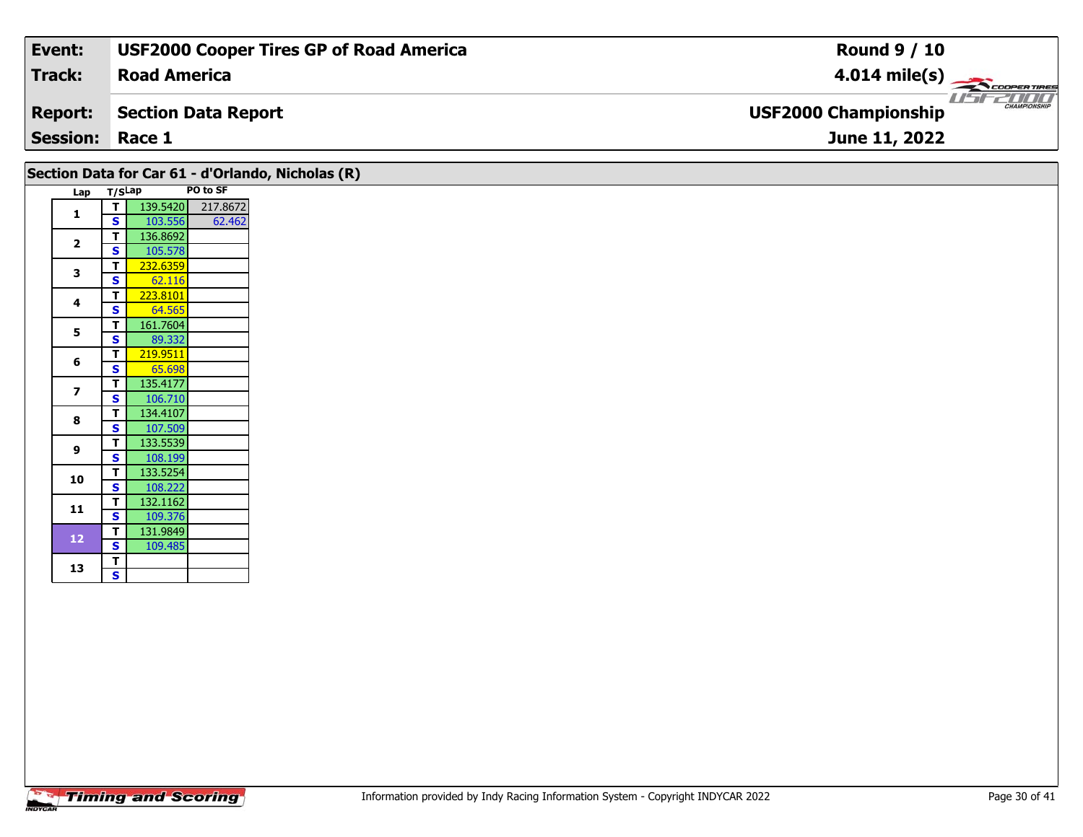| Event:                 | <b>USF2000 Cooper Tires GP of Road America</b> | <b>Round 9 / 10</b>                                |
|------------------------|------------------------------------------------|----------------------------------------------------|
| Track:                 | <b>Road America</b>                            | $4.014 \text{ mile(s)}$                            |
| <b>Report:</b>         | Section Data Report                            | <b>CHAMPIONSHIP</b><br><b>USF2000 Championship</b> |
| <b>Session: Race 1</b> |                                                | June 11, 2022                                      |
|                        |                                                |                                                    |

|                |        |          |          | Section Data for Car 61 - d'Orlando, Nicholas (R) |
|----------------|--------|----------|----------|---------------------------------------------------|
| Lap            | T/SLap |          | PO to SF |                                                   |
| 1              | T      | 139.5420 | 217.8672 |                                                   |
|                | S      | 103.556  | 62.462   |                                                   |
| $\overline{2}$ | т      | 136.8692 |          |                                                   |
|                | S      | 105.578  |          |                                                   |
| 3              | т      | 232.6359 |          |                                                   |
|                | S      | 62.116   |          |                                                   |
| 4              | т      | 223.8101 |          |                                                   |
|                | S      | 64.565   |          |                                                   |
| 5              | т      | 161.7604 |          |                                                   |
|                | S      | 89.332   |          |                                                   |
| 6              | т      | 219.9511 |          |                                                   |
|                | S      | 65.698   |          |                                                   |
| $\overline{z}$ | т      | 135.4177 |          |                                                   |
|                | S      | 106.710  |          |                                                   |
| 8              | т      | 134.4107 |          |                                                   |
|                | S      | 107.509  |          |                                                   |
| 9              | т      | 133.5539 |          |                                                   |
|                | S      | 108.199  |          |                                                   |
| 10             | T      | 133.5254 |          |                                                   |
|                | S      | 108.222  |          |                                                   |
| 11             | т      | 132.1162 |          |                                                   |
|                | S      | 109.376  |          |                                                   |
| 12             | т      | 131.9849 |          |                                                   |
|                | S      | 109.485  |          |                                                   |
| 13             | т      |          |          |                                                   |
|                | S      |          |          |                                                   |

 $\mathbf{s}$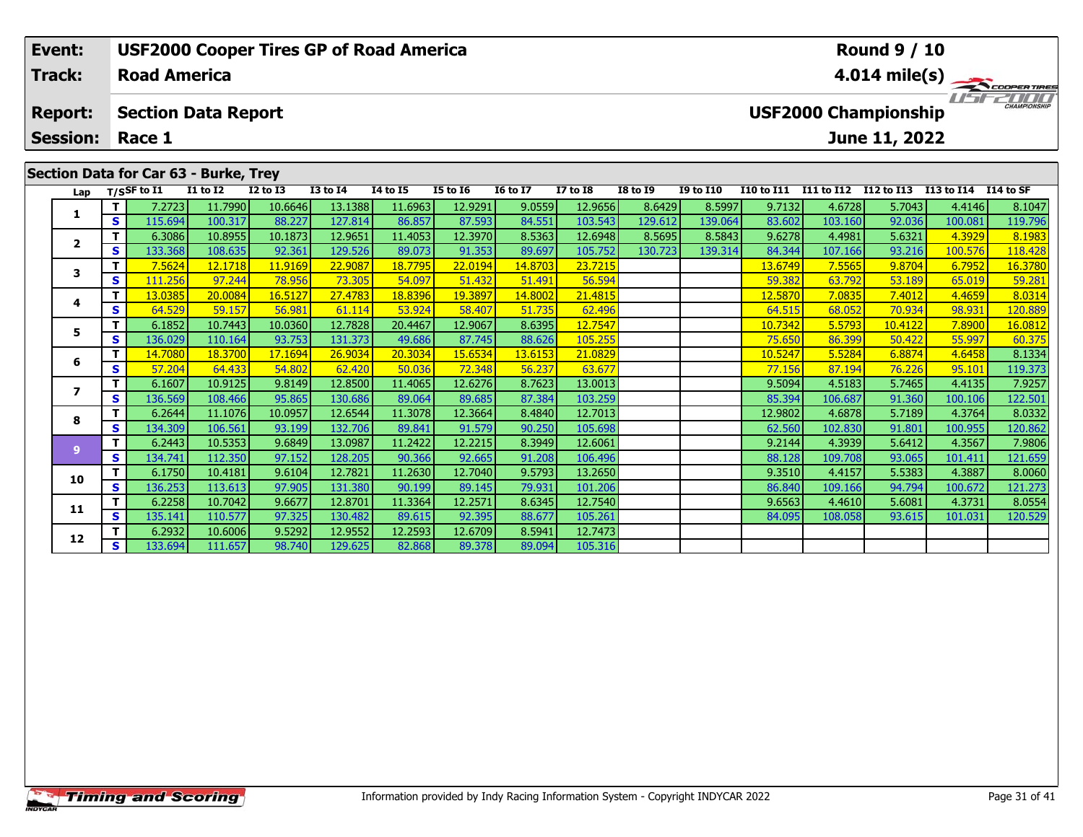| Event:<br><b>USF2000 Cooper Tires GP of Road America</b> |     |                                      |                 |              |                 |          |                 |                 |                 |                 |                  |                         | <b>Round 9 / 10</b> |                                              |            |                     |  |  |  |
|----------------------------------------------------------|-----|--------------------------------------|-----------------|--------------|-----------------|----------|-----------------|-----------------|-----------------|-----------------|------------------|-------------------------|---------------------|----------------------------------------------|------------|---------------------|--|--|--|
| <b>Track:</b><br><b>Road America</b>                     |     |                                      |                 |              |                 |          |                 |                 |                 |                 |                  | $4.014 \text{ mile(s)}$ |                     |                                              |            |                     |  |  |  |
| <b>Report:</b><br><b>Session:</b>                        |     | <b>Section Data Report</b><br>Race 1 |                 |              |                 |          |                 |                 |                 |                 |                  |                         |                     | <b>USF2000 Championship</b><br>June 11, 2022 |            | <b>CHAMPIONSHIP</b> |  |  |  |
| Section Data for Car 63 - Burke, Trey                    |     |                                      |                 |              |                 |          |                 |                 |                 |                 |                  |                         |                     |                                              |            |                     |  |  |  |
| Lap                                                      |     | T/SSF to $\overline{11}$             | <b>I1 to I2</b> | $I2$ to $I3$ | <b>I3 to I4</b> | 14 to 15 | <b>I5 to 16</b> | <b>16 to 17</b> | <b>I7 to I8</b> | <b>I8 to I9</b> | <b>I9 to I10</b> | I10 to I11              | I11 to I12          | I12 to I13                                   | I13 to I14 | I14 to SF           |  |  |  |
|                                                          |     | 7.2723                               | 11.7990         | 10.6646      | 13.1388         | 11.6963  | 12.9291         | 9.0559          | 12.9656         | 8.6429          | 8.5997           | 9.7132                  | 4.6728              | 5.7043                                       | 4.4146     | 8.1047              |  |  |  |
| л.                                                       | s l | 115.694                              | 100.317         | 88.227       | 127.814         | 86.857   | 87.593          | 84.551          | 103.543         | 129.612         | 139.064          | 83.602                  | 103.160             | 92.036                                       | 100.081    | 119.796             |  |  |  |
| $\overline{2}$                                           |     | 6.3086                               | 10.8955         | 10.1873      | 12.9651         | 11.4053  | 12.3970         | 8.5363          | 12.6948         | 8.5695          | 8.5843           | 9.6278                  | 4.4981              | 5.6321                                       | 4.3929     | 8.1983              |  |  |  |
|                                                          | s l | 133.368                              | 108.635         | 92.361       | 129.526         | 89.073   | 91.353          | 89.697          | 105.752         | 130.723         | 139.314          | 84.344                  | 107.166             | 93.216                                       | 100.576    | 118.428             |  |  |  |
|                                                          |     | 75624                                | 12 1718         | 11 9169 L    | <b>22 90871</b> | 187795   | 22,0194         | 14 8703 L       | 237215          |                 |                  | 13 6749 <b>l</b>        | <b>755651</b>       | 98704                                        | 679521     | 16,3780             |  |  |  |

| Lap                     |          | T/SSF to I1 | <b>I1 to I2</b> | <b>I2 to I3</b> | <b>I3 to I4</b> | 14 to 15 | <b>I5 to 16</b> | <b>16 to 17</b> | <b>I7 to I8</b> | <b>I8 to I9</b> | <b>I9 to I10</b> | I10 to I11 I11 to I12 I12 to I13 |         |         | I13 to I14 | I14 to SF |
|-------------------------|----------|-------------|-----------------|-----------------|-----------------|----------|-----------------|-----------------|-----------------|-----------------|------------------|----------------------------------|---------|---------|------------|-----------|
|                         | Τ.       | 7.2723      | 11.7990         | 10.6646         | 13.1388         | 11.6963  | 12.9291         | 9.0559          | 12.9656         | 8.6429          | 8.5997           | 9.7132                           | 4.6728  | 5.7043  | 4.4146     | 8.1047    |
| 1                       | S.       | 115.694     | 100.317         | 88.227          | 127.814         | 86.857   | 87.593          | 84.551          | 103.543         | 129.612         | 139.064          | 83.602                           | 103.160 | 92.036  | 100.081    | 119.796   |
| $\overline{\mathbf{2}}$ |          | 6.3086      | 10.8955         | 10.1873         | 12.9651         | 11.4053  | 12.3970         | 8.5363          | 12.6948         | 8.5695          | 8.5843           | 9.6278                           | 4.4981  | 5.6321  | 4.3929     | 8.1983    |
|                         | S        | 133.368     | 108.635         | 92.361          | 129.526         | 89.073   | 91.353          | 89.697          | 105.752         | 130.723         | 139.314          | 84.344                           | 107.166 | 93.216  | 100.576    | 118.428   |
| 3                       | т        | 7.5624      | 12.1718         | 11.9169         | 22,9087         | 18.7795  | 22.0194         | 14.8703         | 23.7215         |                 |                  | 13.6749                          | 7.5565  | 9.8704  | 6.7952     | 16.3780   |
|                         | s        | 111.256     | 97.244          | 78.956          | 73.305          | 54.097   | 51.432          | 51.491          | 56.594          |                 |                  | 59.382                           | 63.792  | 53.189  | 65.019     | 59.281    |
| 4                       | т        | 13.0385     | 20.0084         | 16.5127         | 27.4783         | 18.8396  | 19.3897         | 14.8002         | 21.4815         |                 |                  | 12.5870                          | 7.0835  | 7.4012  | 4.4659     | 8.0314    |
|                         | S        | 64.529      | 59.157          | 56.981          | 61.114          | 53.924   | 58.407          | 51.735          | 62.496          |                 |                  | 64.515                           | 68.052  | 70.934  | 98.931     | 120.889   |
| 5.                      | т        | 6.1852      | 10.7443         | 10.0360         | 12.7828         | 20.4467  | 12.9067         | 8.6395          | 12.7547         |                 |                  | 10.7342                          | 5.5793  | 10.4122 | 7.8900     | 16.0812   |
|                         | S.       | 136.029     | 110.164         | 93.753          | 131.373         | 49.686   | 87.745          | 88.626          | 105.255         |                 |                  | 75.650                           | 86.399  | 50.422  | 55.997     | 60.375    |
| 6                       | т        | 14.7080     | 18.3700         | 17.1694         | 26.9034         | 20.3034  | 15.6534         | 13.6153         | 21.0829         |                 |                  | 10.5247                          | 5.5284  | 6.8874  | 4.6458     | 8.1334    |
|                         | <b>S</b> | 57.204      | 64.433          | 54.802          | 62.420          | 50.036   | 72.348          | 56.237          | 63.677          |                 |                  | 77.156                           | 87.194  | 76.226  | 95.101     | 119.373   |
| 7                       | Τ.       | 6.1607      | 10.9125         | 9.8149          | 12.8500         | 11.4065  | 12.6276         | 8.7623          | 13.0013         |                 |                  | 9.5094                           | 4.5183  | 5.7465  | 4.4135     | 7.9257    |
|                         | S.       | 136.569     | 108.466         | 95.865          | 130.686         | 89.064   | 89.685          | 87.384          | 103.259         |                 |                  | 85.394                           | 106.687 | 91.360  | 100.106    | 122.501   |
| 8                       | Τ.       | 6.2644      | 11.1076         | 10.0957         | 12.6544         | 11.3078  | 12.3664         | 8.4840          | 12.7013         |                 |                  | 12.9802                          | 4.6878  | 5.7189  | 4.3764     | 8.0332    |
|                         | S.       | 134.309     | 106.561         | 93.199          | 132.706         | 89.841   | 91.579          | 90.250          | 105.698         |                 |                  | 62.560                           | 102.830 | 91.801  | 100.955    | 120.862   |
| 9                       | Τ.       | 6.2443      | 10.5353         | 9.6849          | 13.0987         | 11.2422  | 12.2215         | 8.3949          | 12.6061         |                 |                  | 9.2144                           | 4.3939  | 5.6412  | 4.3567     | 7.9806    |
|                         | S        | 134.741     | 112.350         | 97.152          | 128.205         | 90.366   | 92.665          | 91.208          | 106.496         |                 |                  | 88.128                           | 109.708 | 93.065  | 101.411    | 121.659   |
| 10                      | Τ.       | 6.1750      | 10.4181         | 9.6104          | 12.7821         | 11.2630  | 12.7040         | 9.5793          | 13.2650         |                 |                  | 9.3510                           | 4.4157  | 5.5383  | 4.3887     | 8.0060    |
|                         | S.       | 136.253     | 113.613         | 97.905          | 131.380         | 90.199   | 89.145          | 79.931          | 101.206         |                 |                  | 86.840                           | 109.166 | 94.794  | 100.672    | 121.273   |
| 11                      | Τ.       | 6.2258      | 10.7042         | 9.6677          | 12.8701         | 11.3364  | 12.2571         | 8.6345          | 12.7540         |                 |                  | 9.6563                           | 4.4610  | 5.6081  | 4.3731     | 8.0554    |
|                         | S        | 135.141     | 110.577         | 97.325          | 130.482         | 89.615   | 92.395          | 88.677          | 105.261         |                 |                  | 84.095                           | 108.058 | 93.615  | 101.031    | 120.529   |
| 12                      | T.       | 6.2932      | 10.6006         | 9.5292          | 12.9552         | 12.2593  | 12.6709         | 8.5941          | 12.7473         |                 |                  |                                  |         |         |            |           |
|                         | S.       | 133.694     | 111.657         | 98.740          | 129.625         | 82.868   | 89.378          | 89.094          | 105.316         |                 |                  |                                  |         |         |            |           |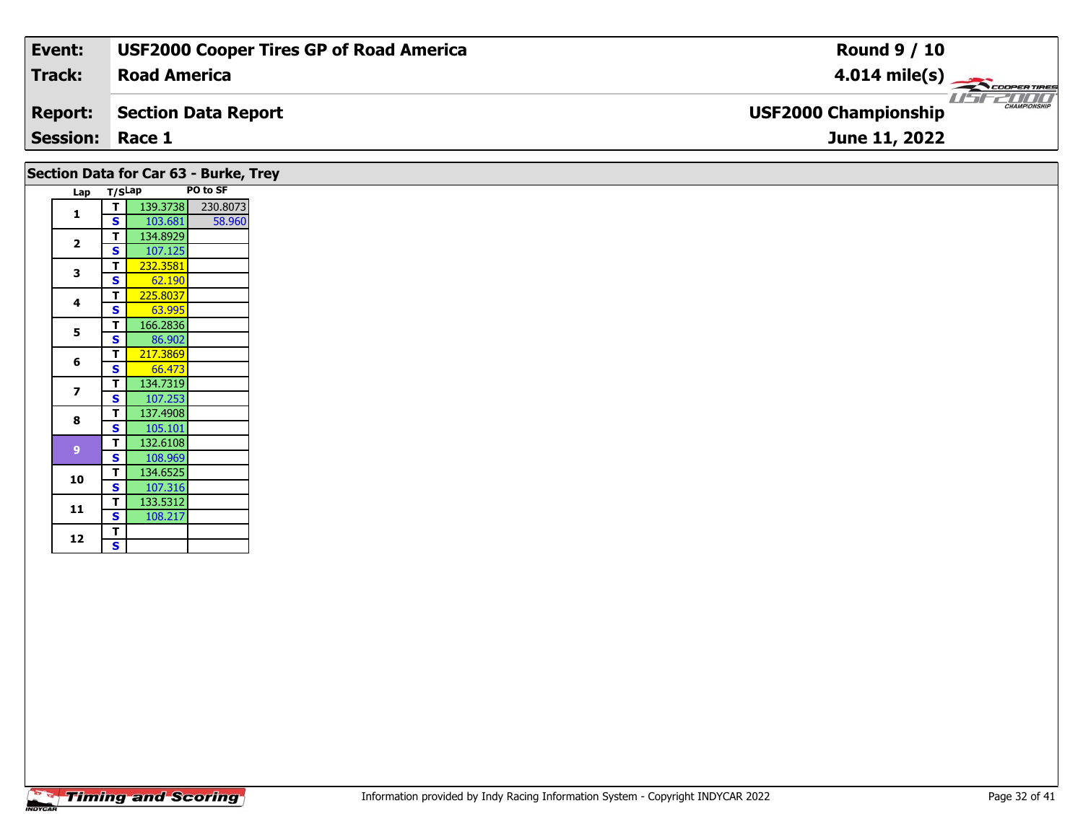| Event:                 | <b>USF2000 Cooper Tires GP of Road America</b> | <b>Round 9 / 10</b>                                |
|------------------------|------------------------------------------------|----------------------------------------------------|
| Track:                 | <b>Road America</b>                            | $4.014 \text{ mile(s)}$                            |
| <b>Report:</b>         | Section Data Report                            | <b>CHAMPIONSHIP</b><br><b>USF2000 Championship</b> |
| <b>Session: Race 1</b> |                                                | June 11, 2022                                      |
|                        |                                                |                                                    |

| Section Data for Car 63 - Burke, Trey |                         |          |          |
|---------------------------------------|-------------------------|----------|----------|
|                                       | Lap T/SLap              |          | PO to SF |
| $\mathbf{1}$                          | T                       | 139.3738 | 230.8073 |
|                                       | <b>S</b>                | 103.681  | 58.960   |
| $\overline{\mathbf{2}}$               | T                       | 134.8929 |          |
|                                       | S.                      | 107.125  |          |
| 3                                     | T.                      | 232.3581 |          |
|                                       | <b>S</b>                | 62.190   |          |
|                                       | T.                      | 225.8037 |          |
| 4                                     | <b>S</b>                | 63.995   |          |
|                                       | T.                      | 166.2836 |          |
| $5\phantom{a}$                        | <b>S</b>                | 86.902   |          |
|                                       | T                       | 217.3869 |          |
| 6                                     | S                       | 66.473   |          |
|                                       | T                       | 134.7319 |          |
| $\overline{\mathbf{z}}$               | <b>S</b>                | 107.253  |          |
|                                       | T.                      | 137.4908 |          |
| 8                                     | <b>S</b>                | 105.101  |          |
|                                       | T.                      | 132.6108 |          |
| 9                                     | <b>S</b>                | 108.969  |          |
|                                       | T.                      | 134.6525 |          |
| 10                                    | <b>S</b>                | 107.316  |          |
|                                       | T.                      | 133.5312 |          |
| 11                                    | <b>S</b>                | 108.217  |          |
|                                       | T.                      |          |          |
| 12                                    | $\overline{\mathbf{s}}$ |          |          |
|                                       |                         |          |          |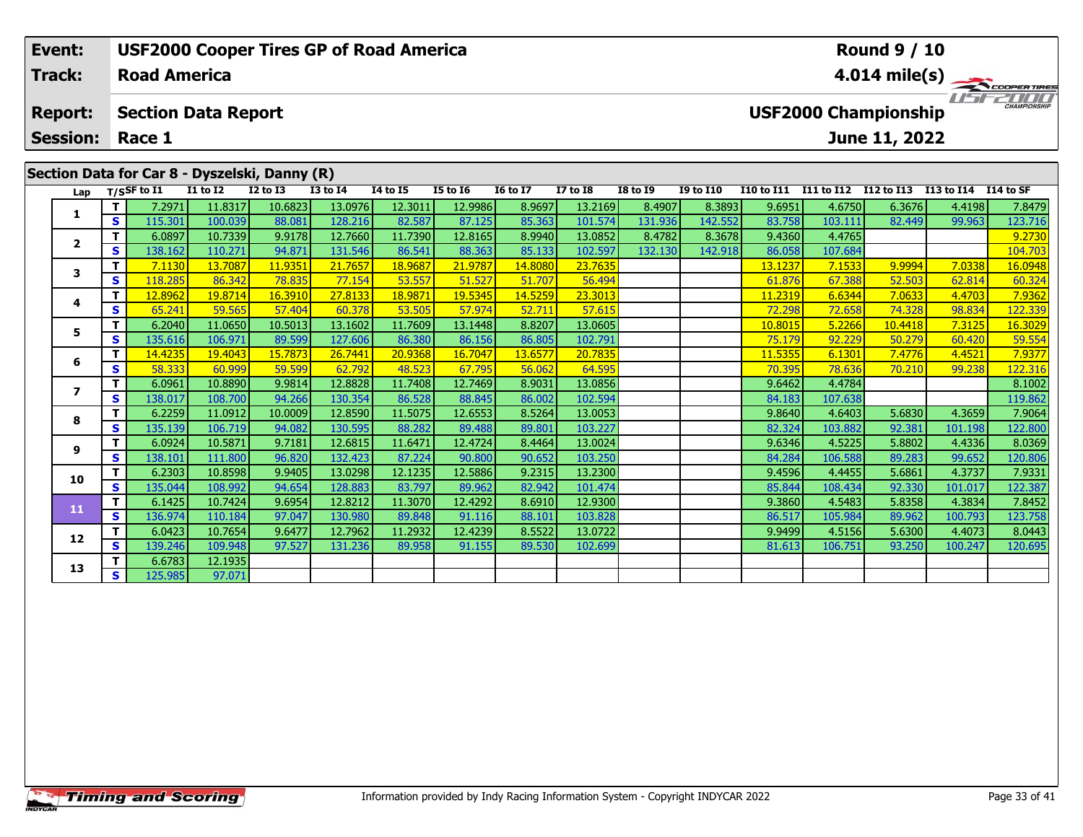| Event:                                     |     |                     |                                               |               | <b>USF2000 Cooper Tires GP of Road America</b> |                                                    |                 | <b>Round 9 / 10</b> |                 |                 |                  |                         |            |            |                      |         |  |  |
|--------------------------------------------|-----|---------------------|-----------------------------------------------|---------------|------------------------------------------------|----------------------------------------------------|-----------------|---------------------|-----------------|-----------------|------------------|-------------------------|------------|------------|----------------------|---------|--|--|
| <b>Track:</b>                              |     | <b>Road America</b> |                                               |               |                                                |                                                    |                 |                     |                 |                 |                  | $4.014 \text{ mile(s)}$ |            |            |                      |         |  |  |
| <b>Report:</b>                             |     |                     | <b>Section Data Report</b>                    |               |                                                | <b>CHAMPIONSHIP</b><br><b>USF2000 Championship</b> |                 |                     |                 |                 |                  |                         |            |            |                      |         |  |  |
| <b>Session:</b><br>Race 1<br>June 11, 2022 |     |                     |                                               |               |                                                |                                                    |                 |                     |                 |                 |                  |                         |            |            |                      |         |  |  |
|                                            |     |                     |                                               |               |                                                |                                                    |                 |                     |                 |                 |                  |                         |            |            |                      |         |  |  |
|                                            |     |                     | Section Data for Car 8 - Dyszelski, Danny (R) |               |                                                |                                                    |                 |                     |                 |                 |                  |                         |            |            |                      |         |  |  |
| Lap                                        |     | T/SSF to I1         | <b>I1 to I2</b>                               | $I2$ to $I3$  | <b>I3 to I4</b>                                | <b>I4 to I5</b>                                    | <b>I5 to I6</b> | <b>16 to 17</b>     | <b>I7 to I8</b> | <b>I8 to 19</b> | <b>I9 to I10</b> | <b>I10 to I11</b>       | I11 to I12 | I12 to I13 | I13 to I14 I14 to SF |         |  |  |
|                                            |     | 7.2971              | 11.8317                                       | 10.6823       | 13.0976                                        | 12.3011                                            | 12.9986         | 8.9697              | 13.2169         | 8.4907          | 8.3893           | 9.6951                  | 4.6750     | 6.3676     | 4.4198               | 7.8479  |  |  |
|                                            | s l | 115.301             | 100.039                                       | 88.081        | 128.216                                        | 82.587                                             | 87.125          | 85.363              | 101.574         | 131.936         | 142.552          | 83.758                  | 103.111    | 82.449     | 99.963               | 123.716 |  |  |
| $\overline{2}$                             |     | 6.0897              | 10.7339                                       | 9.9178        | 12.7660                                        | 11.7390                                            | 12.8165         | 8.9940              | 13.0852         | 8.4782          | 8.3678           | 9.4360                  | 4.4765     |            |                      | 9.2730  |  |  |
|                                            | s l | 138.162             | 110.271                                       | 94.871        | 131.546                                        | 86.541                                             | 88.363          | 85.133              | 102.597         | 132.130         | 142.918          | 86.058                  | 107.684    |            |                      | 104.703 |  |  |
|                                            |     | 7.1130              | 13.7087                                       | 11.9351       | 21.7657                                        | 18.9687                                            | 21.9787         | 14.8080             | 23.7635         |                 |                  | 13.1237                 | 7.1533     | 9.9994     | 7.0338               | 16.0948 |  |  |
| 3<br>S.                                    |     | 118.285             | 86.342                                        | <b>78.835</b> | 77.154                                         | 53.557                                             | 51.527          | 51.707              | 56.494          |                 |                  | 61.876                  | 67.388     | 52.503     | 62.814               | 60.324  |  |  |

**<sup>T</sup>** 12.8962 19.8714 16.3910 27.8133 18.9871 19.5345 14.5259 23.3013 11.2319 6.6344 7.0633 4.4703 7.9362 **<sup>S</sup>** 65.241 59.565 57.404 60.378 53.505 57.974 52.711 57.615 72.298 72.658 74.328 98.834 122.339

**<sup>T</sup>** 6.2040 11.0650 10.5013 13.1602 11.7609 13.1448 8.8207 13.0605 10.8015 5.2266 10.4418 7.3125 16.3029 **<sup>S</sup>** 135.616 106.971 89.599 127.606 86.380 86.156 86.805 102.791 75.179 92.229 50.279 60.420 59.554

**<sup>T</sup>** 14.4235 19.4043 15.7873 26.7441 20.9368 16.7047 13.6577 20.7835 11.5355 6.1301 7.4776 4.4521 7.9377 **<sup>S</sup>** 58.333 60.999 59.599 62.792 48.523 67.795 56.062 64.595 70.395 78.636 70.210 99.238 122.316

**T** 6.0961 10.8890 9.9814 12.8828 11.7408 12.7469 8.9031 13.0856 9.6462 4.4784 8.1002<br>7 94.266 130.354 86.528 88.845 86.002 102.594 84.183 107.638 119.862

**<sup>T</sup>** 6.2259 11.0912 10.0009 12.8590 11.5075 12.6553 8.5264 13.0053 9.8640 4.6403 5.6830 4.3659 7.9064 **<sup>S</sup>** 135.139 106.719 94.082 130.595 88.282 89.488 89.801 103.227 82.324 103.882 92.381 101.198 122.800

**<sup>T</sup>** 6.0924 10.5871 9.7181 12.6815 11.6471 12.4724 8.4464 13.0024 9.6346 4.5225 5.8802 4.4336 8.0369 **<sup>S</sup>** 138.101 111.800 96.820 132.423 87.224 90.800 90.652 103.250 84.284 106.588 89.283 99.652 120.806

**<sup>T</sup>** 6.2303 10.8598 9.9405 13.0298 12.1235 12.5886 9.2315 13.2300 9.4596 4.4455 5.6861 4.3737 7.9331 **<sup>S</sup>** 135.044 108.992 94.654 128.883 83.797 89.962 82.942 101.474 85.844 108.434 92.330 101.017 122.387

**<sup>T</sup>** 6.1425 10.7424 9.6954 12.8212 11.3070 12.4292 8.6910 12.9300 9.3860 4.5483 5.8358 4.3834 7.8452 **<sup>S</sup>** 136.974 110.184 97.047 130.980 89.848 91.116 88.101 103.828 86.517 105.984 89.962 100.793 123.758

**<sup>T</sup>** 6.0423 10.7654 9.6477 12.7962 11.2932 12.4239 8.5522 13.0722 9.9499 4.5156 5.6300 4.4073 8.0443 **<sup>S</sup>** 139.246 109.948 97.527 131.236 89.958 91.155 89.530 102.699 81.613 106.751 93.250 100.247 120.695

**<sup>T</sup>** 6.6783 12.1935 **<sup>S</sup>** 125.985 97.071

**4**

**5**

**6**

**7**

**8**

**9**

**10**

**11**

**12**

**13**

122.339

120.806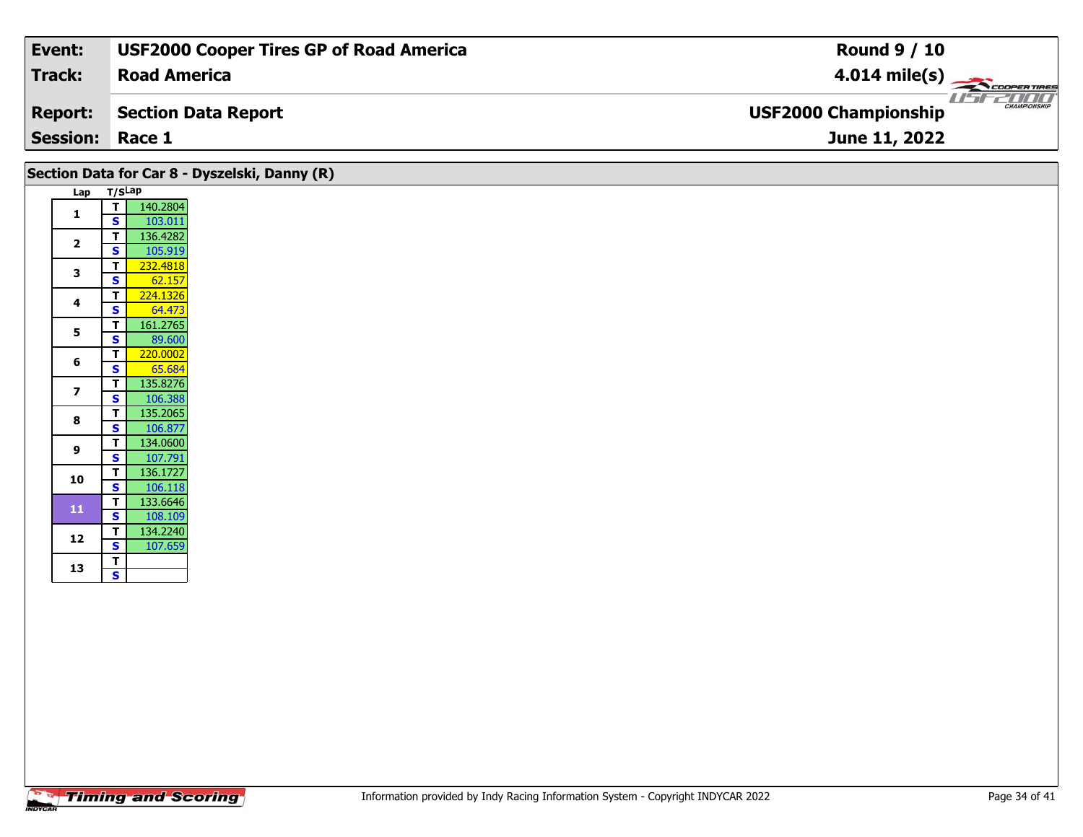| Event:                 | <b>USF2000 Cooper Tires GP of Road America</b> | <b>Round 9 / 10</b>                         |
|------------------------|------------------------------------------------|---------------------------------------------|
| Track:                 | <b>Road America</b>                            | $4.014 \text{ mile(s)}$                     |
| <b>Report:</b>         | Section Data Report                            | CHAMPIONSHIP<br><b>USF2000 Championship</b> |
| <b>Session: Race 1</b> |                                                | June 11, 2022                               |

## **Section Data for Car 8 - Dyszelski, Danny (R)**

| Lap | T/SLap                  |          |
|-----|-------------------------|----------|
| 1   | т                       | 140.2804 |
|     | S                       | 103.011  |
| 2   | T                       | 136.4282 |
|     | S                       | 105.919  |
| з   | T                       | 232.4818 |
|     | S                       | 62.157   |
| 4   | т                       | 224.1326 |
|     | S                       | 64.473   |
| 5   | т                       | 161.2765 |
|     | $\overline{\mathbf{s}}$ | 89.600   |
| 6   | T                       | 220.0002 |
|     | S                       | 65.684   |
| 7   | T                       | 135.8276 |
|     | S                       | 106.388  |
| 8   | T                       | 135.2065 |
|     | S                       | 106.877  |
| 9   | T                       | 134.0600 |
|     | S                       | 107.791  |
| 10  | T                       | 136.1727 |
|     | $\overline{\mathbf{s}}$ | 106.118  |
| 11  | T                       | 133.6646 |
|     | S                       | 108.109  |
| 12  | T                       | 134.2240 |
|     | S                       | 107.659  |
| 13  | T                       |          |
|     | s                       |          |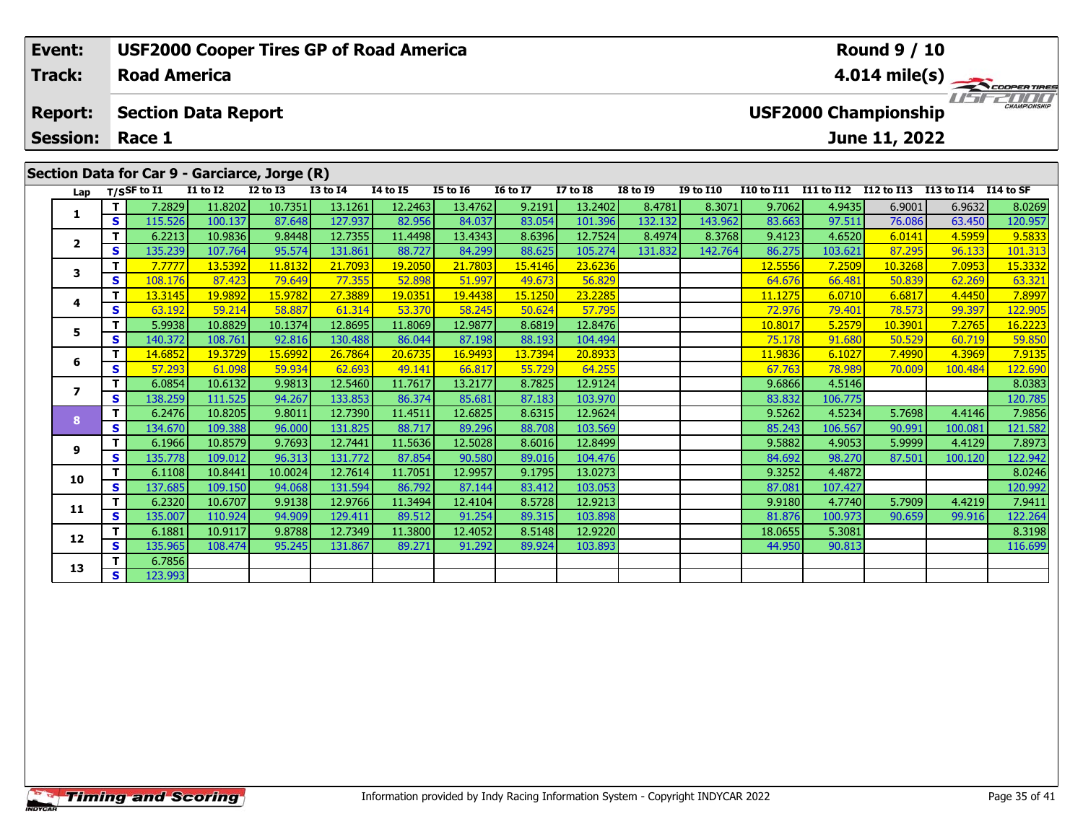| <b>USF2000 Cooper Tires GP of Road America</b><br>Event: |                                         |                     |                                               |                 |                 |                                        |                 |                 |                 |                 |                  | <b>Round 9 / 10</b>     |                   |               |                      |         |  |  |  |  |
|----------------------------------------------------------|-----------------------------------------|---------------------|-----------------------------------------------|-----------------|-----------------|----------------------------------------|-----------------|-----------------|-----------------|-----------------|------------------|-------------------------|-------------------|---------------|----------------------|---------|--|--|--|--|
| <b>Track:</b>                                            |                                         | <b>Road America</b> |                                               |                 |                 |                                        |                 |                 |                 |                 |                  | $4.014 \text{ mile(s)}$ |                   |               |                      |         |  |  |  |  |
| <b>Report:</b>                                           |                                         |                     | <b>Section Data Report</b>                    |                 |                 | USFZOOD<br><b>USF2000 Championship</b> |                 |                 |                 |                 |                  |                         |                   |               |                      |         |  |  |  |  |
|                                                          | <b>Session: Race 1</b><br>June 11, 2022 |                     |                                               |                 |                 |                                        |                 |                 |                 |                 |                  |                         |                   |               |                      |         |  |  |  |  |
|                                                          |                                         |                     |                                               |                 |                 |                                        |                 |                 |                 |                 |                  |                         |                   |               |                      |         |  |  |  |  |
|                                                          |                                         |                     | Section Data for Car 9 - Garciarce, Jorge (R) |                 |                 |                                        |                 |                 |                 |                 |                  |                         |                   |               |                      |         |  |  |  |  |
|                                                          |                                         | Lap T/SSF to I1     | <b>I1 to I2</b>                               | <b>I2 to I3</b> | <b>I3 to I4</b> | 14 to 15                               | <b>I5 to 16</b> | <b>16 to 17</b> | <b>I7 to I8</b> | <b>I8 to 19</b> | <b>I9 to I10</b> | <b>I10 to I11</b>       | <b>I11 to I12</b> | I12 to I13    | I13 to I14 I14 to SF |         |  |  |  |  |
|                                                          |                                         | 7.2829              | 11.8202                                       | 10.7351         | 13.1261         | 12.2463                                | 13.4762         | 9.2191          | 13.2402         | 8.4781          | 8.3071           | 9.7062                  | 4.9435            | 6.9001        | 6.9632               | 8.0269  |  |  |  |  |
|                                                          | -s I                                    | 115.526             | 100.137                                       | 87.648          | 127.937         | 82.956                                 | 84.037          | 83.054          | 101.396         | 132.132         | 143.962          | 83.663                  | 97.511            | 76.086        | 63.450               | 120.957 |  |  |  |  |
| $\overline{2}$                                           |                                         | 6.2213              | 10.9836                                       | 9.8448          | 12.7355         | 11.4498                                | 13.4343         | 8.6396          | 12.7524         | 8.4974          | 8.3768           | 9.4123                  | 4.6520            | 6.0141        | 4.5959               | 9.5833  |  |  |  |  |
|                                                          | -s l                                    | 135.239             | 107.764                                       | 95.574          | 131.861         | 88.727                                 | 84.299          | 88.625          | 105.274         | 131.832         | 142.764          | 86.275                  | 103.621           | 87.295        | 96.133               | 101.313 |  |  |  |  |
| 3                                                        |                                         | 7.7777              | 13.5392                                       | 11,8132         | 21.7093         | 19,2050                                | 21.7803         | 15.4146         | 23.6236         |                 |                  | 12.5556                 | 7.2509            | 10.3268       | 7.0953               | 15.3332 |  |  |  |  |
|                                                          | $\bullet$                               | 100176              | 07A22                                         | 70.640          | 77.255          | <b>ED ONO</b>                          | E1007           | $AO$ $C$ 72     | <b>EGOOO</b>    |                 |                  | C A C T C               | $AC$ $AO1$        | <b>EN 020</b> | 52.250               | 62.221  |  |  |  |  |

### **<sup>T</sup>** 7.7777 13.5392 11.8132 21.7093 19.2050 21.7803 15.4146 23.6236 12.5556 7.2509 10.3268 7.0953 15.3332 **<sup>S</sup>** 108.176 87.423 79.649 77.355 52.898 51.997 49.673 56.829 64.676 66.481 50.839 62.269 63.321**4 <sup>T</sup>** 13.3145 19.9892 15.9782 27.3889 19.0351 19.4438 15.1250 23.2285 11.1275 6.0710 6.6817 4.4450 7.8997 **<sup>S</sup>** 63.192 59.214 58.887 61.314 53.370 58.245 50.624 57.795 72.976 79.401 78.573 99.397 122.905122.905 **5**5 **T** 5.9938 10.8829 10.1374 12.8695 11.8069 12.9877 8.6819 12.8476 10.8017 10.8017 5.2579 10.3901 7.2765 16.2223<br>S S 140.372 108.761 92.816 130.488 86.044 87.198 88.193 104.494 75.178 91.680 50.529 60.719 59.850 **6 <sup>T</sup>** 14.6852 19.3729 15.6992 26.7864 20.6735 16.9493 13.7394 20.8933 11.9836 6.1027 7.4990 4.3969 7.9135 **<sup>S</sup>** 57.293 61.098 59.934 62.693 49.141 66.817 55.729 64.255 67.763 78.989 70.009 100.484 122.690**7 <sup>T</sup>** 6.0854 10.6132 9.9813 12.5460 11.7617 13.2177 8.7825 12.9124 9.6866 4.5146 8.0383 **<sup>S</sup>** 138.259 111.525 94.267 133.853 86.374 85.681 87.183 103.970 83.832 106.775 120.785120.785 **8 <sup>T</sup>** 6.2476 10.8205 9.8011 12.7390 11.4511 12.6825 8.6315 12.9624 9.5262 4.5234 5.7698 4.4146 7.9856 **<sup>S</sup>** 134.670 109.388 96.000 131.825 88.717 89.296 88.708 103.569 85.243 106.567 90.991 100.081 121.582**9 <sup>T</sup>** 6.1966 10.8579 9.7693 12.7441 11.5636 12.5028 8.6016 12.8499 9.5882 4.9053 5.9999 4.4129 7.8973 **<sup>S</sup>** 135.778 109.012 96.313 131.772 87.854 90.580 89.016 104.476 84.692 98.270 87.501 100.120 122.942122.942 **10 <sup>T</sup>** 6.1108 10.8441 10.0024 12.7614 11.7051 12.9957 9.1795 13.0273 9.3252 4.4872 8.0246 **<sup>S</sup>** 137.685 109.150 94.068 131.594 86.792 87.144 83.412 103.053 87.081 107.427 120.992**11 <sup>T</sup>** 6.2320 10.6707 9.9138 12.9766 11.3494 12.4104 8.5728 12.9213 9.9180 4.7740 5.7909 4.4219 7.9411 **<sup>S</sup>** 135.007 110.924 94.909 129.411 89.512 91.254 89.315 103.898 81.876 100.973 90.659 99.916 122.264**12 <sup>T</sup>** 6.1881 10.9117 9.8788 12.7349 11.3800 12.4052 8.5148 12.9220 18.0655 5.3081 8.3198 **<sup>S</sup>** 135.965 108.474 95.245 131.867 89.271 91.292 89.924 103.893 44.950 90.813 116.699116.699 **13<sup>T</sup>** 6.7856 **<sup>S</sup>** 123.993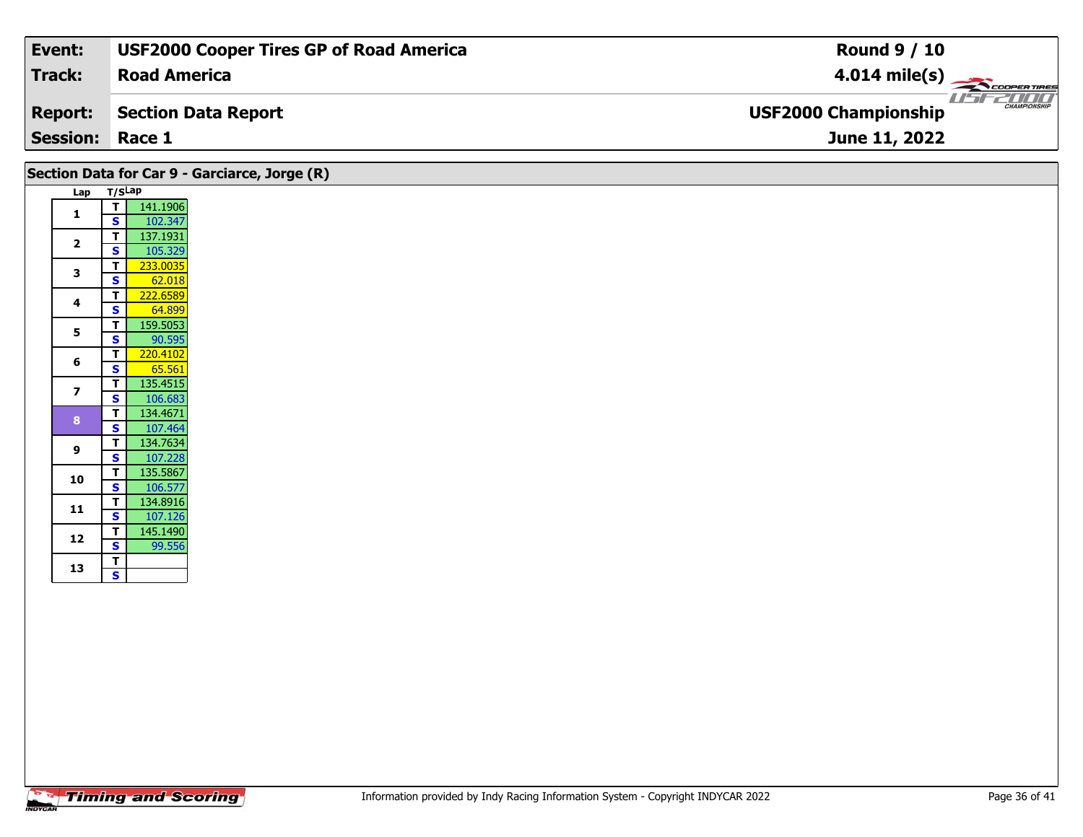| Event:                 | <b>USF2000 Cooper Tires GP of Road America</b> | <b>Round 9 / 10</b>                         |
|------------------------|------------------------------------------------|---------------------------------------------|
| Track:                 | <b>Road America</b>                            | $4.014 \text{ mile(s)}$                     |
| <b>Report:</b>         | Section Data Report                            | CHAMPIONSHIP<br><b>USF2000 Championship</b> |
| <b>Session: Race 1</b> |                                                | June 11, 2022                               |

|                         |                                                    | Section Data for Car 9 - Garciarce, Jorge (R) |
|-------------------------|----------------------------------------------------|-----------------------------------------------|
|                         | Lap T/SLap                                         |                                               |
| 1                       | 141.1906<br> T                                     |                                               |
|                         | S<br>102.347<br>137.1931<br>$\mathbf T$            |                                               |
| $\overline{2}$          | $\overline{\mathbf{s}}$<br>105.329                 |                                               |
|                         | 233.0035<br>$\mathbf{T}$                           |                                               |
| 3                       | $\mathbf{s}$<br>62.018                             |                                               |
| 4                       | 222.6589<br>T                                      |                                               |
|                         | $\mathbf{s}$<br>64.899                             |                                               |
| 5                       | 159.5053<br>$\mathbf{T}$<br>S<br>90.595            |                                               |
|                         | $\mathbf T$<br>220.4102                            |                                               |
| 6                       | $\mathbf{s}$<br>65.561                             |                                               |
| $\overline{\mathbf{z}}$ | 135.4515<br>$\mathbf T$                            |                                               |
|                         | 106.683<br><b>S</b>                                |                                               |
| 8                       | 134.4671<br>$\mathbf{T}$                           |                                               |
|                         | $\mathbf{s}$<br>107.464<br>134.7634<br>$\mathbf T$ |                                               |
| 9                       | 107.228<br><b>S</b>                                |                                               |
|                         | 135.5867<br>$\overline{\mathsf{T}}$                |                                               |
| 10                      | $\overline{\mathbf{s}}$<br>106.577                 |                                               |
| 11                      | 134.8916<br>$\mathbf{T}$                           |                                               |
|                         | 107.126<br>S<br>145.1490<br>$\mathbf{T}$           |                                               |
| 12                      | 99.556<br>S                                        |                                               |
|                         | T                                                  |                                               |
| 13                      | $\overline{\mathbf{s}}$                            |                                               |
|                         |                                                    |                                               |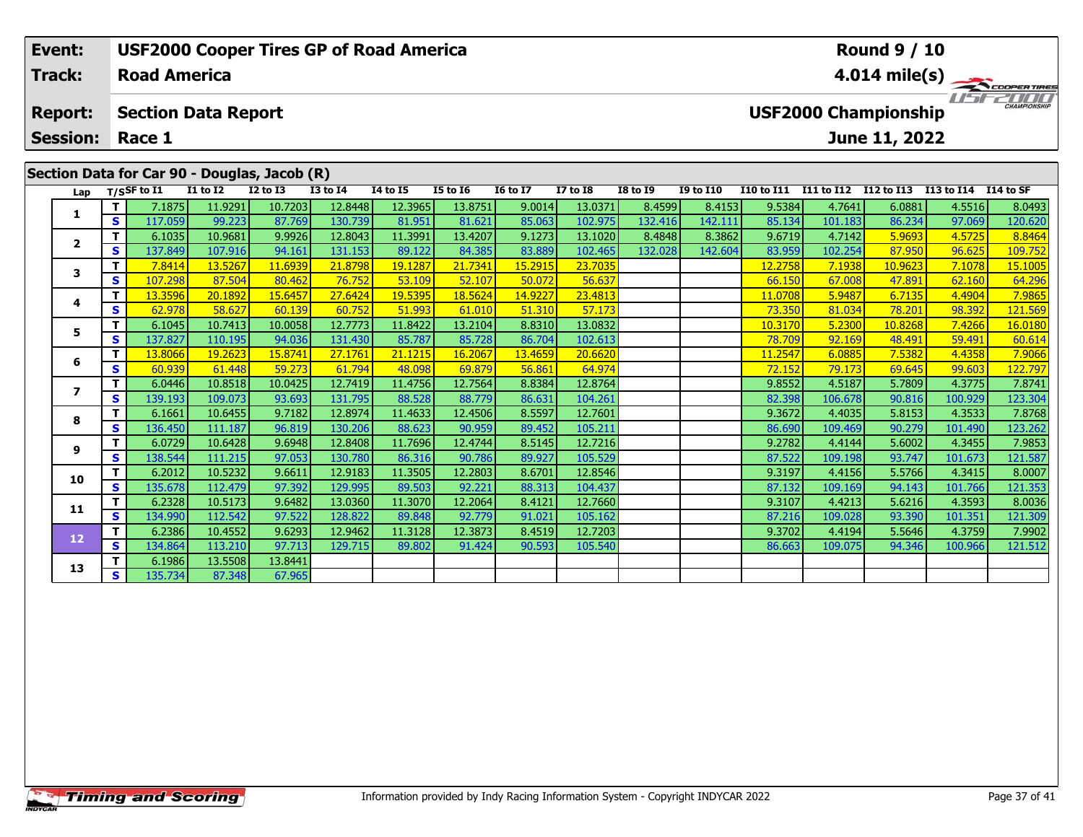| <b>USF2000 Cooper Tires GP of Road America</b><br>Event: |      |                                                                                      |                                                                                                                              |                 |                 |             |          |                 |                 |                 | <b>Round 9 / 10</b> |                         |             |            |             |                     |  |  |  |
|----------------------------------------------------------|------|--------------------------------------------------------------------------------------|------------------------------------------------------------------------------------------------------------------------------|-----------------|-----------------|-------------|----------|-----------------|-----------------|-----------------|---------------------|-------------------------|-------------|------------|-------------|---------------------|--|--|--|
| <b>Track:</b>                                            |      | <b>Road America</b>                                                                  |                                                                                                                              |                 |                 |             |          |                 |                 |                 |                     | $4.014 \text{ mile(s)}$ |             |            |             |                     |  |  |  |
| <b>Report:</b><br><b>Session:</b>                        |      | <b>USF2000 Championship</b><br><b>Section Data Report</b><br>Race 1<br>June 11, 2022 |                                                                                                                              |                 |                 |             |          |                 |                 |                 |                     |                         |             |            |             | <b>CHAMPIONSHIP</b> |  |  |  |
|                                                          |      |                                                                                      |                                                                                                                              |                 |                 |             |          |                 |                 |                 |                     |                         |             |            |             |                     |  |  |  |
|                                                          |      |                                                                                      | Section Data for Car 90 - Douglas, Jacob (R)                                                                                 |                 |                 |             |          |                 |                 |                 |                     |                         |             |            |             |                     |  |  |  |
|                                                          |      | Lap T/SSF to I1                                                                      | <b>I1 to I2</b>                                                                                                              | <b>I2 to I3</b> | <b>I3 to I4</b> | 14 to 15    | I5 to 16 | <b>16 to 17</b> | <b>I7 to I8</b> | <b>I8 to 19</b> | <b>I9 to I10</b>    | <b>I10 to I11</b>       | I11 to I12  | I12 to I13 | I13 to I14  | I14 to SF           |  |  |  |
| 1                                                        |      | 7.1875                                                                               | 11.9291                                                                                                                      | 10.7203         | 12.8448         | 12.3965     | 13.8751  | 9.0014          | 13.0371         | 8.4599          | 8.4153              | 9.5384                  | 4.7641      | 6.0881     | 4.5516      | 8.0493              |  |  |  |
|                                                          | -s l | 117.059                                                                              | 99.223                                                                                                                       | 87.769          | 130.739         | 81.951      | 81.621   | 85.063          | 102.975         | 132.416         | 142.111             | 85.134                  | 101.183     | 86.234     | 97.069      | 120.620             |  |  |  |
| $\overline{2}$                                           |      | 6.1035                                                                               | 10.9681                                                                                                                      | 9.9926          | 12.8043         | 11.3991     | 13.4207  | 9.1273          | 13.1020         | 8.4848          | 8.3862              | 9.6719                  | 4.7142      | 5.9693     | 4.5725      | 8.8464              |  |  |  |
|                                                          | -s l | 137.849                                                                              | 107.916                                                                                                                      | 94.161          | 131.153         | 89.122      | 84.385   | 83.889          | 102.465         | 132.028         | 142.604             | 83.959                  | 102.254     | 87.950     | 96.625      | 109.752             |  |  |  |
| 3                                                        |      | 7.8414                                                                               | 13.5267                                                                                                                      | 11.6939         | 21.8798         | 19.1287     | 21.7341  | 15.2915         | 23.7035         |                 |                     | 12.2758                 | 7.1938      | 10.9623    | 7.1078      | 15.1005             |  |  |  |
|                                                          |      | $\frac{1}{2}$                                                                        | $\overline{\phantom{a}}$ $\overline{\phantom{a}}$ $\overline{\phantom{a}}$ $\overline{\phantom{a}}$ $\overline{\phantom{a}}$ | $- - - - -$     | $- - - - -$     | $- - - - -$ | -- ---   | -- ---          | -----           |                 |                     |                         | $- - - - -$ | $- - - -$  | $- - - - -$ | <u>and a series</u> |  |  |  |

|    | S | 117.059 | 99.223  | 87.769  | 130.739 | 81.951  | 81.621  | 85.063  | 102.975 | 132.416 | 142.111 | 85.134  | 101.183 | 86.234  | 97.069  | 120.620 |
|----|---|---------|---------|---------|---------|---------|---------|---------|---------|---------|---------|---------|---------|---------|---------|---------|
|    | Т | 6.1035  | 10.9681 | 9.9926  | 12.8043 | 11.3991 | 13.4207 | 9.1273  | 13.1020 | 8.4848  | 8.3862  | 9.6719  | 4.7142  | 5.9693  | 4.5725  | 8.8464  |
| 2  | S | 137.849 | 107.916 | 94.161  | 131.153 | 89.122  | 84.385  | 83.889  | 102.465 | 132.028 | 142.604 | 83.959  | 102.254 | 87.950  | 96.625  | 109.752 |
| 3  | т | 7.8414  | 13.5267 | 11.6939 | 21.8798 | 19.1287 | 21.7341 | 15.2915 | 23.7035 |         |         | 12.2758 | 7.1938  | 10.9623 | 7.1078  | 15.1005 |
|    | S | 107.298 | 87.504  | 80.462  | 76.752  | 53.109  | 52.107  | 50.072  | 56.637  |         |         | 66.150  | 67.008  | 47.891  | 62.160  | 64.296  |
| 4  | т | 13.3596 | 20.1892 | 15.6457 | 27.6424 | 19.5395 | 18.5624 | 14.9227 | 23.4813 |         |         | 11.0708 | 5.9487  | 6.7135  | 4.4904  | 7.9865  |
|    | S | 62.978  | 58.627  | 60.139  | 60.752  | 51.993  | 61.010  | 51.310  | 57.173  |         |         | 73.350  | 81.034  | 78.201  | 98.392  | 121.569 |
| 5  | т | 6.1045  | 10.7413 | 10.0058 | 12.7773 | 11.8422 | 13.2104 | 8.8310  | 13.0832 |         |         | 10.3170 | 5.2300  | 10.8268 | 7.4266  | 16.0180 |
|    | S | 137.827 | 110.195 | 94.036  | 131.430 | 85.787  | 85.728  | 86.704  | 102.613 |         |         | 78.709  | 92.169  | 48.491  | 59.491  | 60.614  |
| 6  | т | 13.8066 | 19.2623 | 15.8741 | 27.1761 | 21.1215 | 16.2067 | 13.4659 | 20.6620 |         |         | 11.2547 | 6.0885  | 7.5382  | 4.4358  | 7.9066  |
|    | S | 60.939  | 61.448  | 59.273  | 61.794  | 48.098  | 69.879  | 56.861  | 64.974  |         |         | 72.152  | 79.173  | 69.645  | 99.603  | 122.797 |
| 7  | т | 6.0446  | 10.8518 | 10.0425 | 12.7419 | 11.4756 | 12.7564 | 8.8384  | 12.8764 |         |         | 9.8552  | 4.5187  | 5.7809  | 4.3775  | 7.8741  |
|    | S | 139.193 | 109.073 | 93.693  | 131.795 | 88.528  | 88.779  | 86.631  | 104.261 |         |         | 82.398  | 106.678 | 90.816  | 100.929 | 123.304 |
| 8  | Т | 6.1661  | 10.6455 | 9.7182  | 12.8974 | 11.4633 | 12.4506 | 8.5597  | 12.7601 |         |         | 9.3672  | 4.4035  | 5.8153  | 4.3533  | 7.8768  |
|    | S | 136.450 | 111.187 | 96.819  | 130.206 | 88.623  | 90.959  | 89.452  | 105.211 |         |         | 86.690  | 109.469 | 90.279  | 101.490 | 123.262 |
| 9  |   | 6.0729  | 10.6428 | 9.6948  | 12.8408 | 11.7696 | 12.4744 | 8.5145  | 12.7216 |         |         | 9.2782  | 4.4144  | 5.6002  | 4.3455  | 7.9853  |
|    | S | 138.544 | 111.215 | 97.053  | 130.780 | 86.316  | 90.786  | 89.927  | 105.529 |         |         | 87.522  | 109.198 | 93.747  | 101.673 | 121.587 |
| 10 | т | 6.2012  | 10.5232 | 9.6611  | 12.9183 | 11.3505 | 12.2803 | 8.6701  | 12.8546 |         |         | 9.3197  | 4.4156  | 5.5766  | 4.3415  | 8.0007  |
|    | S | 135.678 | 112.479 | 97.392  | 129.995 | 89.503  | 92.221  | 88.313  | 104.437 |         |         | 87.132  | 109.169 | 94.143  | 101.766 | 121.353 |
| 11 |   | 6.2328  | 10.5173 | 9.6482  | 13.0360 | 11.3070 | 12.2064 | 8.4121  | 12.7660 |         |         | 9.3107  | 4.4213  | 5.6216  | 4.3593  | 8.0036  |
|    | S | 134.990 | 112.542 | 97.522  | 128.822 | 89.848  | 92.779  | 91.021  | 105.162 |         |         | 87.216  | 109.028 | 93.390  | 101.351 | 121.309 |
| 12 |   | 6.2386  | 10.4552 | 9.6293  | 12.9462 | 11.3128 | 12.3873 | 8.4519  | 12.7203 |         |         | 9.3702  | 4.4194  | 5.5646  | 4.3759  | 7.9902  |
|    | S | 134.864 | 113.210 | 97.713  | 129.715 | 89.802  | 91.424  | 90.593  | 105.540 |         |         | 86.663  | 109.075 | 94.346  | 100.966 | 121.512 |
| 13 |   | 6.1986  | 13.5508 | 13.8441 |         |         |         |         |         |         |         |         |         |         |         |         |
|    | S | 135.734 | 87.348  | 67.965  |         |         |         |         |         |         |         |         |         |         |         |         |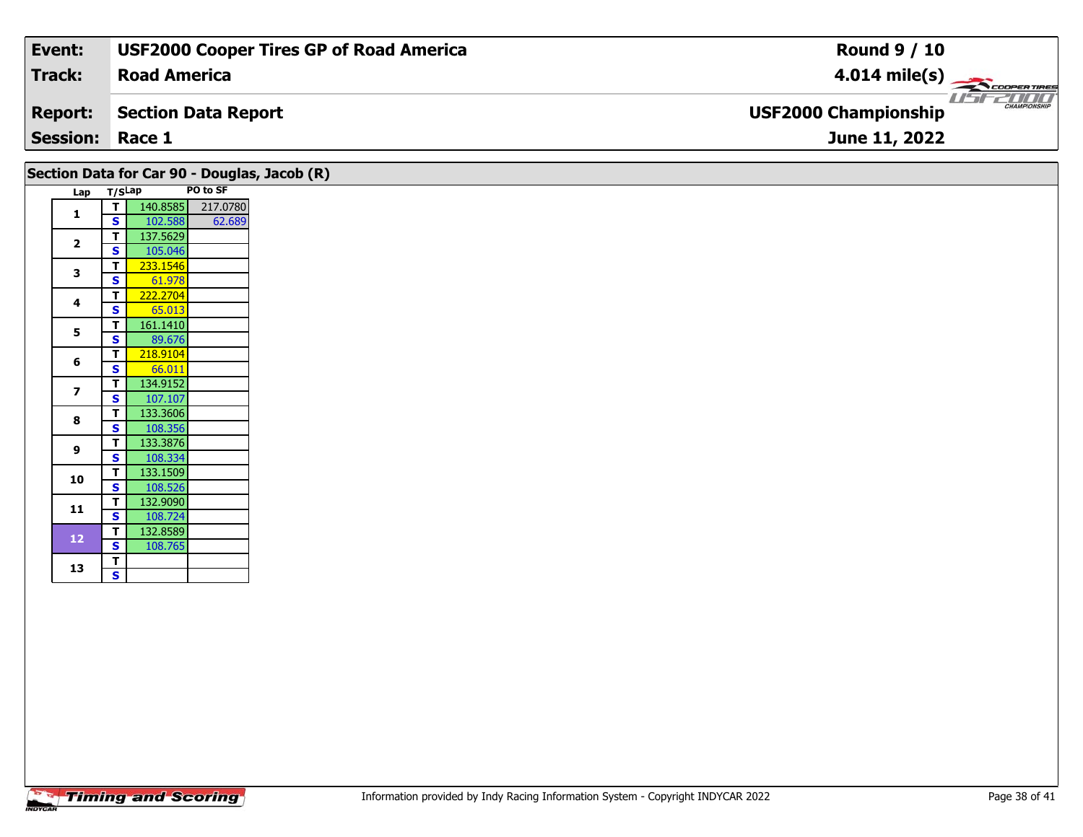| Event:                 | <b>USF2000 Cooper Tires GP of Road America</b> | <b>Round 9 / 10</b>                                |
|------------------------|------------------------------------------------|----------------------------------------------------|
| Track:                 | <b>Road America</b>                            | $4.014 \text{ mile(s)}$                            |
| <b>Report:</b>         | Section Data Report                            | <b>CHAMPIONSHIP</b><br><b>USF2000 Championship</b> |
| <b>Session: Race 1</b> |                                                | June 11, 2022                                      |

| Section Data for Car 90 - Douglas, Jacob (R)<br>Lap T/SLap |                         |                   | PO to SF |
|------------------------------------------------------------|-------------------------|-------------------|----------|
|                                                            | T                       | 140.8585 217.0780 |          |
| 1                                                          | $\mathbf{s}$            | 102.588           | 62.689   |
|                                                            | $\mathbf{T}$            | 137.5629          |          |
| $\overline{\mathbf{2}}$                                    | $\mathbf{s}$            | 105.046           |          |
|                                                            | $\mathbf{T}$            | 233.1546          |          |
| 3                                                          | $\mathbf{s}$            | 61.978            |          |
|                                                            | $\mathbf{T}$            | 222.2704          |          |
| 4                                                          | $\overline{\mathbf{s}}$ | 65.013            |          |
|                                                            | $\mathbf{T}$            | 161.1410          |          |
| $5\phantom{a}$                                             | $\mathbf{s}$            | 89.676            |          |
|                                                            | $\mathbf{T}$            | 218.9104          |          |
| 6                                                          | S                       | 66.011            |          |
|                                                            | $\mathbf{T}$            | 134.9152          |          |
| $\overline{\mathbf{z}}$                                    | $\mathbf{s}$            | 107.107           |          |
| 8                                                          | $\mathbf{T}$            | 133.3606          |          |
|                                                            | S                       | 108.356           |          |
| 9                                                          | $\mathbf{T}$            | 133.3876          |          |
|                                                            | $\mathbf{s}$            | 108.334           |          |
| 10                                                         | $\mathbf{T}$            | 133.1509          |          |
|                                                            | $\overline{\mathbf{s}}$ | 108.526           |          |
| 11                                                         | T                       | 132.9090          |          |
|                                                            | S                       | 108.724           |          |
| $12$                                                       | $\mathbf{T}$            | 132.8589          |          |
|                                                            | $\mathbf{s}$            | 108.765           |          |
| 13                                                         | $\mathbf{T}$            |                   |          |
|                                                            | $\overline{\mathbf{s}}$ |                   |          |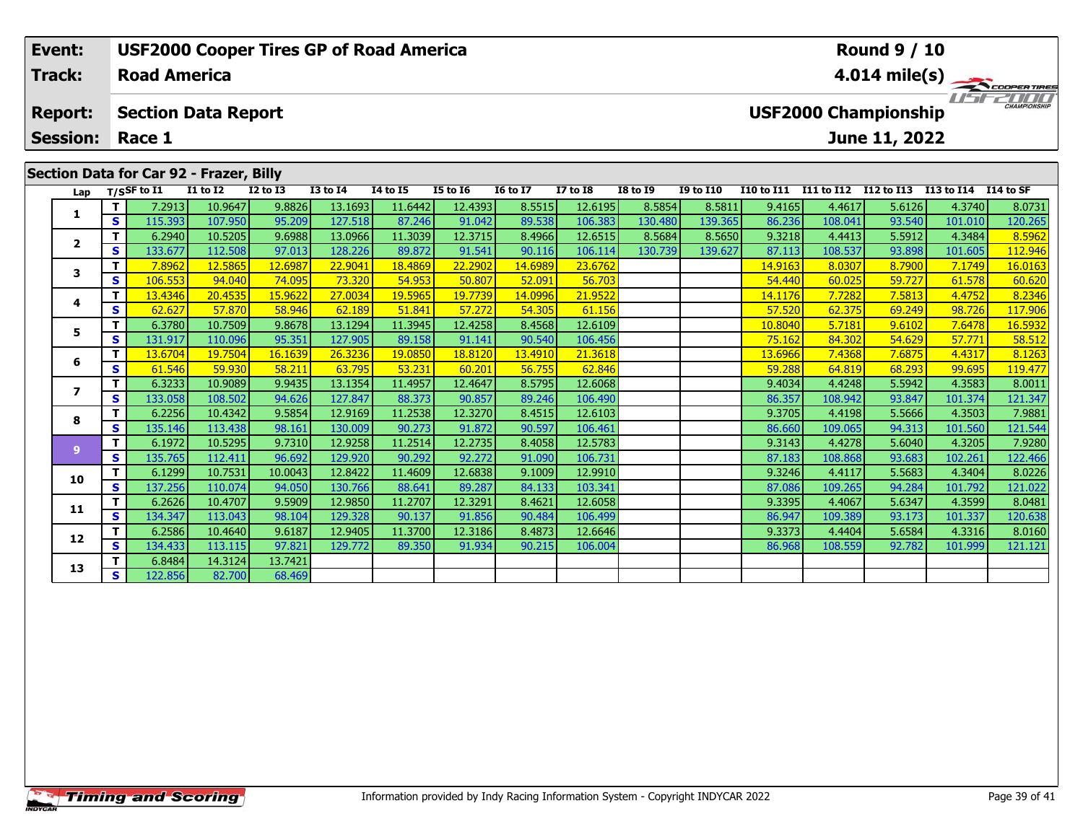|  | Event:                                  | <b>Round 9 / 10</b><br><b>USF2000 Cooper Tires GP of Road America</b> |                                                           |                 |                 |                 |                 |                 |                 |                 |                 |                  |                         |            |                                       |            |           |  |
|--|-----------------------------------------|-----------------------------------------------------------------------|-----------------------------------------------------------|-----------------|-----------------|-----------------|-----------------|-----------------|-----------------|-----------------|-----------------|------------------|-------------------------|------------|---------------------------------------|------------|-----------|--|
|  | Track:                                  |                                                                       | <b>Road America</b>                                       |                 |                 |                 |                 |                 |                 |                 |                 |                  | $4.014 \text{ mile(s)}$ |            |                                       |            |           |  |
|  | <b>Report:</b>                          |                                                                       | <b>USF2000 Championship</b><br><b>Section Data Report</b> |                 |                 |                 |                 |                 |                 |                 |                 |                  |                         |            | <b>TITTIER</b><br><b>CHAMPIONSHIP</b> |            |           |  |
|  | <b>Session:</b>                         |                                                                       | Race 1                                                    |                 |                 |                 |                 |                 |                 |                 |                 |                  |                         |            | June 11, 2022                         |            |           |  |
|  | Section Data for Car 92 - Frazer, Billy |                                                                       |                                                           |                 |                 |                 |                 |                 |                 |                 |                 |                  |                         |            |                                       |            |           |  |
|  | Lap                                     |                                                                       | $T/S$ SF to I1                                            | <b>I1 to I2</b> | <b>I2 to I3</b> | <b>I3 to I4</b> | <b>I4 to I5</b> | <b>I5 to 16</b> | <b>16 to 17</b> | <b>I7 to I8</b> | <b>I8 to I9</b> | <b>I9 to I10</b> | <b>I10 to I11</b>       | I11 to I12 | I12 to I13                            | I13 to I14 | I14 to SF |  |
|  |                                         |                                                                       | 7.2913                                                    | 10.9647         | 9.8826          | 13.1693         | 11.6442         | 12.4393         | 8.5515          | 12.6195         | 8.5854          | 8.5811           | 9.4165                  | 4.4617     | 5.6126                                | 4.3740     | 8.0731    |  |
|  |                                         | S I                                                                   | 115.393                                                   | 107.950         | 95.209          | 127.518         | 87.246          | 91.042          | 89.538          | 106.383         | 130.480         | 139.365          | 86.236                  | 108.041    | 93.540                                | 101.010    | 120.265   |  |
|  | $\overline{2}$                          |                                                                       | 6.2940                                                    | 10.5205         | 9.6988          | 13.0966         | 11.3039         | 12.3715         | 8.4966          | 12.6515         | 8.5684          | 8.5650           | 9.3218                  | 4.4413     | 5.5912                                | 4.3484     | 8.5962    |  |
|  |                                         | s l                                                                   | 133.677                                                   | 112.508         | 97.013          | 128.226         | 89.872          | 91.541          | 90.116          | 106.114         | 130.739         | 139.627          | 87.113                  | 108.537    | 93.898                                | 101.605    | 112.946   |  |
|  |                                         | 7.8962<br>12.5865<br>12.6987                                          |                                                           | 22.9041         | 18.4869         | 22.2902         | 14.6989         | 23.6762         |                 |                 | 14.9163         | 8.0307           | 8.7900                  | 7.1749     | 16.0163                               |            |           |  |

|    |              | <i>.</i> | $-0.0000$ | ,,,,,,  | ------  | ------  | ------  | -----   | ------- | -----   | $\cdots\cdots$ | ------  | .       | -----  | .       |                  |
|----|--------------|----------|-----------|---------|---------|---------|---------|---------|---------|---------|----------------|---------|---------|--------|---------|------------------|
|    | <b>S</b>     | 133.677  | 112.508   | 97.013  | 128.226 | 89.872  | 91.541  | 90.116  | 106.114 | 130.739 | 139.627        | 87.113  | 108.537 | 93.898 | 101.605 | 112.946          |
| 3  | T.           | 7.8962   | 12.5865   | 12.6987 | 22.9041 | 18.4869 | 22.2902 | 14.6989 | 23.6762 |         |                | 14.9163 | 8.0307  | 8.7900 | 7.1749  | 16.0163          |
|    | S            | 106.553  | 94.040    | 74.095  | 73.320  | 54.953  | 50.807  | 52.091  | 56.703  |         |                | 54.440  | 60.025  | 59.727 | 61.578  | 60.620           |
| 4  |              | 13.4346  | 20.4535   | 15.9622 | 27.0034 | 19.5965 | 19.7739 | 14.0996 | 21.9522 |         |                | 14.1176 | 7.7282  | 7.5813 | 4.4752  | 8.2346           |
|    | s            | 62.627   | 57.870    | 58.946  | 62.189  | 51.841  | 57.272  | 54.305  | 61.156  |         |                | 57.520  | 62.375  | 69.249 | 98.726  | 117.906          |
| 5  | Τ.           | 6.3780   | 10.7509   | 9.8678  | 13.1294 | 11.3945 | 12.4258 | 8.4568  | 12.6109 |         |                | 10.8040 | 5.7181  | 9.6102 | 7.6478  | <u> 16.5932 </u> |
|    | S            | 131.917  | 110.096   | 95.351  | 127.905 | 89.158  | 91.141  | 90.540  | 106.456 |         |                | 75.162  | 84.302  | 54.629 | 57.771  | 58.512           |
| 6  |              | 13.6704  | 19.7504   | 16.1639 | 26.3236 | 19.0850 | 18.8120 | 13.4910 | 21.3618 |         |                | 13.6966 | 7.4368  | 7.6875 | 4.4317  | 8.1263           |
|    | S            | 61.546   | 59.930    | 58.211  | 63.795  | 53.231  | 60.201  | 56.755  | 62.846  |         |                | 59.288  | 64.819  | 68.293 | 99.695  | 119.477          |
|    |              | 6.3233   | 10.9089   | 9.9435  | 13.1354 | 11.4957 | 12.4647 | 8.5795  | 12.6068 |         |                | 9.4034  | 4.4248  | 5.5942 | 4.3583  | 8.0011           |
|    | S            | 133.058  | 108.502   | 94.626  | 127.847 | 88.373  | 90.857  | 89.246  | 106.490 |         |                | 86.357  | 108.942 | 93.847 | 101.374 | 121.347          |
| 8  | Τ.           | 6.2256   | 10.4342   | 9.5854  | 12.9169 | 11.2538 | 12.3270 | 8.4515  | 12.6103 |         |                | 9.3705  | 4.4198  | 5.5666 | 4.3503  | 7.9881           |
|    | S            | 135.146  | 113.438   | 98.161  | 130.009 | 90.273  | 91.872  | 90.597  | 106.461 |         |                | 86.660  | 109.065 | 94.313 | 101.560 | 121.544          |
| 9  | Т.           | 6.1972   | 10.5295   | 9.7310  | 12.9258 | 11.2514 | 12.2735 | 8.4058  | 12.5783 |         |                | 9.3143  | 4.4278  | 5.6040 | 4.3205  | 7.9280           |
|    | S            | 135.765  | 112.411   | 96.692  | 129.920 | 90.292  | 92.272  | 91.090  | 106.731 |         |                | 87.183  | 108.868 | 93.683 | 102.261 | 122.466          |
| 10 | T.           | 6.1299   | 10.7531   | 10.0043 | 12.8422 | 11.4609 | 12.6838 | 9.1009  | 12.9910 |         |                | 9.3246  | 4.4117  | 5.5683 | 4.3404  | 8.0226           |
|    | S            | 137.256  | 110.074   | 94.050  | 130.766 | 88.641  | 89.287  | 84.133  | 103.341 |         |                | 87.086  | 109.265 | 94.284 | 101.792 | 121.022          |
| 11 |              | 6.2626   | 10.4707   | 9.5909  | 12.9850 | 11.2707 | 12.3291 | 8.4621  | 12.6058 |         |                | 9.3395  | 4.4067  | 5.6347 | 4.3599  | 8.0481           |
|    | S            | 134.347  | 113.043   | 98.104  | 129.328 | 90.137  | 91.856  | 90.484  | 106.499 |         |                | 86.947  | 109.389 | 93.173 | 101.337 | 120.638          |
| 12 | Τ.           | 6.2586   | 10.4640   | 9.6187  | 12.9405 | 11.3700 | 12.3186 | 8.4873  | 12.6646 |         |                | 9.3373  | 4.4404  | 5.6584 | 4.3316  | 8.0160           |
|    | <b>S</b>     | 134.433  | 113.115   | 97.821  | 129.772 | 89.350  | 91.934  | 90.215  | 106.004 |         |                | 86.968  | 108.559 | 92.782 | 101.999 | 121.121          |
| 13 | Τ.           | 6.8484   | 14.3124   | 13.7421 |         |         |         |         |         |         |                |         |         |        |         |                  |
|    | $\mathbf{s}$ | 122.856  | 82.700    | 68.469  |         |         |         |         |         |         |                |         |         |        |         |                  |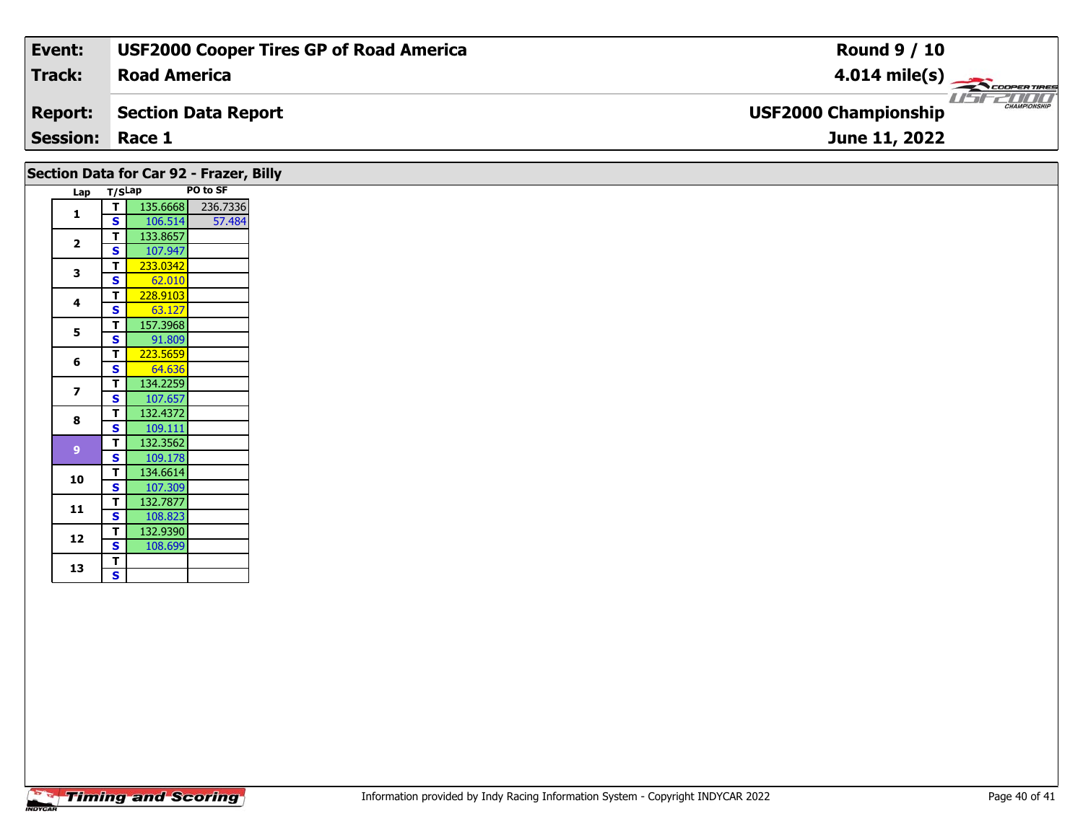| Event:                 | <b>USF2000 Cooper Tires GP of Road America</b> | <b>Round 9 / 10</b>                                |
|------------------------|------------------------------------------------|----------------------------------------------------|
| Track:                 | <b>Road America</b>                            | $4.014 \text{ mile(s)}$                            |
| <b>Report:</b>         | Section Data Report                            | <b>CHAMPIONSHIP</b><br><b>USF2000 Championship</b> |
| <b>Session: Race 1</b> |                                                | June 11, 2022                                      |
|                        |                                                |                                                    |

|                |                         |                     | Section Data for Car 92 - Frazer, Billy |
|----------------|-------------------------|---------------------|-----------------------------------------|
| Lap T/SLap     |                         |                     | PO to SF                                |
| 1              | τI                      | 135.6668            | 236.7336                                |
|                | S                       | 106.514             | 57.484                                  |
| $\mathbf{2}$   | T.                      | 133.8657            |                                         |
|                | <b>S</b><br>T.          | 107.947<br>233.0342 |                                         |
| 3              | S.                      | 62.010              |                                         |
|                | $\mathbf T$             | 228.9103            |                                         |
| 4              | S                       | 63.127              |                                         |
|                | T.                      | 157.3968            |                                         |
| 5              | <b>S</b>                | 91.809              |                                         |
| 6              | T.                      | 223.5659            |                                         |
|                | S.                      | 64.636              |                                         |
| $\overline{z}$ | T.                      | 134.2259            |                                         |
|                | $\mathbf{s}$            | 107.657             |                                         |
| 8              | T.                      | 132.4372            |                                         |
|                | S.<br>T.                | 109.111<br>132.3562 |                                         |
| 9              | $\mathbf{s}$            | 109.178             |                                         |
|                | T.                      | 134.6614            |                                         |
| 10             | $\overline{\mathbf{s}}$ | 107.309             |                                         |
|                | T.                      | 132.7877            |                                         |
| 11             | <b>S</b>                | 108.823             |                                         |
| 12             | T.                      | 132.9390            |                                         |
|                | <b>S</b>                | 108.699             |                                         |
| 13             | T.                      |                     |                                         |
|                | $\overline{\mathbf{s}}$ |                     |                                         |